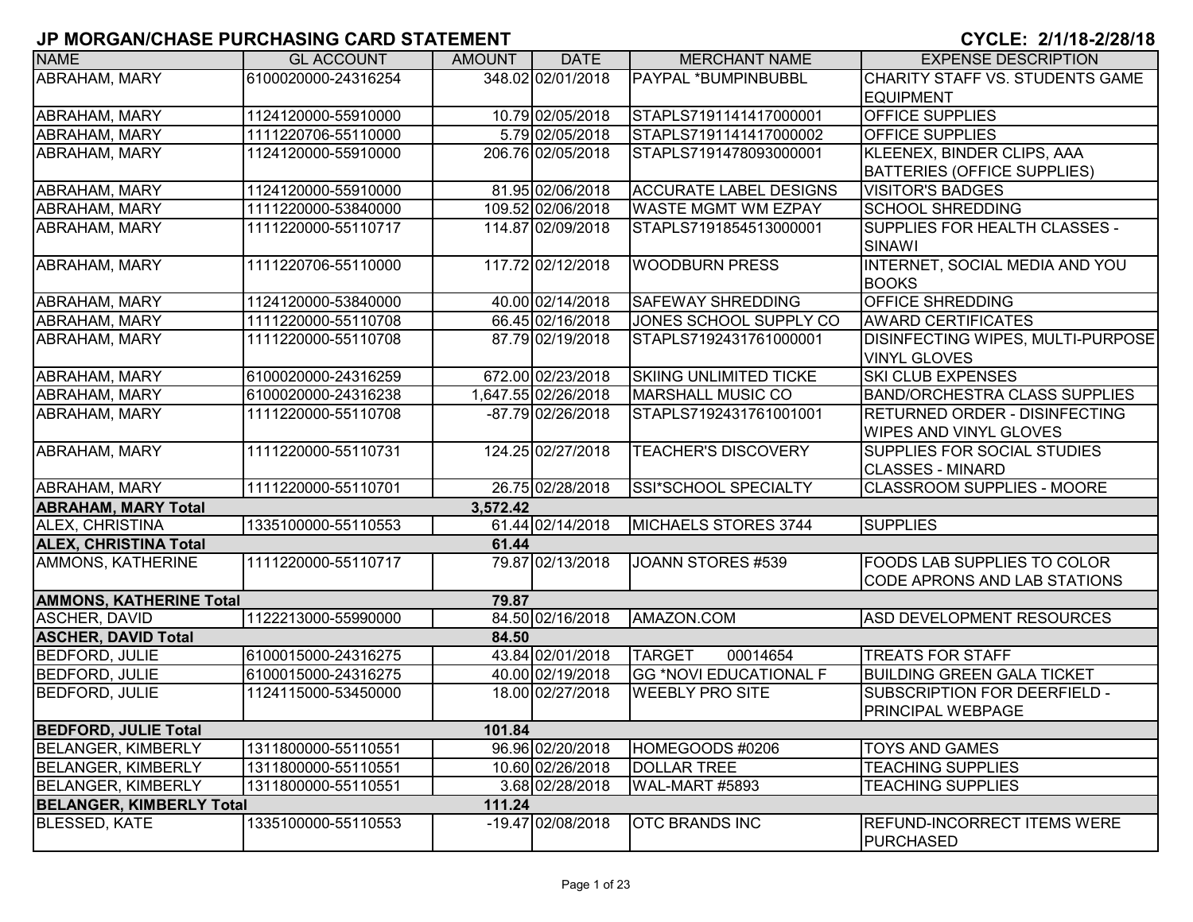| <b>NAME</b>                     | <b>GL ACCOUNT</b>   | <b>AMOUNT</b> | <b>DATE</b>         | <b>MERCHANT NAME</b>          | <b>EXPENSE DESCRIPTION</b>           |
|---------------------------------|---------------------|---------------|---------------------|-------------------------------|--------------------------------------|
| <b>ABRAHAM, MARY</b>            | 6100020000-24316254 |               | 348.02 02/01/2018   | PAYPAL *BUMPINBUBBL           | CHARITY STAFF VS. STUDENTS GAME      |
|                                 |                     |               |                     |                               | <b>EQUIPMENT</b>                     |
| <b>ABRAHAM, MARY</b>            | 1124120000-55910000 |               | 10.79 02/05/2018    | STAPLS7191141417000001        | <b>OFFICE SUPPLIES</b>               |
| <b>ABRAHAM, MARY</b>            | 1111220706-55110000 |               | 5.79 02/05/2018     | STAPLS7191141417000002        | <b>OFFICE SUPPLIES</b>               |
| <b>ABRAHAM, MARY</b>            | 1124120000-55910000 |               | 206.76 02/05/2018   | STAPLS7191478093000001        | KLEENEX, BINDER CLIPS, AAA           |
|                                 |                     |               |                     |                               | <b>BATTERIES (OFFICE SUPPLIES)</b>   |
| <b>ABRAHAM, MARY</b>            | 1124120000-55910000 |               | 81.95 02/06/2018    | <b>ACCURATE LABEL DESIGNS</b> | <b>VISITOR'S BADGES</b>              |
| ABRAHAM, MARY                   | 1111220000-53840000 |               | 109.52 02/06/2018   | <b>WASTE MGMT WM EZPAY</b>    | <b>SCHOOL SHREDDING</b>              |
| <b>ABRAHAM, MARY</b>            | 1111220000-55110717 |               | 114.87 02/09/2018   | STAPLS7191854513000001        | SUPPLIES FOR HEALTH CLASSES -        |
|                                 |                     |               |                     |                               | <b>SINAWI</b>                        |
| <b>ABRAHAM, MARY</b>            | 1111220706-55110000 |               | 117.72 02/12/2018   | <b>WOODBURN PRESS</b>         | INTERNET, SOCIAL MEDIA AND YOU       |
|                                 |                     |               |                     |                               | <b>BOOKS</b>                         |
| <b>ABRAHAM, MARY</b>            | 1124120000-53840000 |               | 40.00 02/14/2018    | <b>SAFEWAY SHREDDING</b>      | <b>OFFICE SHREDDING</b>              |
| <b>ABRAHAM, MARY</b>            | 1111220000-55110708 |               | 66.45 02/16/2018    | JONES SCHOOL SUPPLY CO        | <b>AWARD CERTIFICATES</b>            |
| <b>ABRAHAM, MARY</b>            | 1111220000-55110708 |               | 87.79 02/19/2018    | STAPLS7192431761000001        | DISINFECTING WIPES, MULTI-PURPOSE    |
|                                 |                     |               |                     |                               | <b>VINYL GLOVES</b>                  |
| <b>ABRAHAM, MARY</b>            | 6100020000-24316259 |               | 672.00 02/23/2018   | <b>SKIING UNLIMITED TICKE</b> | <b>SKI CLUB EXPENSES</b>             |
| <b>ABRAHAM, MARY</b>            | 6100020000-24316238 |               | 1.647.55 02/26/2018 | <b>MARSHALL MUSIC CO</b>      | <b>BAND/ORCHESTRA CLASS SUPPLIES</b> |
| <b>ABRAHAM, MARY</b>            | 1111220000-55110708 |               | -87.79 02/26/2018   | STAPLS7192431761001001        | RETURNED ORDER - DISINFECTING        |
|                                 |                     |               |                     |                               | <b>WIPES AND VINYL GLOVES</b>        |
| <b>ABRAHAM, MARY</b>            | 1111220000-55110731 |               | 124.25 02/27/2018   | <b>TEACHER'S DISCOVERY</b>    | <b>ISUPPLIES FOR SOCIAL STUDIES</b>  |
|                                 |                     |               |                     |                               | <b>CLASSES - MINARD</b>              |
| <b>ABRAHAM, MARY</b>            | 1111220000-55110701 |               | 26.75 02/28/2018    | SSI*SCHOOL SPECIALTY          | <b>CLASSROOM SUPPLIES - MOORE</b>    |
| <b>ABRAHAM, MARY Total</b>      |                     | 3,572.42      |                     |                               |                                      |
| ALEX, CHRISTINA                 | 1335100000-55110553 |               | 61.44 02/14/2018    | MICHAELS STORES 3744          | <b>SUPPLIES</b>                      |
| <b>ALEX, CHRISTINA Total</b>    |                     | 61.44         |                     |                               |                                      |
| AMMONS, KATHERINE               | 1111220000-55110717 |               | 79.87 02/13/2018    | JOANN STORES #539             | <b>FOODS LAB SUPPLIES TO COLOR</b>   |
|                                 |                     |               |                     |                               | <b>CODE APRONS AND LAB STATIONS</b>  |
| <b>AMMONS, KATHERINE Total</b>  |                     | 79.87         |                     |                               |                                      |
| <b>ASCHER, DAVID</b>            | 1122213000-55990000 |               | 84.50 02/16/2018    | AMAZON.COM                    | <b>ASD DEVELOPMENT RESOURCES</b>     |
| <b>ASCHER, DAVID Total</b>      |                     | 84.50         |                     |                               |                                      |
| <b>BEDFORD, JULIE</b>           | 6100015000-24316275 |               | 43.84 02/01/2018    | <b>TARGET</b><br>00014654     | <b>TREATS FOR STAFF</b>              |
| <b>BEDFORD, JULIE</b>           | 6100015000-24316275 |               | 40.00 02/19/2018    | <b>GG *NOVI EDUCATIONAL F</b> | <b>BUILDING GREEN GALA TICKET</b>    |
| <b>BEDFORD, JULIE</b>           | 1124115000-53450000 |               | 18.00 02/27/2018    | <b>WEEBLY PRO SITE</b>        | SUBSCRIPTION FOR DEERFIELD -         |
|                                 |                     |               |                     |                               | <b>PRINCIPAL WEBPAGE</b>             |
| <b>BEDFORD, JULIE Total</b>     |                     | 101.84        |                     |                               |                                      |
| <b>BELANGER, KIMBERLY</b>       | 1311800000-55110551 |               | 96.96 02/20/2018    | HOMEGOODS #0206               | <b>TOYS AND GAMES</b>                |
| <b>BELANGER, KIMBERLY</b>       | 1311800000-55110551 |               | 10.60 02/26/2018    | <b>DOLLAR TREE</b>            | <b>TEACHING SUPPLIES</b>             |
| <b>BELANGER, KIMBERLY</b>       | 1311800000-55110551 |               | 3.68 02/28/2018     | WAL-MART #5893                | <b>TEACHING SUPPLIES</b>             |
| <b>BELANGER, KIMBERLY Total</b> |                     | 111.24        |                     |                               |                                      |
| <b>BLESSED, KATE</b>            | 1335100000-55110553 |               | -19.47 02/08/2018   | <b>OTC BRANDS INC</b>         | <b>REFUND-INCORRECT ITEMS WERE</b>   |
|                                 |                     |               |                     |                               | <b>PURCHASED</b>                     |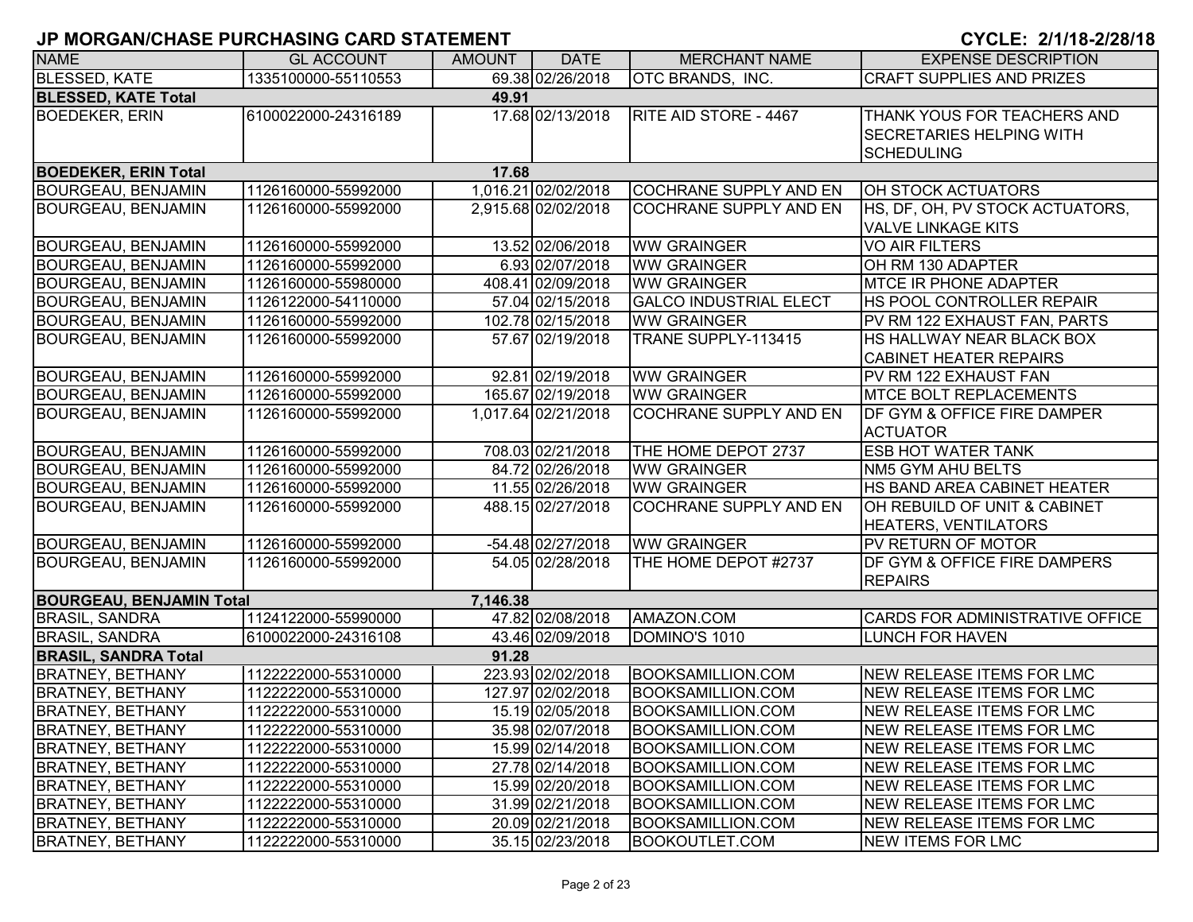| <b>NAME</b>                         | <b>GL ACCOUNT</b>   | <b>AMOUNT</b> | <b>DATE</b>         | <b>MERCHANT NAME</b>          | <b>EXPENSE DESCRIPTION</b>                                                          |  |  |  |  |
|-------------------------------------|---------------------|---------------|---------------------|-------------------------------|-------------------------------------------------------------------------------------|--|--|--|--|
| <b>BLESSED, KATE</b>                | 1335100000-55110553 |               | 69.38 02/26/2018    | <b>OTC BRANDS, INC.</b>       | <b>CRAFT SUPPLIES AND PRIZES</b>                                                    |  |  |  |  |
| <b>BLESSED, KATE Total</b><br>49.91 |                     |               |                     |                               |                                                                                     |  |  |  |  |
| <b>BOEDEKER, ERIN</b>               | 6100022000-24316189 |               | 17.68 02/13/2018    | RITE AID STORE - 4467         | THANK YOUS FOR TEACHERS AND<br><b>SECRETARIES HELPING WITH</b><br><b>SCHEDULING</b> |  |  |  |  |
| <b>BOEDEKER, ERIN Total</b>         |                     | 17.68         |                     |                               |                                                                                     |  |  |  |  |
| <b>BOURGEAU, BENJAMIN</b>           | 1126160000-55992000 |               | 1,016.21 02/02/2018 | <b>COCHRANE SUPPLY AND EN</b> | OH STOCK ACTUATORS                                                                  |  |  |  |  |
| <b>BOURGEAU, BENJAMIN</b>           | 1126160000-55992000 |               | 2,915.68 02/02/2018 | COCHRANE SUPPLY AND EN        | HS, DF, OH, PV STOCK ACTUATORS,<br><b>VALVE LINKAGE KITS</b>                        |  |  |  |  |
| <b>BOURGEAU, BENJAMIN</b>           | 1126160000-55992000 |               | 13.52 02/06/2018    | <b>WW GRAINGER</b>            | <b>VO AIR FILTERS</b>                                                               |  |  |  |  |
| <b>BOURGEAU, BENJAMIN</b>           | 1126160000-55992000 |               | 6.93 02/07/2018     | <b>WW GRAINGER</b>            | OH RM 130 ADAPTER                                                                   |  |  |  |  |
| <b>BOURGEAU, BENJAMIN</b>           | 1126160000-55980000 |               | 408.41 02/09/2018   | <b>WW GRAINGER</b>            | <b>MTCE IR PHONE ADAPTER</b>                                                        |  |  |  |  |
| <b>BOURGEAU, BENJAMIN</b>           | 1126122000-54110000 |               | 57.04 02/15/2018    | <b>GALCO INDUSTRIAL ELECT</b> | HS POOL CONTROLLER REPAIR                                                           |  |  |  |  |
| <b>BOURGEAU, BENJAMIN</b>           | 1126160000-55992000 |               | 102.78 02/15/2018   | <b>WW GRAINGER</b>            | PV RM 122 EXHAUST FAN, PARTS                                                        |  |  |  |  |
| <b>BOURGEAU, BENJAMIN</b>           | 1126160000-55992000 |               | 57.67 02/19/2018    | TRANE SUPPLY-113415           | HS HALLWAY NEAR BLACK BOX<br><b>CABINET HEATER REPAIRS</b>                          |  |  |  |  |
| <b>BOURGEAU, BENJAMIN</b>           | 1126160000-55992000 |               | 92.81 02/19/2018    | <b>WW GRAINGER</b>            | PV RM 122 EXHAUST FAN                                                               |  |  |  |  |
| <b>BOURGEAU, BENJAMIN</b>           | 1126160000-55992000 |               | 165.67 02/19/2018   | <b>WW GRAINGER</b>            | <b>MTCE BOLT REPLACEMENTS</b>                                                       |  |  |  |  |
| <b>BOURGEAU, BENJAMIN</b>           | 1126160000-55992000 |               | 1,017.64 02/21/2018 | <b>COCHRANE SUPPLY AND EN</b> | <b>DF GYM &amp; OFFICE FIRE DAMPER</b><br><b>ACTUATOR</b>                           |  |  |  |  |
| <b>BOURGEAU, BENJAMIN</b>           | 1126160000-55992000 |               | 708.03 02/21/2018   | THE HOME DEPOT 2737           | <b>ESB HOT WATER TANK</b>                                                           |  |  |  |  |
| <b>BOURGEAU, BENJAMIN</b>           | 1126160000-55992000 |               | 84.72 02/26/2018    | <b>WW GRAINGER</b>            | NM5 GYM AHU BELTS                                                                   |  |  |  |  |
| <b>BOURGEAU, BENJAMIN</b>           | 1126160000-55992000 |               | 11.55 02/26/2018    | <b>WW GRAINGER</b>            | HS BAND AREA CABINET HEATER                                                         |  |  |  |  |
| <b>BOURGEAU, BENJAMIN</b>           | 1126160000-55992000 |               | 488.15 02/27/2018   | <b>COCHRANE SUPPLY AND EN</b> | OH REBUILD OF UNIT & CABINET<br><b>HEATERS, VENTILATORS</b>                         |  |  |  |  |
| <b>BOURGEAU, BENJAMIN</b>           | 1126160000-55992000 |               | $-54.48$ 02/27/2018 | <b>WW GRAINGER</b>            | PV RETURN OF MOTOR                                                                  |  |  |  |  |
| <b>BOURGEAU, BENJAMIN</b>           | 1126160000-55992000 |               | 54.05 02/28/2018    | THE HOME DEPOT #2737          | <b>DF GYM &amp; OFFICE FIRE DAMPERS</b><br><b>REPAIRS</b>                           |  |  |  |  |
| <b>BOURGEAU, BENJAMIN Total</b>     |                     | 7,146.38      |                     |                               |                                                                                     |  |  |  |  |
| <b>BRASIL, SANDRA</b>               | 1124122000-55990000 |               | 47.82 02/08/2018    | AMAZON.COM                    | CARDS FOR ADMINISTRATIVE OFFICE                                                     |  |  |  |  |
| <b>BRASIL, SANDRA</b>               | 6100022000-24316108 |               | 43.46 02/09/2018    | DOMINO'S 1010                 | <b>LUNCH FOR HAVEN</b>                                                              |  |  |  |  |
| <b>BRASIL, SANDRA Total</b>         |                     | 91.28         |                     |                               |                                                                                     |  |  |  |  |
| <b>BRATNEY, BETHANY</b>             | 1122222000-55310000 |               | 223.93 02/02/2018   | <b>BOOKSAMILLION.COM</b>      | NEW RELEASE ITEMS FOR LMC                                                           |  |  |  |  |
| <b>BRATNEY, BETHANY</b>             | 1122222000-55310000 |               | 127.97 02/02/2018   | <b>BOOKSAMILLION.COM</b>      | NEW RELEASE ITEMS FOR LMC                                                           |  |  |  |  |
| <b>BRATNEY, BETHANY</b>             | 1122222000-55310000 |               | 15.19 02/05/2018    | <b>BOOKSAMILLION.COM</b>      | NEW RELEASE ITEMS FOR LMC                                                           |  |  |  |  |
| <b>BRATNEY, BETHANY</b>             | 1122222000-55310000 |               | 35.98 02/07/2018    | BOOKSAMILLION.COM             | NEW RELEASE ITEMS FOR LMC                                                           |  |  |  |  |
| <b>BRATNEY, BETHANY</b>             | 1122222000-55310000 |               | 15.99 02/14/2018    | <b>BOOKSAMILLION.COM</b>      | NEW RELEASE ITEMS FOR LMC                                                           |  |  |  |  |
| <b>BRATNEY, BETHANY</b>             | 1122222000-55310000 |               | 27.78 02/14/2018    | <b>BOOKSAMILLION.COM</b>      | NEW RELEASE ITEMS FOR LMC                                                           |  |  |  |  |
| <b>BRATNEY, BETHANY</b>             | 1122222000-55310000 |               | 15.99 02/20/2018    | <b>BOOKSAMILLION.COM</b>      | <b>NEW RELEASE ITEMS FOR LMC</b>                                                    |  |  |  |  |
| <b>BRATNEY, BETHANY</b>             | 1122222000-55310000 |               | 31.99 02/21/2018    | <b>BOOKSAMILLION.COM</b>      | <b>NEW RELEASE ITEMS FOR LMC</b>                                                    |  |  |  |  |
| <b>BRATNEY, BETHANY</b>             | 1122222000-55310000 |               | 20.09 02/21/2018    | <b>BOOKSAMILLION.COM</b>      | NEW RELEASE ITEMS FOR LMC                                                           |  |  |  |  |
| <b>BRATNEY, BETHANY</b>             | 1122222000-55310000 |               | 35.15 02/23/2018    | <b>BOOKOUTLET.COM</b>         | NEW ITEMS FOR LMC                                                                   |  |  |  |  |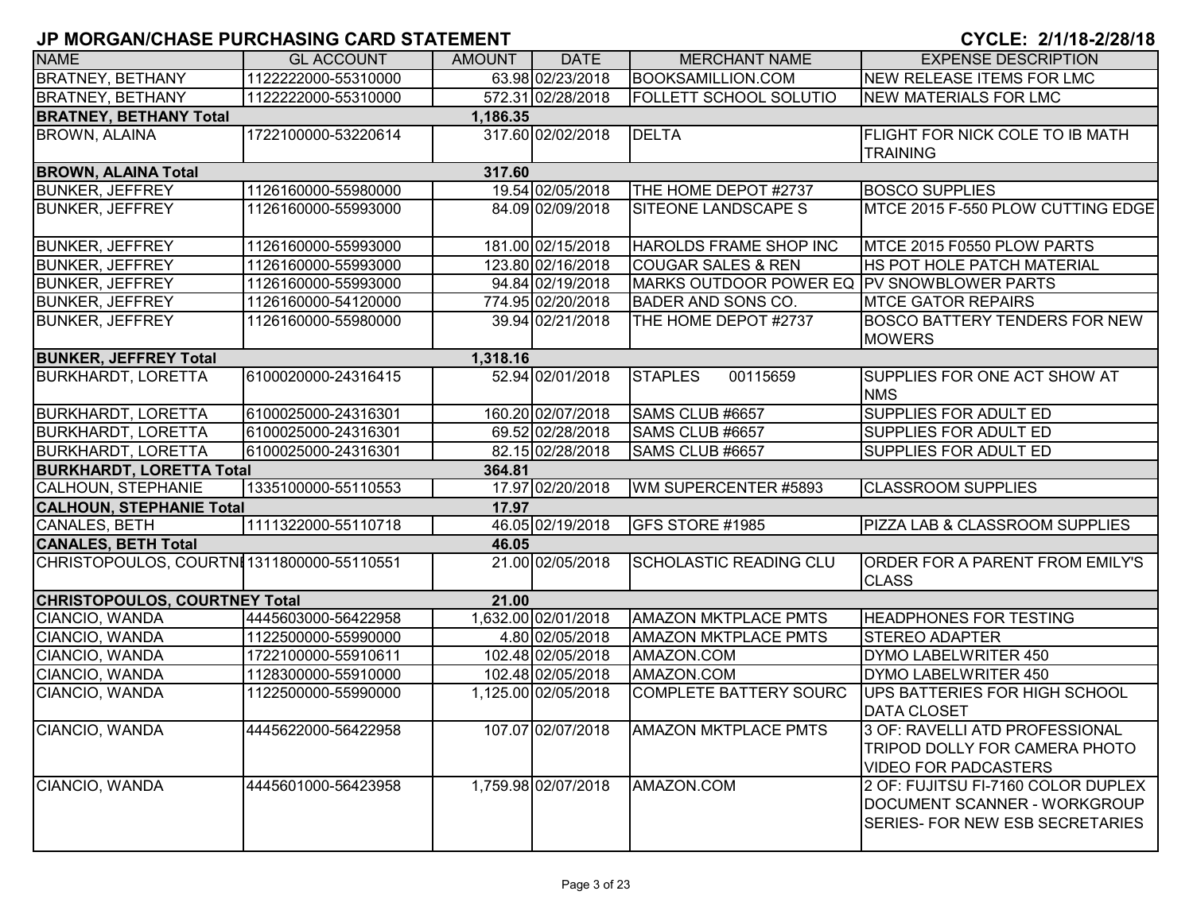| <b>NAME</b>                               | <b>GL ACCOUNT</b>   | <b>AMOUNT</b> | <b>DATE</b>         | <b>MERCHANT NAME</b>                        | <b>EXPENSE DESCRIPTION</b>                |  |  |  |
|-------------------------------------------|---------------------|---------------|---------------------|---------------------------------------------|-------------------------------------------|--|--|--|
| <b>BRATNEY, BETHANY</b>                   | 1122222000-55310000 |               | 63.98 02/23/2018    | <b>BOOKSAMILLION.COM</b>                    | <b>NEW RELEASE ITEMS FOR LMC</b>          |  |  |  |
| <b>BRATNEY, BETHANY</b>                   | 1122222000-55310000 |               | 572.31 02/28/2018   | <b>FOLLETT SCHOOL SOLUTIO</b>               | <b>NEW MATERIALS FOR LMC</b>              |  |  |  |
| <b>BRATNEY, BETHANY Total</b><br>1,186.35 |                     |               |                     |                                             |                                           |  |  |  |
| <b>BROWN, ALAINA</b>                      | 1722100000-53220614 |               | 317.60 02/02/2018   | <b>DELTA</b>                                | <b>FLIGHT FOR NICK COLE TO IB MATH</b>    |  |  |  |
|                                           |                     |               |                     |                                             | <b>TRAINING</b>                           |  |  |  |
| <b>BROWN, ALAINA Total</b>                |                     | 317.60        |                     |                                             |                                           |  |  |  |
| <b>BUNKER, JEFFREY</b>                    | 1126160000-55980000 |               | 19.54 02/05/2018    | THE HOME DEPOT #2737                        | <b>BOSCO SUPPLIES</b>                     |  |  |  |
| <b>BUNKER, JEFFREY</b>                    | 1126160000-55993000 |               | 84.09 02/09/2018    | <b>SITEONE LANDSCAPE S</b>                  | MTCE 2015 F-550 PLOW CUTTING EDGE         |  |  |  |
|                                           |                     |               |                     |                                             |                                           |  |  |  |
| <b>BUNKER, JEFFREY</b>                    | 1126160000-55993000 |               | 181.00 02/15/2018   | <b>HAROLDS FRAME SHOP INC</b>               | MTCE 2015 F0550 PLOW PARTS                |  |  |  |
| <b>BUNKER, JEFFREY</b>                    | 1126160000-55993000 |               | 123.80 02/16/2018   | <b>COUGAR SALES &amp; REN</b>               | HS POT HOLE PATCH MATERIAL                |  |  |  |
| <b>BUNKER, JEFFREY</b>                    | 1126160000-55993000 |               | 94.84 02/19/2018    | MARKS OUTDOOR POWER EQ IPV SNOWBLOWER PARTS |                                           |  |  |  |
| <b>BUNKER, JEFFREY</b>                    | 1126160000-54120000 |               | 774.95 02/20/2018   | <b>BADER AND SONS CO.</b>                   | <b>MTCE GATOR REPAIRS</b>                 |  |  |  |
| <b>BUNKER, JEFFREY</b>                    | 1126160000-55980000 |               | 39.94 02/21/2018    | THE HOME DEPOT #2737                        | <b>BOSCO BATTERY TENDERS FOR NEW</b>      |  |  |  |
|                                           |                     |               |                     |                                             | <b>MOWERS</b>                             |  |  |  |
| <b>BUNKER, JEFFREY Total</b>              |                     | 1,318.16      |                     |                                             |                                           |  |  |  |
| <b>BURKHARDT, LORETTA</b>                 | 6100020000-24316415 |               | 52.94 02/01/2018    | <b>STAPLES</b><br>00115659                  | SUPPLIES FOR ONE ACT SHOW AT              |  |  |  |
|                                           |                     |               |                     |                                             | <b>NMS</b>                                |  |  |  |
| <b>BURKHARDT, LORETTA</b>                 | 6100025000-24316301 |               | 160.20 02/07/2018   | SAMS CLUB #6657                             | SUPPLIES FOR ADULT ED                     |  |  |  |
| <b>BURKHARDT, LORETTA</b>                 | 6100025000-24316301 |               | 69.52 02/28/2018    | SAMS CLUB #6657                             | <b>SUPPLIES FOR ADULT ED</b>              |  |  |  |
| <b>BURKHARDT, LORETTA</b>                 | 6100025000-24316301 |               | 82.15 02/28/2018    | SAMS CLUB #6657                             | <b>SUPPLIES FOR ADULT ED</b>              |  |  |  |
| <b>BURKHARDT, LORETTA Total</b>           |                     | 364.81        |                     |                                             |                                           |  |  |  |
| CALHOUN, STEPHANIE                        | 1335100000-55110553 |               | 17.97 02/20/2018    | WM SUPERCENTER #5893                        | <b>CLASSROOM SUPPLIES</b>                 |  |  |  |
| <b>CALHOUN, STEPHANIE Total</b>           |                     | 17.97         |                     |                                             |                                           |  |  |  |
| <b>CANALES, BETH</b>                      | 1111322000-55110718 |               | 46.05 02/19/2018    | GFS STORE #1985                             | <b>PIZZA LAB &amp; CLASSROOM SUPPLIES</b> |  |  |  |
| <b>CANALES, BETH Total</b>                |                     | 46.05         |                     |                                             |                                           |  |  |  |
| CHRISTOPOULOS, COURTNI1311800000-55110551 |                     |               | 21.00 02/05/2018    | <b>SCHOLASTIC READING CLU</b>               | <b>ORDER FOR A PARENT FROM EMILY'S</b>    |  |  |  |
|                                           |                     |               |                     |                                             | <b>CLASS</b>                              |  |  |  |
| <b>CHRISTOPOULOS, COURTNEY Total</b>      |                     | 21.00         |                     |                                             |                                           |  |  |  |
| CIANCIO, WANDA                            | 4445603000-56422958 |               | 1,632.00 02/01/2018 | <b>AMAZON MKTPLACE PMTS</b>                 | <b>HEADPHONES FOR TESTING</b>             |  |  |  |
| CIANCIO, WANDA                            | 1122500000-55990000 |               | 4.80 02/05/2018     | <b>AMAZON MKTPLACE PMTS</b>                 | <b>STEREO ADAPTER</b>                     |  |  |  |
| CIANCIO, WANDA                            | 1722100000-55910611 |               | 102.48 02/05/2018   | AMAZON.COM                                  | DYMO LABELWRITER 450                      |  |  |  |
| CIANCIO, WANDA                            | 1128300000-55910000 |               | 102.48 02/05/2018   | AMAZON.COM                                  | DYMO LABELWRITER 450                      |  |  |  |
| CIANCIO, WANDA                            | 1122500000-55990000 |               | 1,125.00 02/05/2018 | <b>COMPLETE BATTERY SOURC</b>               | UPS BATTERIES FOR HIGH SCHOOL             |  |  |  |
|                                           |                     |               |                     |                                             | <b>DATA CLOSET</b>                        |  |  |  |
| CIANCIO, WANDA                            | 4445622000-56422958 |               | 107.07 02/07/2018   | <b>AMAZON MKTPLACE PMTS</b>                 | 3 OF: RAVELLI ATD PROFESSIONAL            |  |  |  |
|                                           |                     |               |                     |                                             | TRIPOD DOLLY FOR CAMERA PHOTO             |  |  |  |
|                                           |                     |               |                     |                                             | <b>VIDEO FOR PADCASTERS</b>               |  |  |  |
| CIANCIO, WANDA                            | 4445601000-56423958 |               | 1,759.98 02/07/2018 | AMAZON.COM                                  | 2 OF: FUJITSU FI-7160 COLOR DUPLEX        |  |  |  |
|                                           |                     |               |                     |                                             | DOCUMENT SCANNER - WORKGROUP              |  |  |  |
|                                           |                     |               |                     |                                             | <b>SERIES- FOR NEW ESB SECRETARIES</b>    |  |  |  |
|                                           |                     |               |                     |                                             |                                           |  |  |  |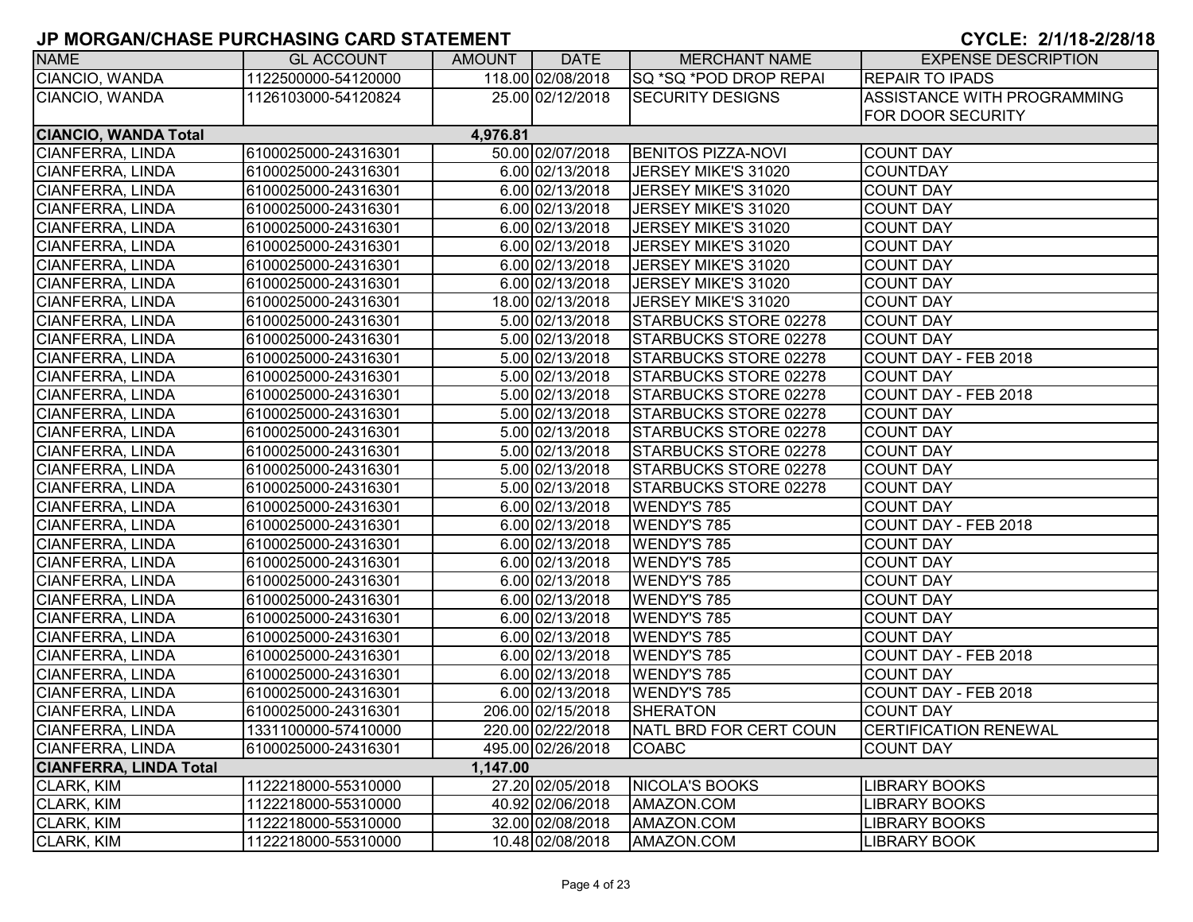| <b>NAME</b>                   | <b>GL ACCOUNT</b>   | AMOUNT   | <b>DATE</b>       | <b>MERCHANT NAME</b>      | <b>EXPENSE DESCRIPTION</b>   |
|-------------------------------|---------------------|----------|-------------------|---------------------------|------------------------------|
| CIANCIO, WANDA                | 1122500000-54120000 |          | 118.00 02/08/2018 | ISQ *SQ *POD DROP REPAI   | <b>REPAIR TO IPADS</b>       |
| CIANCIO, WANDA                | 1126103000-54120824 |          | 25.00 02/12/2018  | <b>SECURITY DESIGNS</b>   | ASSISTANCE WITH PROGRAMMING  |
|                               |                     |          |                   |                           | FOR DOOR SECURITY            |
| <b>CIANCIO, WANDA Total</b>   |                     | 4,976.81 |                   |                           |                              |
| CIANFERRA, LINDA              | 6100025000-24316301 |          | 50.00 02/07/2018  | <b>BENITOS PIZZA-NOVI</b> | <b>COUNT DAY</b>             |
| <b>CIANFERRA, LINDA</b>       | 6100025000-24316301 |          | 6.00 02/13/2018   | JERSEY MIKE'S 31020       | <b>COUNTDAY</b>              |
| CIANFERRA, LINDA              | 6100025000-24316301 |          | 6.00 02/13/2018   | JERSEY MIKE'S 31020       | <b>COUNT DAY</b>             |
| <b>CIANFERRA, LINDA</b>       | 6100025000-24316301 |          | 6.00 02/13/2018   | JERSEY MIKE'S 31020       | <b>COUNT DAY</b>             |
| <b>CIANFERRA, LINDA</b>       | 6100025000-24316301 |          | 6.00 02/13/2018   | JERSEY MIKE'S 31020       | <b>COUNT DAY</b>             |
| <b>CIANFERRA, LINDA</b>       | 6100025000-24316301 |          | 6.00 02/13/2018   | JERSEY MIKE'S 31020       | <b>COUNT DAY</b>             |
| <b>CIANFERRA, LINDA</b>       | 6100025000-24316301 |          | 6.00 02/13/2018   | JERSEY MIKE'S 31020       | <b>COUNT DAY</b>             |
| <b>CIANFERRA, LINDA</b>       | 6100025000-24316301 |          | 6.00 02/13/2018   | JERSEY MIKE'S 31020       | <b>COUNT DAY</b>             |
| <b>CIANFERRA, LINDA</b>       | 6100025000-24316301 |          | 18.00 02/13/2018  | JERSEY MIKE'S 31020       | <b>COUNT DAY</b>             |
| <b>CIANFERRA, LINDA</b>       | 6100025000-24316301 |          | 5.00 02/13/2018   | STARBUCKS STORE 02278     | <b>COUNT DAY</b>             |
| CIANFERRA, LINDA              | 6100025000-24316301 |          | 5.00 02/13/2018   | STARBUCKS STORE 02278     | <b>COUNT DAY</b>             |
| <b>CIANFERRA, LINDA</b>       | 6100025000-24316301 |          | 5.00 02/13/2018   | STARBUCKS STORE 02278     | COUNT DAY - FEB 2018         |
| CIANFERRA, LINDA              | 6100025000-24316301 |          | 5.00 02/13/2018   | STARBUCKS STORE 02278     | <b>COUNT DAY</b>             |
| <b>CIANFERRA, LINDA</b>       | 6100025000-24316301 |          | 5.00 02/13/2018   | STARBUCKS STORE 02278     | COUNT DAY - FEB 2018         |
| <b>CIANFERRA, LINDA</b>       | 6100025000-24316301 |          | 5.00 02/13/2018   | STARBUCKS STORE 02278     | <b>COUNT DAY</b>             |
| CIANFERRA, LINDA              | 6100025000-24316301 |          | 5.00 02/13/2018   | STARBUCKS STORE 02278     | <b>COUNT DAY</b>             |
| CIANFERRA, LINDA              | 6100025000-24316301 |          | 5.00 02/13/2018   | STARBUCKS STORE 02278     | <b>COUNT DAY</b>             |
| <b>CIANFERRA, LINDA</b>       | 6100025000-24316301 |          | 5.00 02/13/2018   | STARBUCKS STORE 02278     | <b>COUNT DAY</b>             |
| CIANFERRA, LINDA              | 6100025000-24316301 |          | 5.00 02/13/2018   | STARBUCKS STORE 02278     | <b>COUNT DAY</b>             |
| CIANFERRA, LINDA              | 6100025000-24316301 |          | 6.00 02/13/2018   | <b>WENDY'S 785</b>        | <b>COUNT DAY</b>             |
| <b>CIANFERRA, LINDA</b>       | 6100025000-24316301 |          | 6.00 02/13/2018   | <b>WENDY'S 785</b>        | COUNT DAY - FEB 2018         |
| <b>CIANFERRA, LINDA</b>       | 6100025000-24316301 |          | 6.00 02/13/2018   | <b>WENDY'S 785</b>        | <b>COUNT DAY</b>             |
| CIANFERRA, LINDA              | 6100025000-24316301 |          | 6.00 02/13/2018   | <b>WENDY'S 785</b>        | <b>COUNT DAY</b>             |
| <b>CIANFERRA, LINDA</b>       | 6100025000-24316301 |          | 6.00 02/13/2018   | <b>WENDY'S 785</b>        | <b>COUNT DAY</b>             |
| <b>CIANFERRA, LINDA</b>       | 6100025000-24316301 |          | 6.00 02/13/2018   | <b>WENDY'S 785</b>        | <b>COUNT DAY</b>             |
| <b>CIANFERRA, LINDA</b>       | 6100025000-24316301 |          | 6.00 02/13/2018   | <b>WENDY'S 785</b>        | <b>COUNT DAY</b>             |
| <b>CIANFERRA, LINDA</b>       | 6100025000-24316301 |          | 6.00 02/13/2018   | <b>WENDY'S 785</b>        | <b>COUNT DAY</b>             |
| CIANFERRA, LINDA              | 6100025000-24316301 |          | 6.00 02/13/2018   | <b>WENDY'S 785</b>        | COUNT DAY - FEB 2018         |
| CIANFERRA, LINDA              | 6100025000-24316301 |          | 6.00 02/13/2018   | <b>WENDY'S 785</b>        | <b>COUNT DAY</b>             |
| <b>CIANFERRA, LINDA</b>       | 6100025000-24316301 |          | 6.00 02/13/2018   | <b>WENDY'S 785</b>        | COUNT DAY - FEB 2018         |
| <b>CIANFERRA, LINDA</b>       | 6100025000-24316301 |          | 206.00 02/15/2018 | SHERATON                  | <b>COUNT DAY</b>             |
| CIANFERRA, LINDA              | 1331100000-57410000 |          | 220.00 02/22/2018 | NATL BRD FOR CERT COUN    | <b>CERTIFICATION RENEWAL</b> |
| CIANFERRA, LINDA              | 6100025000-24316301 |          | 495.00 02/26/2018 | <b>COABC</b>              | <b>COUNT DAY</b>             |
| <b>CIANFERRA, LINDA Total</b> |                     | 1,147.00 |                   |                           |                              |
| CLARK, KIM                    | 1122218000-55310000 |          | 27.20 02/05/2018  | <b>NICOLA'S BOOKS</b>     | <b>LIBRARY BOOKS</b>         |
| CLARK, KIM                    | 1122218000-55310000 |          | 40.92 02/06/2018  | AMAZON.COM                | <b>LIBRARY BOOKS</b>         |
| CLARK, KIM                    | 1122218000-55310000 |          | 32.00 02/08/2018  | AMAZON.COM                | <b>LIBRARY BOOKS</b>         |
| CLARK, KIM                    | 1122218000-55310000 |          | 10.48 02/08/2018  | AMAZON.COM                | <b>LIBRARY BOOK</b>          |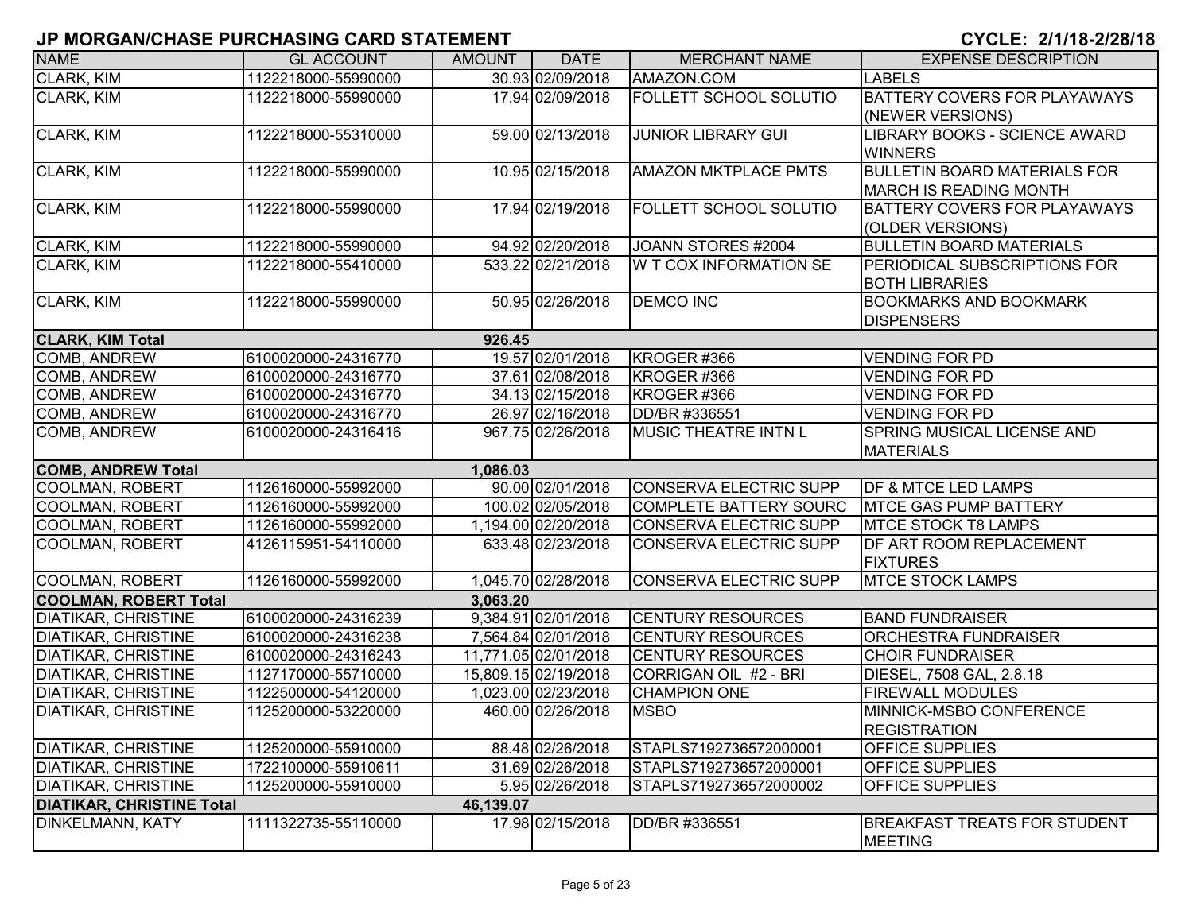| <b>NAME</b>                                                | <b>GL ACCOUNT</b>   | <b>AMOUNT</b> | <b>DATE</b>          | <b>MERCHANT NAME</b>          | <b>EXPENSE DESCRIPTION</b>                 |
|------------------------------------------------------------|---------------------|---------------|----------------------|-------------------------------|--------------------------------------------|
| <b>CLARK, KIM</b>                                          | 1122218000-55990000 |               | 30.93 02/09/2018     | AMAZON.COM                    | <b>LABELS</b>                              |
| CLARK, KIM                                                 | 1122218000-55990000 |               | 17.94 02/09/2018     | <b>FOLLETT SCHOOL SOLUTIO</b> | <b>BATTERY COVERS FOR PLAYAWAYS</b>        |
|                                                            |                     |               |                      |                               | (NEWER VERSIONS)                           |
| CLARK, KIM                                                 | 1122218000-55310000 |               | 59.00 02/13/2018     | <b>JUNIOR LIBRARY GUI</b>     | LIBRARY BOOKS - SCIENCE AWARD              |
|                                                            |                     |               |                      |                               | <b>WINNERS</b>                             |
| CLARK, KIM                                                 | 1122218000-55990000 |               | 10.95 02/15/2018     | <b>AMAZON MKTPLACE PMTS</b>   | <b>BULLETIN BOARD MATERIALS FOR</b>        |
|                                                            |                     |               |                      |                               | <b>MARCH IS READING MONTH</b>              |
| CLARK, KIM                                                 | 1122218000-55990000 |               | 17.94 02/19/2018     | <b>FOLLETT SCHOOL SOLUTIO</b> | BATTERY COVERS FOR PLAYAWAYS               |
|                                                            |                     |               |                      |                               | (OLDER VERSIONS)                           |
| CLARK, KIM                                                 | 1122218000-55990000 |               | 94.92 02/20/2018     | JOANN STORES #2004            | <b>BULLETIN BOARD MATERIALS</b>            |
| <b>CLARK, KIM</b>                                          | 1122218000-55410000 |               | 533.22 02/21/2018    | W T COX INFORMATION SE        | PERIODICAL SUBSCRIPTIONS FOR               |
|                                                            |                     |               |                      |                               | <b>BOTH LIBRARIES</b>                      |
| CLARK, KIM                                                 | 1122218000-55990000 |               | 50.95 02/26/2018     | <b>DEMCO INC</b>              | <b>BOOKMARKS AND BOOKMARK</b>              |
|                                                            |                     |               |                      |                               | <b>DISPENSERS</b>                          |
| <b>CLARK, KIM Total</b>                                    |                     | 926.45        |                      |                               |                                            |
| COMB, ANDREW                                               | 6100020000-24316770 |               | 19.57 02/01/2018     | KROGER #366                   | <b>VENDING FOR PD</b>                      |
| COMB, ANDREW                                               | 6100020000-24316770 |               | 37.61 02/08/2018     | KROGER #366                   | <b>VENDING FOR PD</b>                      |
| <b>COMB, ANDREW</b>                                        | 6100020000-24316770 |               | 34.13 02/15/2018     | KROGER #366                   | <b>VENDING FOR PD</b>                      |
| COMB, ANDREW                                               | 6100020000-24316770 |               | 26.97 02/16/2018     | DD/BR #336551                 | <b>VENDING FOR PD</b>                      |
| COMB, ANDREW                                               | 6100020000-24316416 |               | 967.75 02/26/2018    | <b>MUSIC THEATRE INTN L</b>   | <b>SPRING MUSICAL LICENSE AND</b>          |
|                                                            |                     |               |                      |                               | <b>MATERIALS</b>                           |
| <b>COMB, ANDREW Total</b>                                  |                     | 1,086.03      |                      |                               |                                            |
| <b>COOLMAN, ROBERT</b>                                     | 1126160000-55992000 |               | 90.00 02/01/2018     | <b>CONSERVA ELECTRIC SUPP</b> | <b>DF &amp; MTCE LED LAMPS</b>             |
| <b>COOLMAN, ROBERT</b>                                     | 1126160000-55992000 |               | 100.02 02/05/2018    | <b>COMPLETE BATTERY SOURC</b> | <b>MTCE GAS PUMP BATTERY</b>               |
| <b>COOLMAN, ROBERT</b>                                     | 1126160000-55992000 |               | 1,194.00 02/20/2018  | <b>CONSERVA ELECTRIC SUPP</b> | <b>MTCE STOCK T8 LAMPS</b>                 |
| <b>COOLMAN, ROBERT</b>                                     | 4126115951-54110000 |               | 633.48 02/23/2018    | <b>CONSERVA ELECTRIC SUPP</b> | DF ART ROOM REPLACEMENT                    |
| <b>COOLMAN, ROBERT</b>                                     | 1126160000-55992000 |               | 1,045.70 02/28/2018  |                               | <b>FIXTURES</b><br><b>MTCE STOCK LAMPS</b> |
|                                                            |                     |               |                      | <b>CONSERVA ELECTRIC SUPP</b> |                                            |
| <b>COOLMAN, ROBERT Total</b><br><b>DIATIKAR, CHRISTINE</b> | 6100020000-24316239 | 3,063.20      | 9,384.91 02/01/2018  | <b>CENTURY RESOURCES</b>      | <b>BAND FUNDRAISER</b>                     |
| <b>DIATIKAR, CHRISTINE</b>                                 | 6100020000-24316238 |               | 7,564.84 02/01/2018  | <b>CENTURY RESOURCES</b>      | <b>ORCHESTRA FUNDRAISER</b>                |
| <b>DIATIKAR, CHRISTINE</b>                                 | 6100020000-24316243 |               | 11,771.05 02/01/2018 | <b>CENTURY RESOURCES</b>      | <b>CHOIR FUNDRAISER</b>                    |
| <b>DIATIKAR, CHRISTINE</b>                                 | 1127170000-55710000 |               | 15,809.15 02/19/2018 | CORRIGAN OIL #2 - BRI         | DIESEL, 7508 GAL, 2.8.18                   |
| <b>DIATIKAR, CHRISTINE</b>                                 | 1122500000-54120000 |               | 1,023.00 02/23/2018  | <b>CHAMPION ONE</b>           | <b>FIREWALL MODULES</b>                    |
| <b>DIATIKAR, CHRISTINE</b>                                 | 1125200000-53220000 |               | 460.00 02/26/2018    | <b>MSBO</b>                   | MINNICK-MSBO CONFERENCE                    |
|                                                            |                     |               |                      |                               | <b>REGISTRATION</b>                        |
| <b>DIATIKAR, CHRISTINE</b>                                 | 1125200000-55910000 |               | 88.48 02/26/2018     | STAPLS7192736572000001        | <b>OFFICE SUPPLIES</b>                     |
| <b>DIATIKAR, CHRISTINE</b>                                 | 1722100000-55910611 |               | 31.69 02/26/2018     | STAPLS7192736572000001        | <b>OFFICE SUPPLIES</b>                     |
| <b>DIATIKAR, CHRISTINE</b>                                 | 1125200000-55910000 |               | 5.95 02/26/2018      | STAPLS7192736572000002        | <b>OFFICE SUPPLIES</b>                     |
| <b>DIATIKAR, CHRISTINE Total</b>                           |                     | 46,139.07     |                      |                               |                                            |
| <b>DINKELMANN, KATY</b>                                    | 1111322735-55110000 |               | 17.98 02/15/2018     | DD/BR #336551                 | BREAKFAST TREATS FOR STUDENT               |
|                                                            |                     |               |                      |                               | <b>MEETING</b>                             |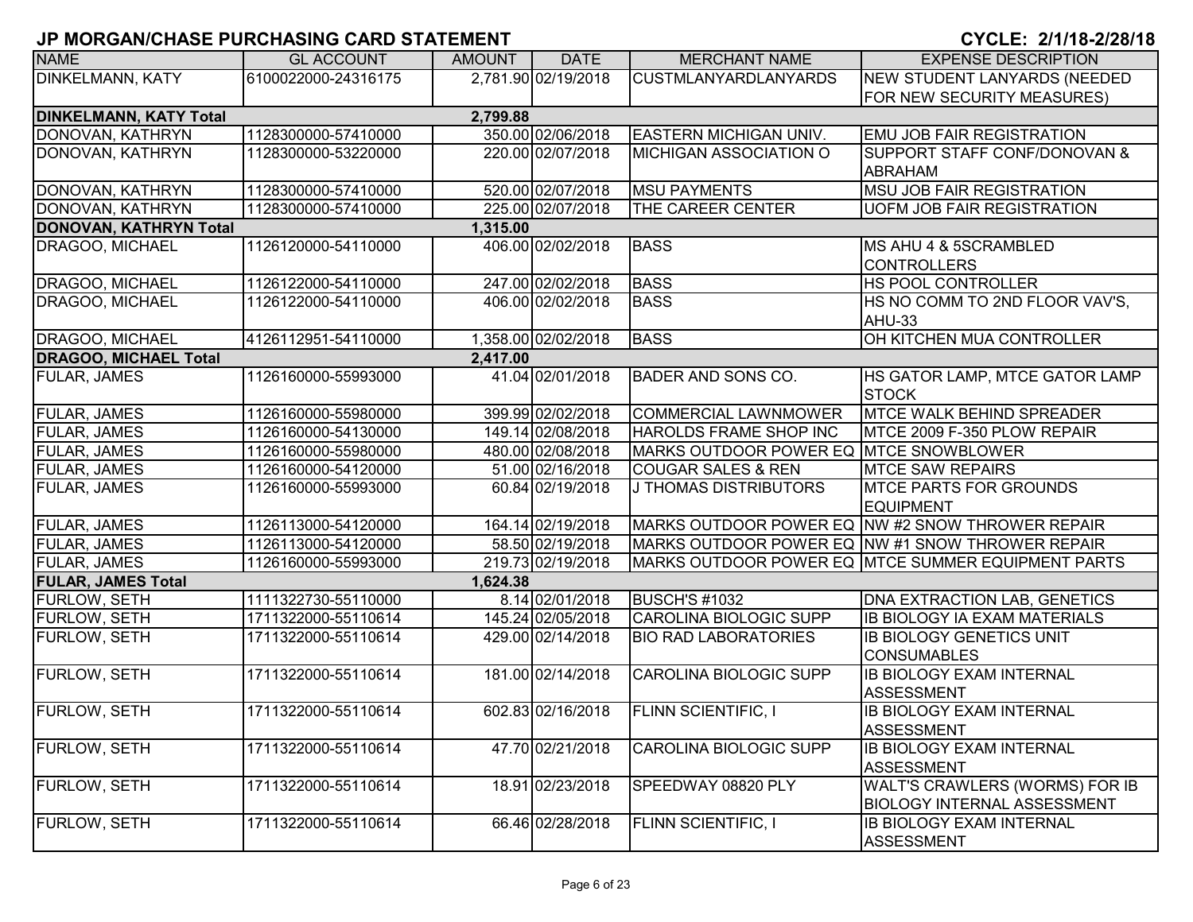| <b>NAME</b>                   | <b>GL ACCOUNT</b>   | <b>AMOUNT</b> | <b>DATE</b>         | <b>MERCHANT NAME</b>                   | <b>EXPENSE DESCRIPTION</b>                         |
|-------------------------------|---------------------|---------------|---------------------|----------------------------------------|----------------------------------------------------|
| <b>DINKELMANN, KATY</b>       | 6100022000-24316175 |               | 2,781.90 02/19/2018 | <b>CUSTMLANYARDLANYARDS</b>            | <b>NEW STUDENT LANYARDS (NEEDED</b>                |
|                               |                     |               |                     |                                        | FOR NEW SECURITY MEASURES)                         |
| <b>DINKELMANN, KATY Total</b> |                     | 2,799.88      |                     |                                        |                                                    |
| DONOVAN, KATHRYN              | 1128300000-57410000 |               | 350.00 02/06/2018   | <b>EASTERN MICHIGAN UNIV.</b>          | <b>EMU JOB FAIR REGISTRATION</b>                   |
| DONOVAN, KATHRYN              | 1128300000-53220000 |               | 220.00 02/07/2018   | <b>MICHIGAN ASSOCIATION O</b>          | <b>SUPPORT STAFF CONF/DONOVAN &amp;</b>            |
|                               |                     |               |                     |                                        | <b>ABRAHAM</b>                                     |
| DONOVAN, KATHRYN              | 1128300000-57410000 |               | 520.00 02/07/2018   | <b>MSU PAYMENTS</b>                    | <b>MSU JOB FAIR REGISTRATION</b>                   |
| DONOVAN, KATHRYN              | 1128300000-57410000 |               | 225.00 02/07/2018   | THE CAREER CENTER                      | <b>UOFM JOB FAIR REGISTRATION</b>                  |
| <b>DONOVAN, KATHRYN Total</b> |                     | 1,315.00      |                     |                                        |                                                    |
| DRAGOO, MICHAEL               | 1126120000-54110000 |               | 406.00 02/02/2018   | <b>BASS</b>                            | <b>MS AHU 4 &amp; 5SCRAMBLED</b>                   |
|                               |                     |               |                     |                                        | <b>CONTROLLERS</b>                                 |
| DRAGOO, MICHAEL               | 1126122000-54110000 |               | 247.00 02/02/2018   | <b>BASS</b>                            | <b>HS POOL CONTROLLER</b>                          |
| DRAGOO, MICHAEL               | 1126122000-54110000 |               | 406.00 02/02/2018   | <b>BASS</b>                            | HS NO COMM TO 2ND FLOOR VAV'S,                     |
|                               |                     |               |                     |                                        | AHU-33                                             |
| DRAGOO, MICHAEL               | 4126112951-54110000 |               | 1,358.00 02/02/2018 | <b>BASS</b>                            | OH KITCHEN MUA CONTROLLER                          |
| <b>DRAGOO, MICHAEL Total</b>  |                     | 2,417.00      |                     |                                        |                                                    |
| <b>FULAR, JAMES</b>           | 1126160000-55993000 |               | 41.04 02/01/2018    | <b>BADER AND SONS CO.</b>              | HS GATOR LAMP, MTCE GATOR LAMP                     |
|                               |                     |               |                     |                                        | <b>STOCK</b>                                       |
| <b>FULAR, JAMES</b>           | 1126160000-55980000 |               | 399.99 02/02/2018   | <b>COMMERCIAL LAWNMOWER</b>            | MTCE WALK BEHIND SPREADER                          |
| <b>FULAR, JAMES</b>           | 1126160000-54130000 |               | 149.14 02/08/2018   | HAROLDS FRAME SHOP INC                 | MTCE 2009 F-350 PLOW REPAIR                        |
| FULAR, JAMES                  | 1126160000-55980000 |               | 480.00 02/08/2018   | MARKS OUTDOOR POWER EQ MTCE SNOWBLOWER |                                                    |
| <b>FULAR, JAMES</b>           | 1126160000-54120000 |               | 51.00 02/16/2018    | <b>COUGAR SALES &amp; REN</b>          | <b>MTCE SAW REPAIRS</b>                            |
| FULAR, JAMES                  | 1126160000-55993000 |               | 60.84 02/19/2018    | J THOMAS DISTRIBUTORS                  | <b>IMTCE PARTS FOR GROUNDS</b>                     |
|                               |                     |               |                     |                                        | <b>EQUIPMENT</b>                                   |
| <b>FULAR, JAMES</b>           | 1126113000-54120000 |               | 164.14 02/19/2018   |                                        | MARKS OUTDOOR POWER EQ NW #2 SNOW THROWER REPAIR   |
| <b>FULAR, JAMES</b>           | 1126113000-54120000 |               | 58.50 02/19/2018    |                                        | MARKS OUTDOOR POWER EQ NW #1 SNOW THROWER REPAIR   |
| <b>FULAR, JAMES</b>           | 1126160000-55993000 |               | 219.73 02/19/2018   |                                        | MARKS OUTDOOR POWER EQ MTCE SUMMER EQUIPMENT PARTS |
| <b>FULAR, JAMES Total</b>     |                     | 1,624.38      |                     |                                        |                                                    |
| FURLOW, SETH                  | 1111322730-55110000 |               | 8.14 02/01/2018     | <b>BUSCH'S #1032</b>                   | <b>DNA EXTRACTION LAB, GENETICS</b>                |
| <b>FURLOW, SETH</b>           | 1711322000-55110614 |               | 145.24 02/05/2018   | <b>CAROLINA BIOLOGIC SUPP</b>          | <b>IB BIOLOGY IA EXAM MATERIALS</b>                |
| <b>FURLOW, SETH</b>           | 1711322000-55110614 |               | 429.00 02/14/2018   | <b>BIO RAD LABORATORIES</b>            | IB BIOLOGY GENETICS UNIT                           |
|                               |                     |               |                     |                                        | <b>CONSUMABLES</b>                                 |
| FURLOW, SETH                  | 1711322000-55110614 |               | 181.00 02/14/2018   | <b>CAROLINA BIOLOGIC SUPP</b>          | <b>IB BIOLOGY EXAM INTERNAL</b>                    |
|                               |                     |               |                     |                                        | ASSESSMENT                                         |
| FURLOW, SETH                  | 1711322000-55110614 |               | 602.83 02/16/2018   | <b>FLINN SCIENTIFIC, I</b>             | <b>IB BIOLOGY EXAM INTERNAL</b>                    |
|                               |                     |               |                     |                                        | ASSESSMENT                                         |
| FURLOW, SETH                  | 1711322000-55110614 |               | 47.70 02/21/2018    | <b>CAROLINA BIOLOGIC SUPP</b>          | <b>IB BIOLOGY EXAM INTERNAL</b>                    |
|                               |                     |               |                     |                                        | ASSESSMENT                                         |
| FURLOW, SETH                  | 1711322000-55110614 |               | 18.91 02/23/2018    | SPEEDWAY 08820 PLY                     | WALT'S CRAWLERS (WORMS) FOR IB                     |
|                               |                     |               |                     |                                        | <b>BIOLOGY INTERNAL ASSESSMENT</b>                 |
| FURLOW, SETH                  | 1711322000-55110614 |               | 66.46 02/28/2018    | <b>FLINN SCIENTIFIC, I</b>             | <b>IB BIOLOGY EXAM INTERNAL</b>                    |
|                               |                     |               |                     |                                        | <b>ASSESSMENT</b>                                  |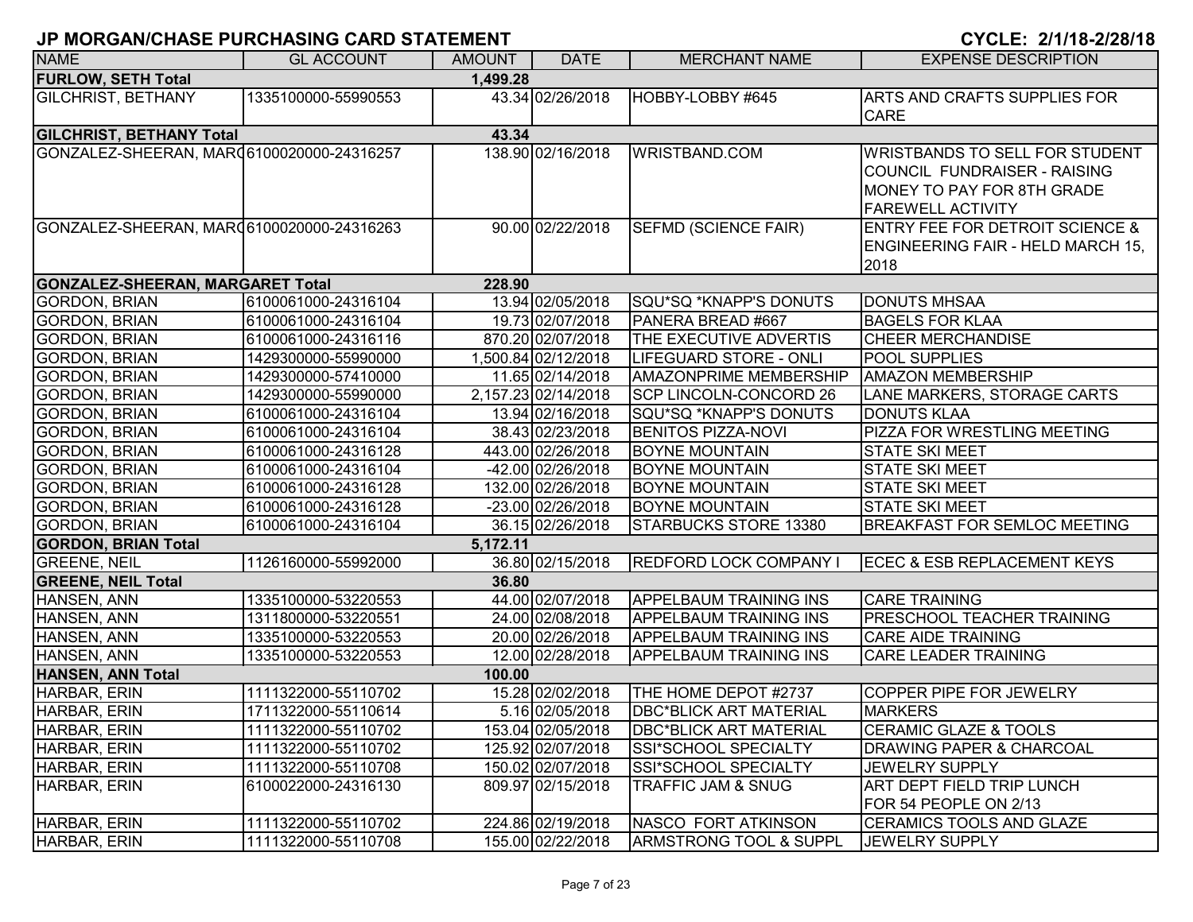| <b>NAME</b>                               | <b>GL ACCOUNT</b>   | <b>AMOUNT</b> | <b>DATE</b>         | <b>MERCHANT NAME</b>              | <b>EXPENSE DESCRIPTION</b>                                                                                                             |
|-------------------------------------------|---------------------|---------------|---------------------|-----------------------------------|----------------------------------------------------------------------------------------------------------------------------------------|
| <b>FURLOW, SETH Total</b>                 |                     | 1,499.28      |                     |                                   |                                                                                                                                        |
| <b>GILCHRIST, BETHANY</b>                 | 1335100000-55990553 |               | 43.34 02/26/2018    | HOBBY-LOBBY #645                  | ARTS AND CRAFTS SUPPLIES FOR<br><b>CARE</b>                                                                                            |
| <b>GILCHRIST, BETHANY Total</b>           |                     | 43.34         |                     |                                   |                                                                                                                                        |
| GONZALEZ-SHEERAN, MAR06100020000-24316257 |                     |               | 138.90 02/16/2018   | WRISTBAND.COM                     | <b>WRISTBANDS TO SELL FOR STUDENT</b><br><b>COUNCIL FUNDRAISER - RAISING</b><br>MONEY TO PAY FOR 8TH GRADE<br><b>FAREWELL ACTIVITY</b> |
| GONZALEZ-SHEERAN, MAR06100020000-24316263 |                     |               | 90.00 02/22/2018    | SEFMD (SCIENCE FAIR)              | <b>ENTRY FEE FOR DETROIT SCIENCE &amp;</b><br><b>ENGINEERING FAIR - HELD MARCH 15,</b><br>2018                                         |
| <b>GONZALEZ-SHEERAN, MARGARET Total</b>   |                     | 228.90        |                     |                                   |                                                                                                                                        |
| <b>GORDON, BRIAN</b>                      | 6100061000-24316104 |               | 13.94 02/05/2018    | SQU*SQ *KNAPP'S DONUTS            | <b>DONUTS MHSAA</b>                                                                                                                    |
| <b>GORDON, BRIAN</b>                      | 6100061000-24316104 |               | 19.73 02/07/2018    | PANERA BREAD #667                 | <b>BAGELS FOR KLAA</b>                                                                                                                 |
| <b>GORDON, BRIAN</b>                      | 6100061000-24316116 |               | 870.20 02/07/2018   | THE EXECUTIVE ADVERTIS            | <b>CHEER MERCHANDISE</b>                                                                                                               |
| <b>GORDON, BRIAN</b>                      | 1429300000-55990000 |               | 1,500.84 02/12/2018 | <b>LIFEGUARD STORE - ONLI</b>     | <b>POOL SUPPLIES</b>                                                                                                                   |
| <b>GORDON, BRIAN</b>                      | 1429300000-57410000 |               | 11.65 02/14/2018    | <b>AMAZONPRIME MEMBERSHIP</b>     | <b>AMAZON MEMBERSHIP</b>                                                                                                               |
| <b>GORDON, BRIAN</b>                      | 1429300000-55990000 |               | 2,157.23 02/14/2018 | SCP LINCOLN-CONCORD 26            | LANE MARKERS, STORAGE CARTS                                                                                                            |
| <b>GORDON, BRIAN</b>                      | 6100061000-24316104 |               | 13.94 02/16/2018    | SQU*SQ *KNAPP'S DONUTS            | <b>DONUTS KLAA</b>                                                                                                                     |
| <b>GORDON, BRIAN</b>                      | 6100061000-24316104 |               | 38.43 02/23/2018    | <b>BENITOS PIZZA-NOVI</b>         | PIZZA FOR WRESTLING MEETING                                                                                                            |
| <b>GORDON, BRIAN</b>                      | 6100061000-24316128 |               | 443.00 02/26/2018   | <b>BOYNE MOUNTAIN</b>             | <b>STATE SKI MEET</b>                                                                                                                  |
| GORDON, BRIAN                             | 6100061000-24316104 |               | -42.00 02/26/2018   | <b>BOYNE MOUNTAIN</b>             | <b>STATE SKI MEET</b>                                                                                                                  |
| <b>GORDON, BRIAN</b>                      | 6100061000-24316128 |               | 132.00 02/26/2018   | <b>BOYNE MOUNTAIN</b>             | <b>STATE SKI MEET</b>                                                                                                                  |
| GORDON, BRIAN                             | 6100061000-24316128 |               | -23.00 02/26/2018   | <b>BOYNE MOUNTAIN</b>             | <b>STATE SKI MEET</b>                                                                                                                  |
| <b>GORDON, BRIAN</b>                      | 6100061000-24316104 |               | 36.15 02/26/2018    | STARBUCKS STORE 13380             | <b>BREAKFAST FOR SEMLOC MEETING</b>                                                                                                    |
| <b>GORDON, BRIAN Total</b>                |                     | 5,172.11      |                     |                                   |                                                                                                                                        |
| <b>GREENE, NEIL</b>                       | 1126160000-55992000 |               | 36.80 02/15/2018    | <b>REDFORD LOCK COMPANY I</b>     | <b>ECEC &amp; ESB REPLACEMENT KEYS</b>                                                                                                 |
| <b>GREENE, NEIL Total</b>                 |                     | 36.80         |                     |                                   |                                                                                                                                        |
| HANSEN, ANN                               | 1335100000-53220553 |               | 44.00 02/07/2018    | <b>APPELBAUM TRAINING INS</b>     | <b>CARE TRAINING</b>                                                                                                                   |
| HANSEN, ANN                               | 1311800000-53220551 |               | 24.00 02/08/2018    | <b>APPELBAUM TRAINING INS</b>     | <b>PRESCHOOL TEACHER TRAINING</b>                                                                                                      |
| HANSEN, ANN                               | 1335100000-53220553 |               | 20.00 02/26/2018    | <b>APPELBAUM TRAINING INS</b>     | <b>CARE AIDE TRAINING</b>                                                                                                              |
| HANSEN, ANN                               | 1335100000-53220553 |               | 12.00 02/28/2018    | APPELBAUM TRAINING INS            | <b>CARE LEADER TRAINING</b>                                                                                                            |
| <b>HANSEN, ANN Total</b>                  |                     | 100.00        |                     |                                   |                                                                                                                                        |
| HARBAR, ERIN                              | 1111322000-55110702 |               | 15.28 02/02/2018    | THE HOME DEPOT #2737              | <b>COPPER PIPE FOR JEWELRY</b>                                                                                                         |
| HARBAR, ERIN                              | 1711322000-55110614 |               | 5.16 02/05/2018     | <b>DBC*BLICK ART MATERIAL</b>     | <b>MARKERS</b>                                                                                                                         |
| HARBAR, ERIN                              | 1111322000-55110702 |               | 153.04 02/05/2018   | <b>DBC*BLICK ART MATERIAL</b>     | <b>CERAMIC GLAZE &amp; TOOLS</b>                                                                                                       |
| HARBAR, ERIN                              | 1111322000-55110702 |               | 125.92 02/07/2018   | SSI*SCHOOL SPECIALTY              | <b>DRAWING PAPER &amp; CHARCOAL</b>                                                                                                    |
| HARBAR, ERIN                              | 1111322000-55110708 |               | 150.02 02/07/2018   | SSI*SCHOOL SPECIALTY              | JEWELRY SUPPLY                                                                                                                         |
| HARBAR, ERIN                              | 6100022000-24316130 |               | 809.97 02/15/2018   | TRAFFIC JAM & SNUG                | <b>ART DEPT FIELD TRIP LUNCH</b><br>FOR 54 PEOPLE ON 2/13                                                                              |
| HARBAR, ERIN                              | 1111322000-55110702 |               | 224.86 02/19/2018   | <b>NASCO FORT ATKINSON</b>        | CERAMICS TOOLS AND GLAZE                                                                                                               |
| HARBAR, ERIN                              | 1111322000-55110708 |               | 155.00 02/22/2018   | <b>ARMSTRONG TOOL &amp; SUPPL</b> | <b>JEWELRY SUPPLY</b>                                                                                                                  |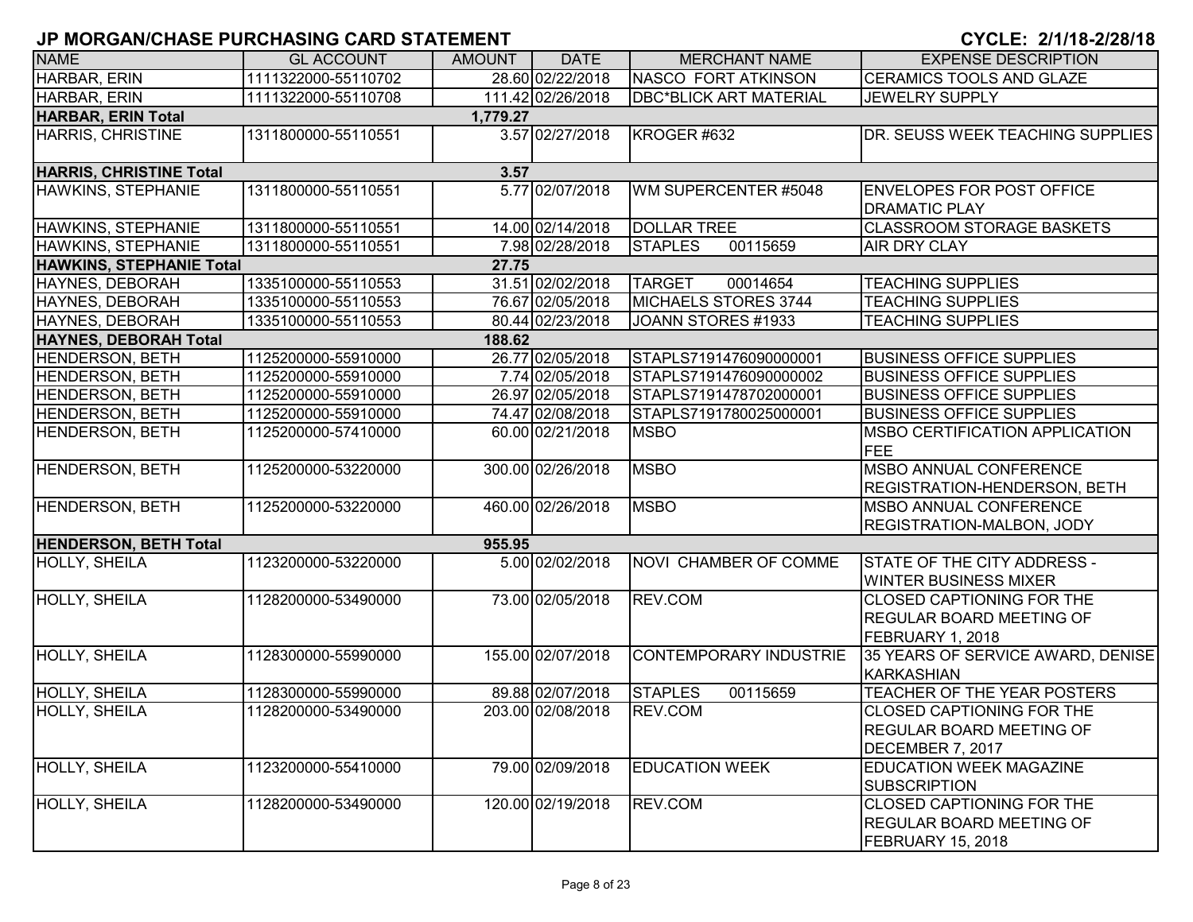| <b>NAME</b>                           | <b>GL ACCOUNT</b>   | <b>AMOUNT</b> | <b>DATE</b>       | <b>MERCHANT NAME</b>          | <b>EXPENSE DESCRIPTION</b>                                                               |  |  |  |
|---------------------------------------|---------------------|---------------|-------------------|-------------------------------|------------------------------------------------------------------------------------------|--|--|--|
| HARBAR, ERIN                          | 1111322000-55110702 |               | 28.60 02/22/2018  | <b>NASCO FORT ATKINSON</b>    | CERAMICS TOOLS AND GLAZE                                                                 |  |  |  |
| HARBAR, ERIN                          | 1111322000-55110708 |               | 111.42 02/26/2018 | <b>DBC*BLICK ART MATERIAL</b> | <b>JEWELRY SUPPLY</b>                                                                    |  |  |  |
| <b>HARBAR, ERIN Total</b><br>1,779.27 |                     |               |                   |                               |                                                                                          |  |  |  |
| <b>HARRIS, CHRISTINE</b>              | 1311800000-55110551 |               | 3.57 02/27/2018   | KROGER #632                   | DR. SEUSS WEEK TEACHING SUPPLIES                                                         |  |  |  |
| <b>HARRIS, CHRISTINE Total</b>        |                     | 3.57          |                   |                               |                                                                                          |  |  |  |
| <b>HAWKINS, STEPHANIE</b>             | 1311800000-55110551 |               | 5.77 02/07/2018   | WM SUPERCENTER #5048          | <b>ENVELOPES FOR POST OFFICE</b><br><b>DRAMATIC PLAY</b>                                 |  |  |  |
| HAWKINS, STEPHANIE                    | 1311800000-55110551 |               | 14.00 02/14/2018  | <b>DOLLAR TREE</b>            | <b>CLASSROOM STORAGE BASKETS</b>                                                         |  |  |  |
| <b>HAWKINS, STEPHANIE</b>             | 1311800000-55110551 |               | 7.98 02/28/2018   | 00115659<br><b>STAPLES</b>    | AIR DRY CLAY                                                                             |  |  |  |
| <b>HAWKINS, STEPHANIE Total</b>       |                     | 27.75         |                   |                               |                                                                                          |  |  |  |
| HAYNES, DEBORAH                       | 1335100000-55110553 |               | 31.51 02/02/2018  | <b>TARGET</b><br>00014654     | <b>TEACHING SUPPLIES</b>                                                                 |  |  |  |
| HAYNES, DEBORAH                       | 1335100000-55110553 |               | 76.67 02/05/2018  | MICHAELS STORES 3744          | <b>TEACHING SUPPLIES</b>                                                                 |  |  |  |
| HAYNES, DEBORAH                       | 1335100000-55110553 |               | 80.44 02/23/2018  | JOANN STORES #1933            | <b>TEACHING SUPPLIES</b>                                                                 |  |  |  |
| HAYNES, DEBORAH Total                 |                     | 188.62        |                   |                               |                                                                                          |  |  |  |
| <b>HENDERSON, BETH</b>                | 1125200000-55910000 |               | 26.77 02/05/2018  | STAPLS7191476090000001        | <b>BUSINESS OFFICE SUPPLIES</b>                                                          |  |  |  |
| <b>HENDERSON, BETH</b>                | 1125200000-55910000 |               | 7.74 02/05/2018   | STAPLS7191476090000002        | <b>BUSINESS OFFICE SUPPLIES</b>                                                          |  |  |  |
| <b>HENDERSON, BETH</b>                | 1125200000-55910000 |               | 26.97 02/05/2018  | STAPLS7191478702000001        | <b>BUSINESS OFFICE SUPPLIES</b>                                                          |  |  |  |
| <b>HENDERSON, BETH</b>                | 1125200000-55910000 |               | 74.47 02/08/2018  | STAPLS7191780025000001        | <b>BUSINESS OFFICE SUPPLIES</b>                                                          |  |  |  |
| <b>HENDERSON, BETH</b>                | 1125200000-57410000 |               | 60.00 02/21/2018  | <b>MSBO</b>                   | <b>MSBO CERTIFICATION APPLICATION</b><br><b>FEE</b>                                      |  |  |  |
| <b>HENDERSON, BETH</b>                | 1125200000-53220000 |               | 300.00 02/26/2018 | <b>MSBO</b>                   | <b>MSBO ANNUAL CONFERENCE</b><br><b>REGISTRATION-HENDERSON, BETH</b>                     |  |  |  |
| HENDERSON, BETH                       | 1125200000-53220000 |               | 460.00 02/26/2018 | <b>MSBO</b>                   | <b>MSBO ANNUAL CONFERENCE</b><br>REGISTRATION-MALBON, JODY                               |  |  |  |
| <b>HENDERSON, BETH Total</b>          |                     | 955.95        |                   |                               |                                                                                          |  |  |  |
| <b>HOLLY, SHEILA</b>                  | 1123200000-53220000 |               | 5.00 02/02/2018   | NOVI CHAMBER OF COMME         | STATE OF THE CITY ADDRESS -<br><b>WINTER BUSINESS MIXER</b>                              |  |  |  |
| HOLLY, SHEILA                         | 1128200000-53490000 |               | 73.00 02/05/2018  | REV.COM                       | <b>CLOSED CAPTIONING FOR THE</b><br><b>REGULAR BOARD MEETING OF</b><br>FEBRUARY 1, 2018  |  |  |  |
| HOLLY, SHEILA                         | 1128300000-55990000 |               | 155.00 02/07/2018 | <b>CONTEMPORARY INDUSTRIE</b> | 35 YEARS OF SERVICE AWARD, DENISE<br><b>KARKASHIAN</b>                                   |  |  |  |
| HOLLY, SHEILA                         | 1128300000-55990000 |               | 89.88 02/07/2018  | <b>STAPLES</b><br>00115659    | TEACHER OF THE YEAR POSTERS                                                              |  |  |  |
| HOLLY, SHEILA                         | 1128200000-53490000 |               | 203.00 02/08/2018 | REV.COM                       | <b>CLOSED CAPTIONING FOR THE</b><br><b>REGULAR BOARD MEETING OF</b><br>DECEMBER 7, 2017  |  |  |  |
| <b>HOLLY, SHEILA</b>                  | 1123200000-55410000 |               | 79.00 02/09/2018  | <b>EDUCATION WEEK</b>         | EDUCATION WEEK MAGAZINE<br><b>SUBSCRIPTION</b>                                           |  |  |  |
| HOLLY, SHEILA                         | 1128200000-53490000 |               | 120.00 02/19/2018 | REV.COM                       | <b>CLOSED CAPTIONING FOR THE</b><br><b>REGULAR BOARD MEETING OF</b><br>FEBRUARY 15, 2018 |  |  |  |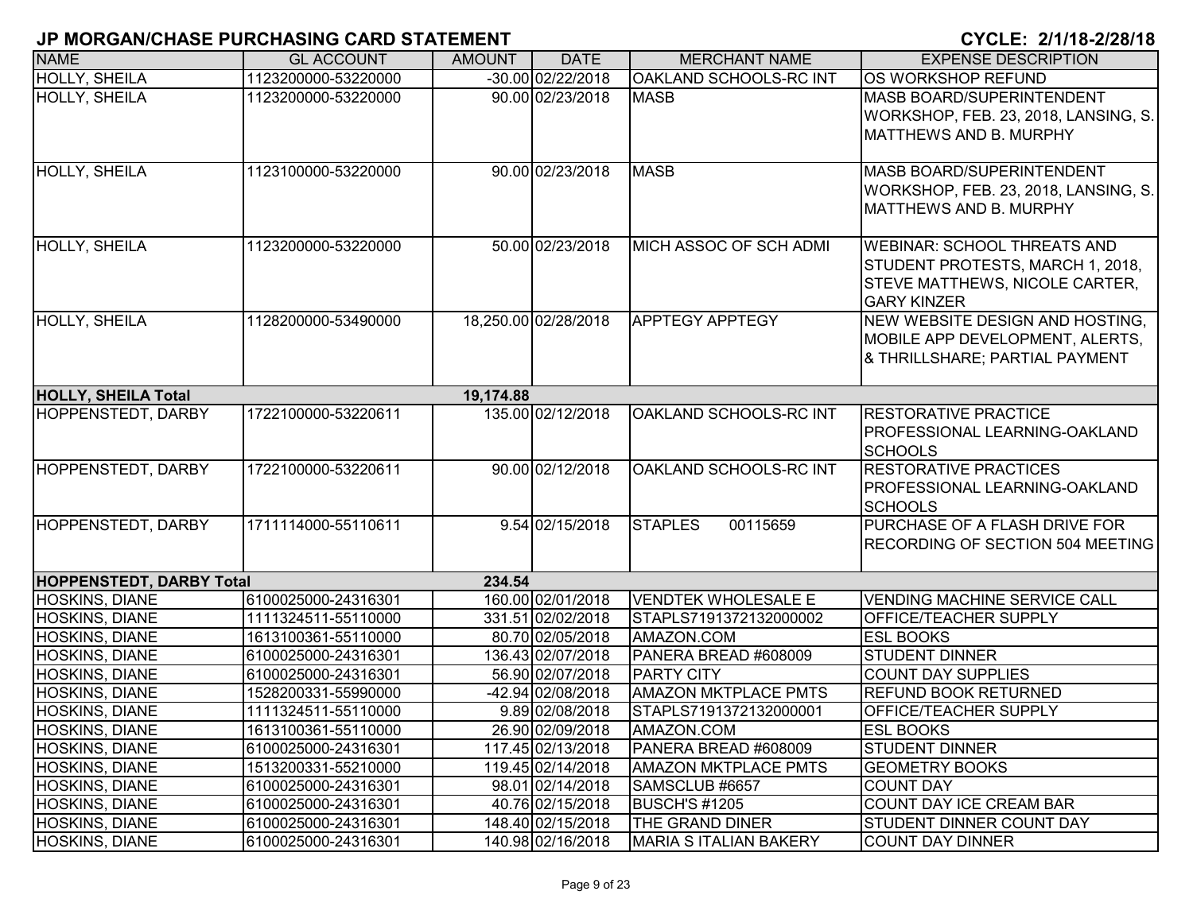| <b>NAME</b>                     | <b>GL ACCOUNT</b>   | <b>AMOUNT</b> | <b>DATE</b>          | <b>MERCHANT NAME</b>          | <b>EXPENSE DESCRIPTION</b>                                                                                                     |
|---------------------------------|---------------------|---------------|----------------------|-------------------------------|--------------------------------------------------------------------------------------------------------------------------------|
| <b>HOLLY, SHEILA</b>            | 1123200000-53220000 |               | -30.00 02/22/2018    | OAKLAND SCHOOLS-RC INT        | OS WORKSHOP REFUND                                                                                                             |
| <b>HOLLY, SHEILA</b>            | 1123200000-53220000 |               | 90.00 02/23/2018     | <b>MASB</b>                   | MASB BOARD/SUPERINTENDENT<br>WORKSHOP, FEB. 23, 2018, LANSING, S.<br><b>MATTHEWS AND B. MURPHY</b>                             |
| <b>HOLLY, SHEILA</b>            | 1123100000-53220000 |               | 90.00 02/23/2018     | <b>MASB</b>                   | MASB BOARD/SUPERINTENDENT<br>WORKSHOP, FEB. 23, 2018, LANSING, S.<br><b>MATTHEWS AND B. MURPHY</b>                             |
| <b>HOLLY, SHEILA</b>            | 1123200000-53220000 |               | 50.00 02/23/2018     | MICH ASSOC OF SCH ADMI        | <b>WEBINAR: SCHOOL THREATS AND</b><br>STUDENT PROTESTS, MARCH 1, 2018,<br>STEVE MATTHEWS, NICOLE CARTER,<br><b>GARY KINZER</b> |
| <b>HOLLY, SHEILA</b>            | 1128200000-53490000 |               | 18,250.00 02/28/2018 | <b>APPTEGY APPTEGY</b>        | NEW WEBSITE DESIGN AND HOSTING,<br>MOBILE APP DEVELOPMENT, ALERTS,<br>& THRILLSHARE; PARTIAL PAYMENT                           |
| <b>HOLLY, SHEILA Total</b>      |                     | 19,174.88     |                      |                               |                                                                                                                                |
| <b>HOPPENSTEDT, DARBY</b>       | 1722100000-53220611 |               | 135.00 02/12/2018    | OAKLAND SCHOOLS-RC INT        | <b>RESTORATIVE PRACTICE</b><br><b>PROFESSIONAL LEARNING-OAKLAND</b><br><b>SCHOOLS</b>                                          |
| HOPPENSTEDT, DARBY              | 1722100000-53220611 |               | 90.00 02/12/2018     | OAKLAND SCHOOLS-RC INT        | <b>RESTORATIVE PRACTICES</b><br>PROFESSIONAL LEARNING-OAKLAND<br><b>SCHOOLS</b>                                                |
| <b>HOPPENSTEDT, DARBY</b>       | 1711114000-55110611 |               | 9.54 02/15/2018      | <b>STAPLES</b><br>00115659    | PURCHASE OF A FLASH DRIVE FOR<br><b>RECORDING OF SECTION 504 MEETING</b>                                                       |
| <b>HOPPENSTEDT, DARBY Total</b> |                     | 234.54        |                      |                               |                                                                                                                                |
| <b>HOSKINS, DIANE</b>           | 6100025000-24316301 |               | 160.00 02/01/2018    | <b>VENDTEK WHOLESALE E</b>    | <b>VENDING MACHINE SERVICE CALL</b>                                                                                            |
| <b>HOSKINS, DIANE</b>           | 1111324511-55110000 |               | 331.51 02/02/2018    | STAPLS7191372132000002        | OFFICE/TEACHER SUPPLY                                                                                                          |
| HOSKINS, DIANE                  | 1613100361-55110000 |               | 80.70 02/05/2018     | AMAZON.COM                    | <b>ESL BOOKS</b>                                                                                                               |
| HOSKINS, DIANE                  | 6100025000-24316301 |               | 136.43 02/07/2018    | PANERA BREAD #608009          | <b>STUDENT DINNER</b>                                                                                                          |
| <b>HOSKINS, DIANE</b>           | 6100025000-24316301 |               | 56.90 02/07/2018     | <b>PARTY CITY</b>             | <b>COUNT DAY SUPPLIES</b>                                                                                                      |
| HOSKINS, DIANE                  | 1528200331-55990000 |               | -42.94 02/08/2018    | <b>AMAZON MKTPLACE PMTS</b>   | <b>REFUND BOOK RETURNED</b>                                                                                                    |
| HOSKINS, DIANE                  | 1111324511-55110000 |               | 9.89 02/08/2018      | STAPLS7191372132000001        | <b>OFFICE/TEACHER SUPPLY</b>                                                                                                   |
| <b>HOSKINS, DIANE</b>           | 1613100361-55110000 |               | 26.90 02/09/2018     | AMAZON.COM                    | <b>ESL BOOKS</b>                                                                                                               |
| <b>HOSKINS, DIANE</b>           | 6100025000-24316301 |               | 117.45 02/13/2018    | PANERA BREAD #608009          | <b>STUDENT DINNER</b>                                                                                                          |
| <b>HOSKINS, DIANE</b>           | 1513200331-55210000 |               | 119.45 02/14/2018    | <b>AMAZON MKTPLACE PMTS</b>   | <b>GEOMETRY BOOKS</b>                                                                                                          |
| <b>HOSKINS, DIANE</b>           | 6100025000-24316301 |               | 98.01 02/14/2018     | SAMSCLUB #6657                | <b>COUNT DAY</b>                                                                                                               |
| <b>HOSKINS, DIANE</b>           | 6100025000-24316301 |               | 40.76 02/15/2018     | <b>BUSCH'S #1205</b>          | COUNT DAY ICE CREAM BAR                                                                                                        |
| <b>HOSKINS, DIANE</b>           | 6100025000-24316301 |               | 148.40 02/15/2018    | THE GRAND DINER               | <b>STUDENT DINNER COUNT DAY</b>                                                                                                |
| <b>HOSKINS, DIANE</b>           | 6100025000-24316301 |               | 140.98 02/16/2018    | <b>MARIA S ITALIAN BAKERY</b> | <b>COUNT DAY DINNER</b>                                                                                                        |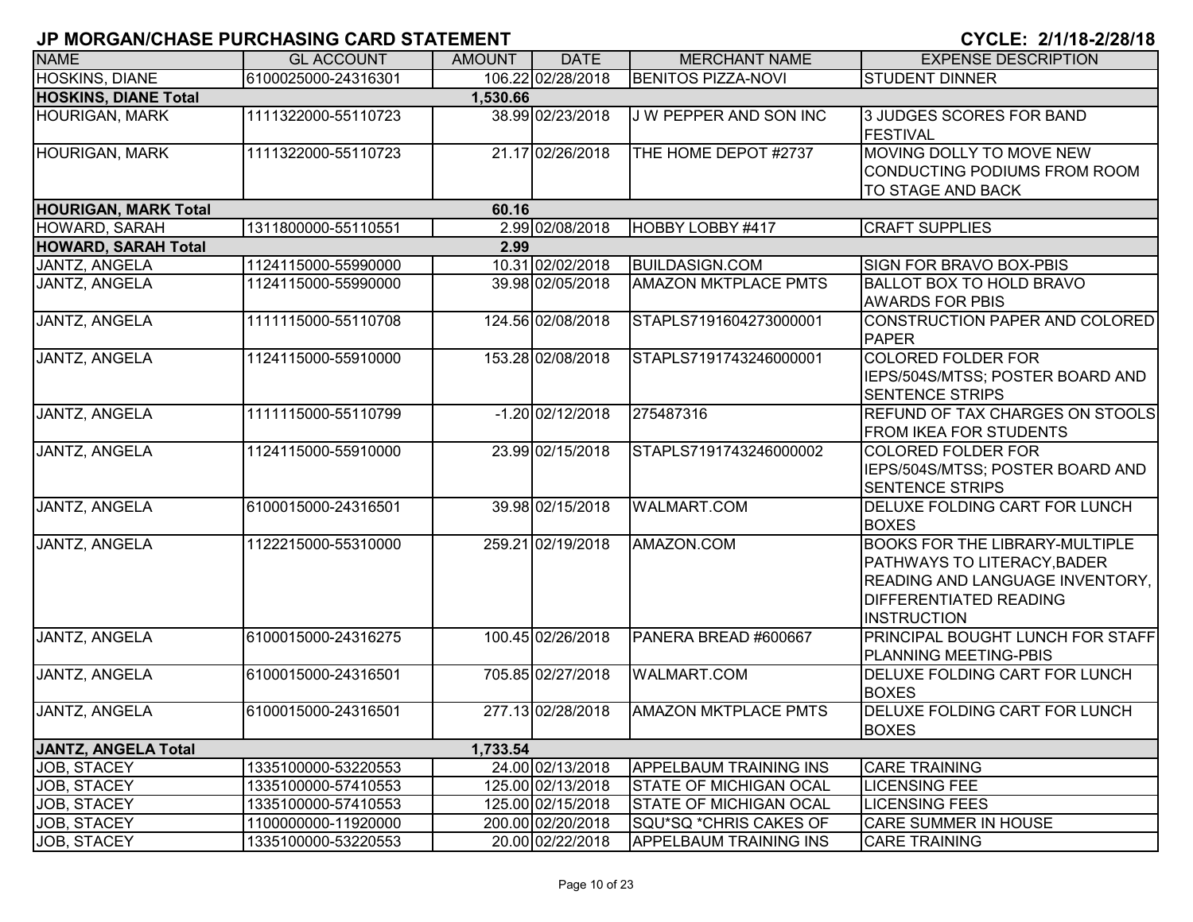| <b>NAME</b>                             | <b>GL ACCOUNT</b>   | <b>AMOUNT</b> | <b>DATE</b>        | <b>MERCHANT NAME</b>          | <b>EXPENSE DESCRIPTION</b>                                                                                                                                     |  |  |  |  |
|-----------------------------------------|---------------------|---------------|--------------------|-------------------------------|----------------------------------------------------------------------------------------------------------------------------------------------------------------|--|--|--|--|
| <b>HOSKINS, DIANE</b>                   | 6100025000-24316301 |               | 106.22 02/28/2018  | <b>BENITOS PIZZA-NOVI</b>     | <b>STUDENT DINNER</b>                                                                                                                                          |  |  |  |  |
| <b>HOSKINS, DIANE Total</b><br>1,530.66 |                     |               |                    |                               |                                                                                                                                                                |  |  |  |  |
| <b>HOURIGAN, MARK</b>                   | 1111322000-55110723 |               | 38.99 02/23/2018   | J W PEPPER AND SON INC        | 3 JUDGES SCORES FOR BAND<br><b>FESTIVAL</b>                                                                                                                    |  |  |  |  |
| <b>HOURIGAN, MARK</b>                   | 1111322000-55110723 |               | 21.17 02/26/2018   | THE HOME DEPOT #2737          | MOVING DOLLY TO MOVE NEW<br>CONDUCTING PODIUMS FROM ROOM<br>TO STAGE AND BACK                                                                                  |  |  |  |  |
| <b>HOURIGAN, MARK Total</b>             |                     | 60.16         |                    |                               |                                                                                                                                                                |  |  |  |  |
| <b>HOWARD, SARAH</b>                    | 1311800000-55110551 |               | 2.99 02/08/2018    | HOBBY LOBBY #417              | <b>CRAFT SUPPLIES</b>                                                                                                                                          |  |  |  |  |
| <b>HOWARD, SARAH Total</b>              |                     | 2.99          |                    |                               |                                                                                                                                                                |  |  |  |  |
| JANTZ, ANGELA                           | 1124115000-55990000 |               | 10.31 02/02/2018   | <b>BUILDASIGN.COM</b>         | SIGN FOR BRAVO BOX-PBIS                                                                                                                                        |  |  |  |  |
| JANTZ, ANGELA                           | 1124115000-55990000 |               | 39.98 02/05/2018   | <b>AMAZON MKTPLACE PMTS</b>   | <b>BALLOT BOX TO HOLD BRAVO</b><br><b>AWARDS FOR PBIS</b>                                                                                                      |  |  |  |  |
| JANTZ, ANGELA                           | 1111115000-55110708 |               | 124.56 02/08/2018  | STAPLS7191604273000001        | CONSTRUCTION PAPER AND COLORED<br><b>PAPER</b>                                                                                                                 |  |  |  |  |
| JANTZ, ANGELA                           | 1124115000-55910000 |               | 153.28 02/08/2018  | STAPLS7191743246000001        | <b>COLORED FOLDER FOR</b><br>IEPS/504S/MTSS; POSTER BOARD AND<br><b>SENTENCE STRIPS</b>                                                                        |  |  |  |  |
| <b>JANTZ, ANGELA</b>                    | 1111115000-55110799 |               | $-1.20$ 02/12/2018 | 275487316                     | <b>REFUND OF TAX CHARGES ON STOOLS</b><br><b>FROM IKEA FOR STUDENTS</b>                                                                                        |  |  |  |  |
| JANTZ, ANGELA                           | 1124115000-55910000 |               | 23.99 02/15/2018   | STAPLS7191743246000002        | <b>COLORED FOLDER FOR</b><br>IEPS/504S/MTSS; POSTER BOARD AND<br><b>SENTENCE STRIPS</b>                                                                        |  |  |  |  |
| <b>JANTZ, ANGELA</b>                    | 6100015000-24316501 |               | 39.98 02/15/2018   | <b>WALMART.COM</b>            | <b>DELUXE FOLDING CART FOR LUNCH</b><br><b>BOXES</b>                                                                                                           |  |  |  |  |
| JANTZ, ANGELA                           | 1122215000-55310000 |               | 259.21 02/19/2018  | AMAZON.COM                    | <b>BOOKS FOR THE LIBRARY-MULTIPLE</b><br>PATHWAYS TO LITERACY, BADER<br>READING AND LANGUAGE INVENTORY,<br><b>DIFFERENTIATED READING</b><br><b>INSTRUCTION</b> |  |  |  |  |
| JANTZ, ANGELA                           | 6100015000-24316275 |               | 100.45 02/26/2018  | PANERA BREAD #600667          | PRINCIPAL BOUGHT LUNCH FOR STAFF<br>PLANNING MEETING-PBIS                                                                                                      |  |  |  |  |
| JANTZ, ANGELA                           | 6100015000-24316501 |               | 705.85 02/27/2018  | <b>WALMART.COM</b>            | DELUXE FOLDING CART FOR LUNCH<br><b>BOXES</b>                                                                                                                  |  |  |  |  |
| JANTZ, ANGELA                           | 6100015000-24316501 |               | 277.13 02/28/2018  | <b>AMAZON MKTPLACE PMTS</b>   | <b>DELUXE FOLDING CART FOR LUNCH</b><br><b>BOXES</b>                                                                                                           |  |  |  |  |
| JANTZ, ANGELA Total                     |                     | 1,733.54      |                    |                               |                                                                                                                                                                |  |  |  |  |
| JOB, STACEY                             | 1335100000-53220553 |               | 24.00 02/13/2018   | <b>APPELBAUM TRAINING INS</b> | <b>CARE TRAINING</b>                                                                                                                                           |  |  |  |  |
| JOB, STACEY                             | 1335100000-57410553 |               | 125.00 02/13/2018  | <b>STATE OF MICHIGAN OCAL</b> | <b>LICENSING FEE</b>                                                                                                                                           |  |  |  |  |
| JOB, STACEY                             | 1335100000-57410553 |               | 125.00 02/15/2018  | <b>STATE OF MICHIGAN OCAL</b> | <b>LICENSING FEES</b>                                                                                                                                          |  |  |  |  |
| JOB, STACEY                             | 1100000000-11920000 |               | 200.00 02/20/2018  | SQU*SQ *CHRIS CAKES OF        | CARE SUMMER IN HOUSE                                                                                                                                           |  |  |  |  |
| JOB, STACEY                             | 1335100000-53220553 |               | 20.00 02/22/2018   | <b>APPELBAUM TRAINING INS</b> | <b>CARE TRAINING</b>                                                                                                                                           |  |  |  |  |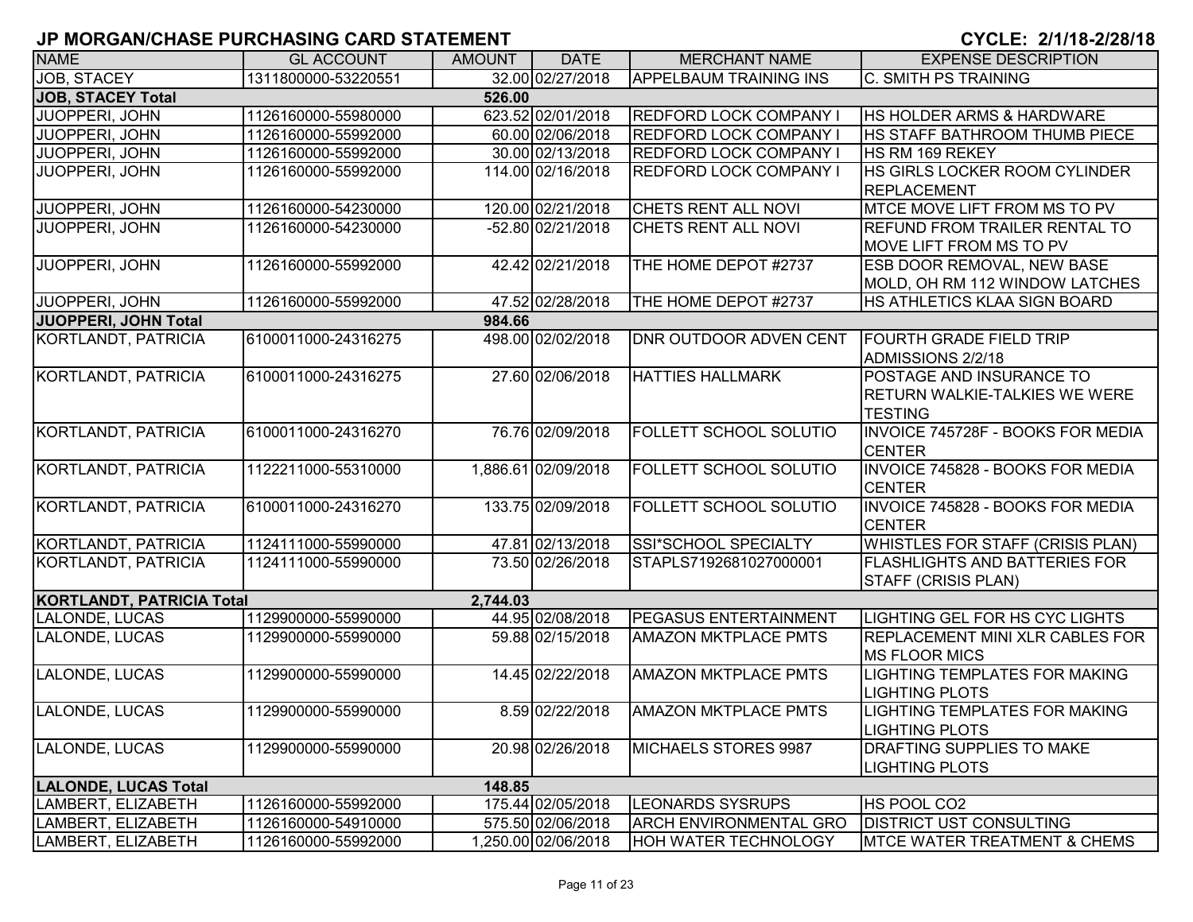| <b>NAME</b>                      | <b>GL ACCOUNT</b>   | <b>AMOUNT</b> | <b>DATE</b>         | <b>MERCHANT NAME</b>          | <b>EXPENSE DESCRIPTION</b>               |  |  |  |  |  |  |
|----------------------------------|---------------------|---------------|---------------------|-------------------------------|------------------------------------------|--|--|--|--|--|--|
| <b>JOB. STACEY</b>               | 1311800000-53220551 |               | 32.00 02/27/2018    | <b>APPELBAUM TRAINING INS</b> | <b>C. SMITH PS TRAINING</b>              |  |  |  |  |  |  |
| <b>JOB, STACEY Total</b>         | 526.00              |               |                     |                               |                                          |  |  |  |  |  |  |
| JUOPPERI, JOHN                   | 1126160000-55980000 |               | 623.52 02/01/2018   | <b>REDFORD LOCK COMPANY I</b> | <b>HS HOLDER ARMS &amp; HARDWARE</b>     |  |  |  |  |  |  |
| JUOPPERI, JOHN                   | 1126160000-55992000 |               | 60.00 02/06/2018    | REDFORD LOCK COMPANY I        | IHS STAFF BATHROOM THUMB PIECE           |  |  |  |  |  |  |
| JUOPPERI, JOHN                   | 1126160000-55992000 |               | 30.00 02/13/2018    | <b>REDFORD LOCK COMPANY I</b> | <b>HS RM 169 REKEY</b>                   |  |  |  |  |  |  |
| JUOPPERI, JOHN                   | 1126160000-55992000 |               | 114.00 02/16/2018   | <b>REDFORD LOCK COMPANY I</b> | HS GIRLS LOCKER ROOM CYLINDER            |  |  |  |  |  |  |
|                                  |                     |               |                     |                               | <b>REPLACEMENT</b>                       |  |  |  |  |  |  |
| <b>JUOPPERI, JOHN</b>            | 1126160000-54230000 |               | 120.00 02/21/2018   | CHETS RENT ALL NOVI           | MTCE MOVE LIFT FROM MS TO PV             |  |  |  |  |  |  |
| JUOPPERI, JOHN                   | 1126160000-54230000 |               | -52.80 02/21/2018   | CHETS RENT ALL NOVI           | <b>REFUND FROM TRAILER RENTAL TO</b>     |  |  |  |  |  |  |
|                                  |                     |               |                     |                               | <b>MOVE LIFT FROM MS TO PV</b>           |  |  |  |  |  |  |
| JUOPPERI, JOHN                   | 1126160000-55992000 |               | 42.42 02/21/2018    | THE HOME DEPOT #2737          | <b>ESB DOOR REMOVAL, NEW BASE</b>        |  |  |  |  |  |  |
|                                  |                     |               |                     |                               | MOLD, OH RM 112 WINDOW LATCHES           |  |  |  |  |  |  |
| JUOPPERI, JOHN                   | 1126160000-55992000 |               | 47.52 02/28/2018    | THE HOME DEPOT #2737          | HS ATHLETICS KLAA SIGN BOARD             |  |  |  |  |  |  |
| <b>JUOPPERI, JOHN Total</b>      |                     | 984.66        |                     |                               |                                          |  |  |  |  |  |  |
| KORTLANDT, PATRICIA              | 6100011000-24316275 |               | 498.00 02/02/2018   | <b>DNR OUTDOOR ADVEN CENT</b> | <b>FOURTH GRADE FIELD TRIP</b>           |  |  |  |  |  |  |
|                                  |                     |               |                     |                               | ADMISSIONS 2/2/18                        |  |  |  |  |  |  |
| KORTLANDT, PATRICIA              | 6100011000-24316275 |               | 27.60 02/06/2018    | <b>HATTIES HALLMARK</b>       | POSTAGE AND INSURANCE TO                 |  |  |  |  |  |  |
|                                  |                     |               |                     |                               | <b>RETURN WALKIE-TALKIES WE WERE</b>     |  |  |  |  |  |  |
|                                  |                     |               |                     |                               | <b>TESTING</b>                           |  |  |  |  |  |  |
| <b>KORTLANDT, PATRICIA</b>       | 6100011000-24316270 |               | 76.76 02/09/2018    | <b>FOLLETT SCHOOL SOLUTIO</b> | <b>INVOICE 745728F - BOOKS FOR MEDIA</b> |  |  |  |  |  |  |
|                                  |                     |               |                     |                               | <b>CENTER</b>                            |  |  |  |  |  |  |
| KORTLANDT, PATRICIA              | 1122211000-55310000 |               | 1,886.61 02/09/2018 | FOLLETT SCHOOL SOLUTIO        | <b>INVOICE 745828 - BOOKS FOR MEDIA</b>  |  |  |  |  |  |  |
|                                  |                     |               |                     |                               | <b>CENTER</b>                            |  |  |  |  |  |  |
| KORTLANDT, PATRICIA              | 6100011000-24316270 |               | 133.75 02/09/2018   | <b>FOLLETT SCHOOL SOLUTIO</b> | INVOICE 745828 - BOOKS FOR MEDIA         |  |  |  |  |  |  |
|                                  |                     |               |                     |                               | <b>CENTER</b>                            |  |  |  |  |  |  |
| KORTLANDT, PATRICIA              | 1124111000-55990000 |               | 47.81 02/13/2018    | SSI*SCHOOL SPECIALTY          | <b>WHISTLES FOR STAFF (CRISIS PLAN)</b>  |  |  |  |  |  |  |
| KORTLANDT, PATRICIA              | 1124111000-55990000 |               | 73.50 02/26/2018    | STAPLS7192681027000001        | <b>FLASHLIGHTS AND BATTERIES FOR</b>     |  |  |  |  |  |  |
|                                  |                     |               |                     |                               | <b>STAFF (CRISIS PLAN)</b>               |  |  |  |  |  |  |
| <b>KORTLANDT, PATRICIA Total</b> |                     | 2,744.03      |                     |                               |                                          |  |  |  |  |  |  |
| LALONDE, LUCAS                   | 1129900000-55990000 |               | 44.95 02/08/2018    | <b>PEGASUS ENTERTAINMENT</b>  | LIGHTING GEL FOR HS CYC LIGHTS           |  |  |  |  |  |  |
| LALONDE, LUCAS                   | 1129900000-55990000 |               | 59.88 02/15/2018    | <b>AMAZON MKTPLACE PMTS</b>   | <b>REPLACEMENT MINI XLR CABLES FOR</b>   |  |  |  |  |  |  |
|                                  |                     |               |                     |                               | <b>MS FLOOR MICS</b>                     |  |  |  |  |  |  |
| LALONDE, LUCAS                   | 1129900000-55990000 |               | 14.45 02/22/2018    | <b>AMAZON MKTPLACE PMTS</b>   | LIGHTING TEMPLATES FOR MAKING            |  |  |  |  |  |  |
|                                  |                     |               |                     |                               | <b>LIGHTING PLOTS</b>                    |  |  |  |  |  |  |
| LALONDE, LUCAS                   | 1129900000-55990000 |               | 8.59 02/22/2018     | <b>AMAZON MKTPLACE PMTS</b>   | <b>LIGHTING TEMPLATES FOR MAKING</b>     |  |  |  |  |  |  |
|                                  |                     |               |                     |                               | <b>LIGHTING PLOTS</b>                    |  |  |  |  |  |  |
| LALONDE, LUCAS                   | 1129900000-55990000 |               | 20.98 02/26/2018    | MICHAELS STORES 9987          | <b>DRAFTING SUPPLIES TO MAKE</b>         |  |  |  |  |  |  |
|                                  |                     |               |                     |                               | <b>LIGHTING PLOTS</b>                    |  |  |  |  |  |  |
| <b>LALONDE, LUCAS Total</b>      |                     | 148.85        |                     |                               |                                          |  |  |  |  |  |  |
| LAMBERT, ELIZABETH               | 1126160000-55992000 |               | 175.44 02/05/2018   | <b>LEONARDS SYSRUPS</b>       | HS POOL CO2                              |  |  |  |  |  |  |
| LAMBERT, ELIZABETH               | 1126160000-54910000 |               | 575.50 02/06/2018   | <b>ARCH ENVIRONMENTAL GRO</b> | <b>DISTRICT UST CONSULTING</b>           |  |  |  |  |  |  |
| LAMBERT, ELIZABETH               | 1126160000-55992000 |               | 1,250.00 02/06/2018 | <b>HOH WATER TECHNOLOGY</b>   | <b>MTCE WATER TREATMENT &amp; CHEMS</b>  |  |  |  |  |  |  |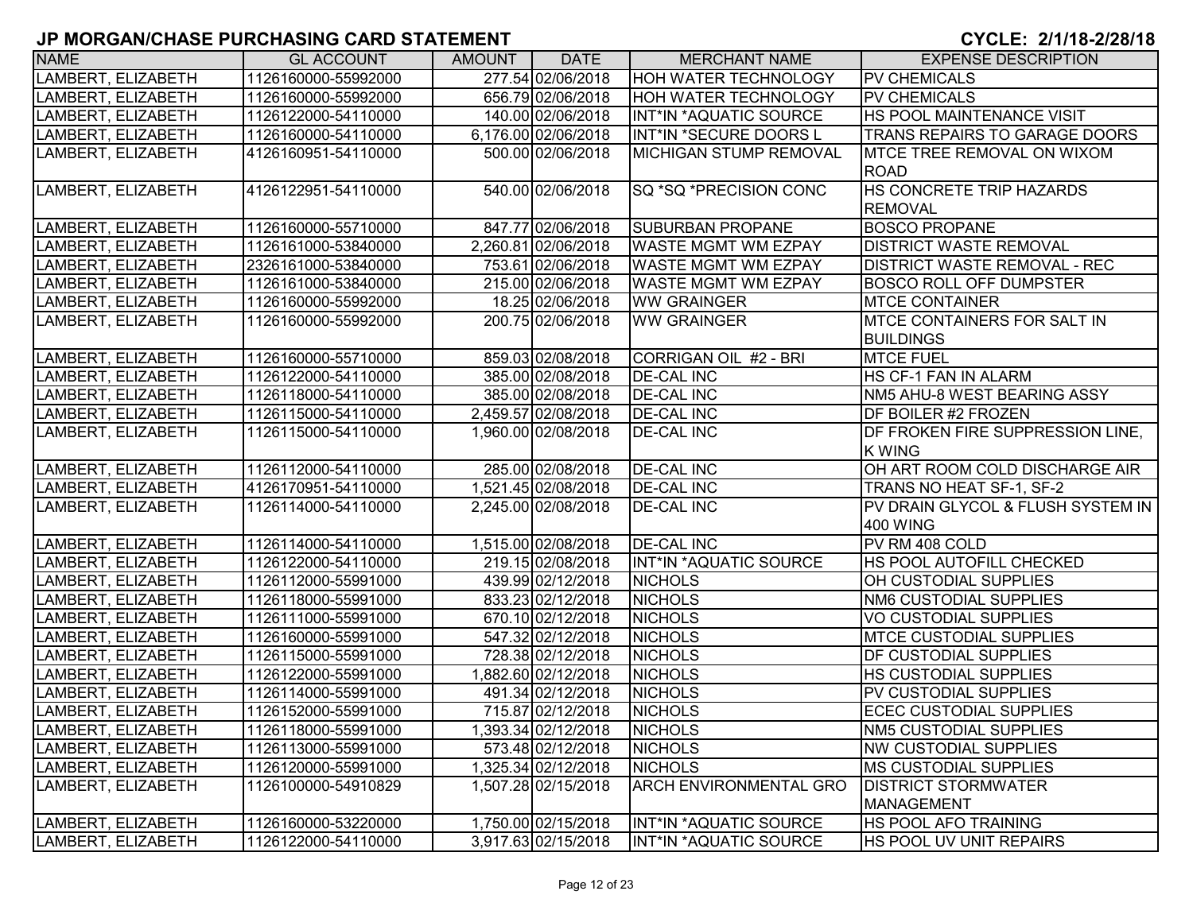| <b>NAME</b>        | <b>GL ACCOUNT</b>   | AMOUNT | <b>DATE</b>         | <b>MERCHANT NAME</b>          | <b>EXPENSE DESCRIPTION</b>           |
|--------------------|---------------------|--------|---------------------|-------------------------------|--------------------------------------|
| LAMBERT, ELIZABETH | 1126160000-55992000 |        | 277.54 02/06/2018   | <b>HOH WATER TECHNOLOGY</b>   | <b>PV CHEMICALS</b>                  |
| LAMBERT, ELIZABETH | 1126160000-55992000 |        | 656.79 02/06/2018   | <b>HOH WATER TECHNOLOGY</b>   | <b>PV CHEMICALS</b>                  |
| LAMBERT, ELIZABETH | 1126122000-54110000 |        | 140.00 02/06/2018   | INT*IN *AQUATIC SOURCE        | HS POOL MAINTENANCE VISIT            |
| LAMBERT, ELIZABETH | 1126160000-54110000 |        | 6,176.00 02/06/2018 | INT*IN *SECURE DOORS L        | <b>TRANS REPAIRS TO GARAGE DOORS</b> |
| LAMBERT, ELIZABETH | 4126160951-54110000 |        | 500.00 02/06/2018   | MICHIGAN STUMP REMOVAL        | MTCE TREE REMOVAL ON WIXOM           |
|                    |                     |        |                     |                               | <b>ROAD</b>                          |
| LAMBERT, ELIZABETH | 4126122951-54110000 |        | 540.00 02/06/2018   | SQ *SQ *PRECISION CONC        | <b>HS CONCRETE TRIP HAZARDS</b>      |
|                    |                     |        |                     |                               | <b>REMOVAL</b>                       |
| LAMBERT, ELIZABETH | 1126160000-55710000 |        | 847.77 02/06/2018   | <b>SUBURBAN PROPANE</b>       | <b>BOSCO PROPANE</b>                 |
| LAMBERT, ELIZABETH | 1126161000-53840000 |        | 2,260.81 02/06/2018 | <b>WASTE MGMT WM EZPAY</b>    | <b>DISTRICT WASTE REMOVAL</b>        |
| LAMBERT, ELIZABETH | 2326161000-53840000 |        | 753.61 02/06/2018   | WASTE MGMT WM EZPAY           | <b>DISTRICT WASTE REMOVAL - REC</b>  |
| LAMBERT, ELIZABETH | 1126161000-53840000 |        | 215.00 02/06/2018   | <b>WASTE MGMT WM EZPAY</b>    | <b>BOSCO ROLL OFF DUMPSTER</b>       |
| LAMBERT, ELIZABETH | 1126160000-55992000 |        | 18.25 02/06/2018    | <b>WW GRAINGER</b>            | <b>MTCE CONTAINER</b>                |
| LAMBERT, ELIZABETH | 1126160000-55992000 |        | 200.75 02/06/2018   | <b>WW GRAINGER</b>            | <b>IMTCE CONTAINERS FOR SALT IN</b>  |
|                    |                     |        |                     |                               | <b>BUILDINGS</b>                     |
| LAMBERT, ELIZABETH | 1126160000-55710000 |        | 859.03 02/08/2018   | CORRIGAN OIL #2 - BRI         | <b>MTCE FUEL</b>                     |
| LAMBERT, ELIZABETH | 1126122000-54110000 |        | 385.00 02/08/2018   | <b>DE-CAL INC</b>             | HS CF-1 FAN IN ALARM                 |
| LAMBERT, ELIZABETH | 1126118000-54110000 |        | 385.00 02/08/2018   | <b>DE-CAL INC</b>             | NM5 AHU-8 WEST BEARING ASSY          |
| LAMBERT, ELIZABETH | 1126115000-54110000 |        | 2,459.57 02/08/2018 | <b>DE-CAL INC</b>             | DF BOILER #2 FROZEN                  |
| LAMBERT, ELIZABETH | 1126115000-54110000 |        | 1,960.00 02/08/2018 | <b>DE-CAL INC</b>             | DF FROKEN FIRE SUPPRESSION LINE,     |
|                    |                     |        |                     |                               | <b>KWING</b>                         |
| LAMBERT, ELIZABETH | 1126112000-54110000 |        | 285.00 02/08/2018   | <b>DE-CAL INC</b>             | OH ART ROOM COLD DISCHARGE AIR       |
| LAMBERT, ELIZABETH | 4126170951-54110000 |        | 1,521.45 02/08/2018 | <b>DE-CAL INC</b>             | TRANS NO HEAT SF-1, SF-2             |
| LAMBERT, ELIZABETH | 1126114000-54110000 |        | 2,245.00 02/08/2018 | <b>DE-CAL INC</b>             | PV DRAIN GLYCOL & FLUSH SYSTEM IN    |
|                    |                     |        |                     |                               | 400 WING                             |
| LAMBERT, ELIZABETH | 1126114000-54110000 |        | 1,515.00 02/08/2018 | <b>DE-CAL INC</b>             | PV RM 408 COLD                       |
| LAMBERT, ELIZABETH | 1126122000-54110000 |        | 219.15 02/08/2018   | INT*IN *AQUATIC SOURCE        | HS POOL AUTOFILL CHECKED             |
| LAMBERT, ELIZABETH | 1126112000-55991000 |        | 439.99 02/12/2018   | <b>NICHOLS</b>                | OH CUSTODIAL SUPPLIES                |
| LAMBERT, ELIZABETH | 1126118000-55991000 |        | 833.23 02/12/2018   | <b>NICHOLS</b>                | <b>NM6 CUSTODIAL SUPPLIES</b>        |
| LAMBERT, ELIZABETH | 1126111000-55991000 |        | 670.10 02/12/2018   | <b>NICHOLS</b>                | <b>VO CUSTODIAL SUPPLIES</b>         |
| LAMBERT, ELIZABETH | 1126160000-55991000 |        | 547.32 02/12/2018   | <b>NICHOLS</b>                | <b>IMTCE CUSTODIAL SUPPLIES</b>      |
| LAMBERT, ELIZABETH | 1126115000-55991000 |        | 728.38 02/12/2018   | <b>NICHOLS</b>                | <b>DF CUSTODIAL SUPPLIES</b>         |
| LAMBERT, ELIZABETH | 1126122000-55991000 |        | 1,882.60 02/12/2018 | <b>NICHOLS</b>                | <b>HS CUSTODIAL SUPPLIES</b>         |
| LAMBERT, ELIZABETH | 1126114000-55991000 |        | 491.34 02/12/2018   | <b>NICHOLS</b>                | PV CUSTODIAL SUPPLIES                |
| LAMBERT, ELIZABETH | 1126152000-55991000 |        | 715.87 02/12/2018   | <b>NICHOLS</b>                | <b>ECEC CUSTODIAL SUPPLIES</b>       |
| LAMBERT, ELIZABETH | 1126118000-55991000 |        | 1,393.34 02/12/2018 | <b>NICHOLS</b>                | NM5 CUSTODIAL SUPPLIES               |
| LAMBERT, ELIZABETH | 1126113000-55991000 |        | 573.48 02/12/2018   | <b>NICHOLS</b>                | <b>NW CUSTODIAL SUPPLIES</b>         |
| LAMBERT, ELIZABETH | 1126120000-55991000 |        | 1,325.34 02/12/2018 | <b>NICHOLS</b>                | <b>IMS CUSTODIAL SUPPLIES</b>        |
| LAMBERT, ELIZABETH | 1126100000-54910829 |        | 1,507.28 02/15/2018 | <b>ARCH ENVIRONMENTAL GRO</b> | <b>DISTRICT STORMWATER</b>           |
|                    |                     |        |                     |                               | MANAGEMENT                           |
| LAMBERT, ELIZABETH | 1126160000-53220000 |        | 1,750.00 02/15/2018 | INT*IN *AQUATIC SOURCE        | <b>HS POOL AFO TRAINING</b>          |
| LAMBERT, ELIZABETH | 1126122000-54110000 |        | 3,917.63 02/15/2018 | INT*IN *AQUATIC SOURCE        | HS POOL UV UNIT REPAIRS              |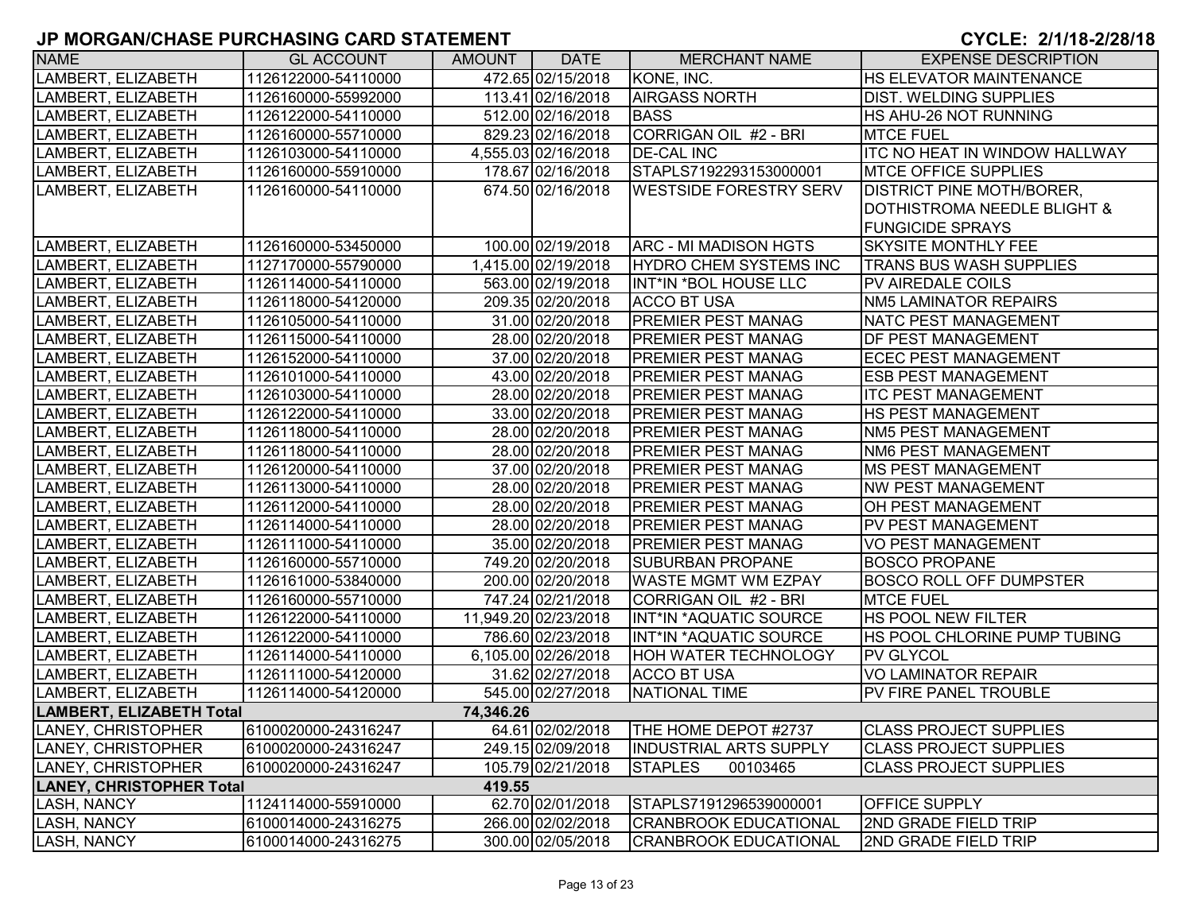| <b>NAME</b>                     | <b>GL ACCOUNT</b>   | <b>AMOUNT</b> | <b>DATE</b>          | <b>MERCHANT NAME</b>          | <b>EXPENSE DESCRIPTION</b>           |
|---------------------------------|---------------------|---------------|----------------------|-------------------------------|--------------------------------------|
| LAMBERT, ELIZABETH              | 1126122000-54110000 |               | 472.65 02/15/2018    | KONE, INC.                    | <b>HS ELEVATOR MAINTENANCE</b>       |
| LAMBERT, ELIZABETH              | 1126160000-55992000 |               | 113.41 02/16/2018    | <b>AIRGASS NORTH</b>          | <b>DIST. WELDING SUPPLIES</b>        |
| LAMBERT, ELIZABETH              | 1126122000-54110000 |               | 512.00 02/16/2018    | <b>BASS</b>                   | HS AHU-26 NOT RUNNING                |
| LAMBERT, ELIZABETH              | 1126160000-55710000 |               | 829.23 02/16/2018    | CORRIGAN OIL #2 - BRI         | <b>MTCE FUEL</b>                     |
| LAMBERT, ELIZABETH              | 1126103000-54110000 |               | 4,555.03 02/16/2018  | <b>DE-CAL INC</b>             | <b>ITC NO HEAT IN WINDOW HALLWAY</b> |
| LAMBERT, ELIZABETH              | 1126160000-55910000 |               | 178.67 02/16/2018    | STAPLS7192293153000001        | <b>MTCE OFFICE SUPPLIES</b>          |
| LAMBERT, ELIZABETH              | 1126160000-54110000 |               | 674.50 02/16/2018    | <b>WESTSIDE FORESTRY SERV</b> | <b>DISTRICT PINE MOTH/BORER,</b>     |
|                                 |                     |               |                      |                               | DOTHISTROMA NEEDLE BLIGHT &          |
|                                 |                     |               |                      |                               | <b>FUNGICIDE SPRAYS</b>              |
| LAMBERT, ELIZABETH              | 1126160000-53450000 |               | 100.00 02/19/2018    | ARC - MI MADISON HGTS         | <b>SKYSITE MONTHLY FEE</b>           |
| LAMBERT, ELIZABETH              | 1127170000-55790000 |               | 1,415.00 02/19/2018  | <b>HYDRO CHEM SYSTEMS INC</b> | <b>TRANS BUS WASH SUPPLIES</b>       |
| LAMBERT, ELIZABETH              | 1126114000-54110000 |               | 563.00 02/19/2018    | INT*IN *BOL HOUSE LLC         | PV AIREDALE COILS                    |
| LAMBERT, ELIZABETH              | 1126118000-54120000 |               | 209.35 02/20/2018    | <b>ACCO BT USA</b>            | <b>NM5 LAMINATOR REPAIRS</b>         |
| LAMBERT, ELIZABETH              | 1126105000-54110000 |               | 31.00 02/20/2018     | <b>PREMIER PEST MANAG</b>     | NATC PEST MANAGEMENT                 |
| LAMBERT, ELIZABETH              | 1126115000-54110000 |               | 28.00 02/20/2018     | <b>PREMIER PEST MANAG</b>     | <b>DF PEST MANAGEMENT</b>            |
| LAMBERT, ELIZABETH              | 1126152000-54110000 |               | 37.00 02/20/2018     | PREMIER PEST MANAG            | <b>ECEC PEST MANAGEMENT</b>          |
| LAMBERT, ELIZABETH              | 1126101000-54110000 |               | 43.00 02/20/2018     | <b>PREMIER PEST MANAG</b>     | <b>ESB PEST MANAGEMENT</b>           |
| LAMBERT, ELIZABETH              | 1126103000-54110000 |               | 28.00 02/20/2018     | <b>PREMIER PEST MANAG</b>     | <b>ITC PEST MANAGEMENT</b>           |
| LAMBERT, ELIZABETH              | 1126122000-54110000 |               | 33.00 02/20/2018     | <b>PREMIER PEST MANAG</b>     | <b>HS PEST MANAGEMENT</b>            |
| LAMBERT, ELIZABETH              | 1126118000-54110000 |               | 28.00 02/20/2018     | <b>PREMIER PEST MANAG</b>     | <b>NM5 PEST MANAGEMENT</b>           |
| LAMBERT, ELIZABETH              | 1126118000-54110000 |               | 28.00 02/20/2018     | <b>PREMIER PEST MANAG</b>     | <b>NM6 PEST MANAGEMENT</b>           |
| LAMBERT, ELIZABETH              | 1126120000-54110000 |               | 37.00 02/20/2018     | <b>PREMIER PEST MANAG</b>     | <b>MS PEST MANAGEMENT</b>            |
| LAMBERT, ELIZABETH              | 1126113000-54110000 |               | 28.00 02/20/2018     | <b>PREMIER PEST MANAG</b>     | <b>NW PEST MANAGEMENT</b>            |
| LAMBERT, ELIZABETH              | 1126112000-54110000 |               | 28.00 02/20/2018     | <b>PREMIER PEST MANAG</b>     | OH PEST MANAGEMENT                   |
| LAMBERT, ELIZABETH              | 1126114000-54110000 |               | 28.00 02/20/2018     | PREMIER PEST MANAG            | <b>PV PEST MANAGEMENT</b>            |
| LAMBERT, ELIZABETH              | 1126111000-54110000 |               | 35.00 02/20/2018     | <b>PREMIER PEST MANAG</b>     | <b>VO PEST MANAGEMENT</b>            |
| LAMBERT, ELIZABETH              | 1126160000-55710000 |               | 749.20 02/20/2018    | <b>SUBURBAN PROPANE</b>       | <b>BOSCO PROPANE</b>                 |
| LAMBERT, ELIZABETH              | 1126161000-53840000 |               | 200.00 02/20/2018    | <b>WASTE MGMT WM EZPAY</b>    | <b>BOSCO ROLL OFF DUMPSTER</b>       |
| LAMBERT, ELIZABETH              | 1126160000-55710000 |               | 747.24 02/21/2018    | CORRIGAN OIL #2 - BRI         | <b>MTCE FUEL</b>                     |
| LAMBERT, ELIZABETH              | 1126122000-54110000 |               | 11,949.20 02/23/2018 | INT*IN *AQUATIC SOURCE        | <b>HS POOL NEW FILTER</b>            |
| LAMBERT, ELIZABETH              | 1126122000-54110000 |               | 786.60 02/23/2018    | INT*IN *AQUATIC SOURCE        | HS POOL CHLORINE PUMP TUBING         |
| LAMBERT, ELIZABETH              | 1126114000-54110000 |               | 6,105.00 02/26/2018  | HOH WATER TECHNOLOGY          | <b>PV GLYCOL</b>                     |
| LAMBERT, ELIZABETH              | 1126111000-54120000 |               | 31.62 02/27/2018     | <b>ACCO BT USA</b>            | <b>VO LAMINATOR REPAIR</b>           |
| LAMBERT, ELIZABETH              | 1126114000-54120000 |               | 545.00 02/27/2018    | <b>NATIONAL TIME</b>          | PV FIRE PANEL TROUBLE                |
| LAMBERT, ELIZABETH Total        |                     | 74,346.26     |                      |                               |                                      |
| LANEY, CHRISTOPHER              | 6100020000-24316247 |               | 64.61 02/02/2018     | <b>THE HOME DEPOT #2737</b>   | <b>CLASS PROJECT SUPPLIES</b>        |
| LANEY, CHRISTOPHER              | 6100020000-24316247 |               | 249.15 02/09/2018    | <b>INDUSTRIAL ARTS SUPPLY</b> | <b>CLASS PROJECT SUPPLIES</b>        |
| LANEY, CHRISTOPHER              | 6100020000-24316247 |               | 105.79 02/21/2018    | <b>STAPLES</b><br>00103465    | <b>CLASS PROJECT SUPPLIES</b>        |
| <b>LANEY, CHRISTOPHER Total</b> |                     | 419.55        |                      |                               |                                      |
| <b>LASH, NANCY</b>              | 1124114000-55910000 |               | 62.70 02/01/2018     | STAPLS7191296539000001        | <b>OFFICE SUPPLY</b>                 |
| LASH, NANCY                     | 6100014000-24316275 |               | 266.00 02/02/2018    | <b>CRANBROOK EDUCATIONAL</b>  | <b>2ND GRADE FIELD TRIP</b>          |
| LASH, NANCY                     | 6100014000-24316275 |               | 300.00 02/05/2018    | <b>CRANBROOK EDUCATIONAL</b>  | 2ND GRADE FIELD TRIP                 |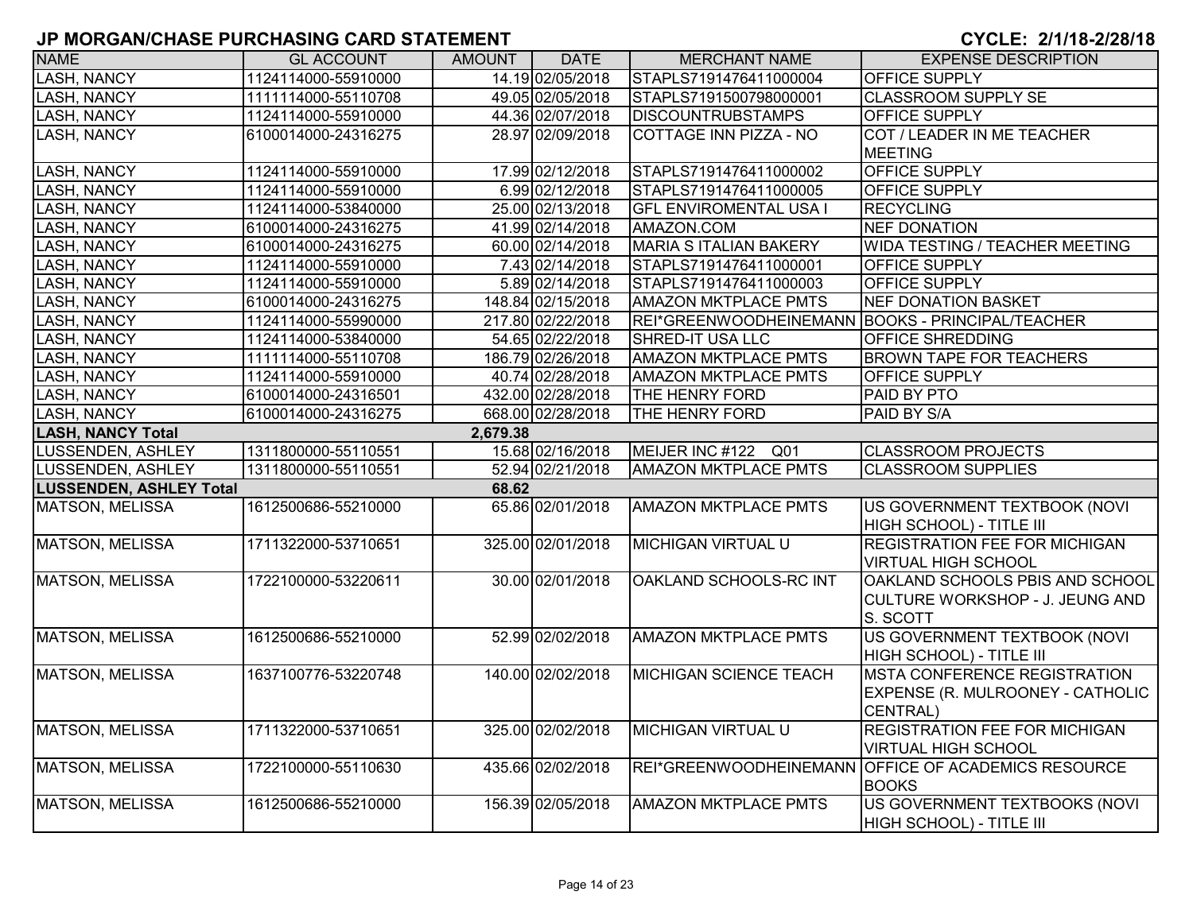| <b>NAME</b>                    | <b>GL ACCOUNT</b>   | AMOUNT   | <b>DATE</b>       | <b>MERCHANT NAME</b>                             | <b>EXPENSE DESCRIPTION</b>                          |
|--------------------------------|---------------------|----------|-------------------|--------------------------------------------------|-----------------------------------------------------|
| <b>LASH, NANCY</b>             | 1124114000-55910000 |          | 14.19 02/05/2018  | STAPLS7191476411000004                           | <b>OFFICE SUPPLY</b>                                |
| <b>LASH, NANCY</b>             | 1111114000-55110708 |          | 49.05 02/05/2018  | STAPLS7191500798000001                           | <b>CLASSROOM SUPPLY SE</b>                          |
| LASH, NANCY                    | 1124114000-55910000 |          | 44.36 02/07/2018  | <b>DISCOUNTRUBSTAMPS</b>                         | <b>OFFICE SUPPLY</b>                                |
| <b>LASH, NANCY</b>             | 6100014000-24316275 |          | 28.97 02/09/2018  | <b>COTTAGE INN PIZZA - NO</b>                    | COT / LEADER IN ME TEACHER                          |
|                                |                     |          |                   |                                                  | <b>MEETING</b>                                      |
| <b>LASH, NANCY</b>             | 1124114000-55910000 |          | 17.99 02/12/2018  | STAPLS7191476411000002                           | <b>OFFICE SUPPLY</b>                                |
| <b>LASH, NANCY</b>             | 1124114000-55910000 |          | 6.99 02/12/2018   | STAPLS7191476411000005                           | OFFICE SUPPLY                                       |
| <b>LASH, NANCY</b>             | 1124114000-53840000 |          | 25.00 02/13/2018  | <b>GFL ENVIROMENTAL USA I</b>                    | <b>RECYCLING</b>                                    |
| <b>LASH, NANCY</b>             | 6100014000-24316275 |          | 41.99 02/14/2018  | AMAZON.COM                                       | <b>NEF DONATION</b>                                 |
| <b>LASH, NANCY</b>             | 6100014000-24316275 |          | 60.00 02/14/2018  | <b>MARIA S ITALIAN BAKERY</b>                    | WIDA TESTING / TEACHER MEETING                      |
| <b>LASH, NANCY</b>             | 1124114000-55910000 |          | 7.43 02/14/2018   | STAPLS7191476411000001                           | OFFICE SUPPLY                                       |
| <b>LASH, NANCY</b>             | 1124114000-55910000 |          | 5.89 02/14/2018   | STAPLS7191476411000003                           | OFFICE SUPPLY                                       |
| <b>LASH, NANCY</b>             | 6100014000-24316275 |          | 148.84 02/15/2018 | <b>AMAZON MKTPLACE PMTS</b>                      | <b>NEF DONATION BASKET</b>                          |
| <b>LASH, NANCY</b>             | 1124114000-55990000 |          | 217.80 02/22/2018 | REI*GREENWOODHEINEMANN BOOKS - PRINCIPAL/TEACHER |                                                     |
| <b>LASH, NANCY</b>             | 1124114000-53840000 |          | 54.65 02/22/2018  | <b>SHRED-IT USA LLC</b>                          | <b>OFFICE SHREDDING</b>                             |
| <b>LASH, NANCY</b>             | 1111114000-55110708 |          | 186.79 02/26/2018 | <b>AMAZON MKTPLACE PMTS</b>                      | <b>BROWN TAPE FOR TEACHERS</b>                      |
| <b>LASH, NANCY</b>             | 1124114000-55910000 |          | 40.74 02/28/2018  | <b>AMAZON MKTPLACE PMTS</b>                      | <b>OFFICE SUPPLY</b>                                |
| <b>LASH, NANCY</b>             | 6100014000-24316501 |          | 432.00 02/28/2018 | THE HENRY FORD                                   | PAID BY PTO                                         |
| <b>LASH, NANCY</b>             | 6100014000-24316275 |          | 668.00 02/28/2018 | THE HENRY FORD                                   | PAID BY S/A                                         |
| <b>LASH, NANCY Total</b>       |                     | 2,679.38 |                   |                                                  |                                                     |
| LUSSENDEN, ASHLEY              | 1311800000-55110551 |          | 15.68 02/16/2018  | MEIJER INC #122 Q01                              | <b>CLASSROOM PROJECTS</b>                           |
| LUSSENDEN, ASHLEY              | 1311800000-55110551 |          | 52.94 02/21/2018  | <b>AMAZON MKTPLACE PMTS</b>                      | <b>CLASSROOM SUPPLIES</b>                           |
| <b>LUSSENDEN, ASHLEY Total</b> |                     | 68.62    |                   |                                                  |                                                     |
| <b>MATSON, MELISSA</b>         | 1612500686-55210000 |          | 65.86 02/01/2018  | <b>AMAZON MKTPLACE PMTS</b>                      | US GOVERNMENT TEXTBOOK (NOVI                        |
|                                |                     |          |                   |                                                  | HIGH SCHOOL) - TITLE III                            |
| <b>MATSON, MELISSA</b>         | 1711322000-53710651 |          | 325.00 02/01/2018 | <b>MICHIGAN VIRTUAL U</b>                        | <b>REGISTRATION FEE FOR MICHIGAN</b>                |
|                                |                     |          |                   |                                                  | <b>VIRTUAL HIGH SCHOOL</b>                          |
| <b>MATSON, MELISSA</b>         | 1722100000-53220611 |          | 30.00 02/01/2018  | OAKLAND SCHOOLS-RC INT                           | OAKLAND SCHOOLS PBIS AND SCHOOL                     |
|                                |                     |          |                   |                                                  | CULTURE WORKSHOP - J. JEUNG AND                     |
|                                |                     |          |                   |                                                  | S. SCOTT                                            |
| <b>MATSON, MELISSA</b>         | 1612500686-55210000 |          | 52.99 02/02/2018  | <b>AMAZON MKTPLACE PMTS</b>                      | US GOVERNMENT TEXTBOOK (NOVI                        |
|                                |                     |          |                   |                                                  | HIGH SCHOOL) - TITLE III                            |
| <b>MATSON, MELISSA</b>         | 1637100776-53220748 |          | 140.00 02/02/2018 | <b>MICHIGAN SCIENCE TEACH</b>                    | <b>MSTA CONFERENCE REGISTRATION</b>                 |
|                                |                     |          |                   |                                                  | EXPENSE (R. MULROONEY - CATHOLIC                    |
|                                |                     |          |                   |                                                  | CENTRAL)                                            |
| <b>MATSON, MELISSA</b>         | 1711322000-53710651 |          | 325.00 02/02/2018 | <b>MICHIGAN VIRTUAL U</b>                        | <b>REGISTRATION FEE FOR MICHIGAN</b>                |
|                                |                     |          |                   |                                                  | <b>VIRTUAL HIGH SCHOOL</b>                          |
| <b>MATSON, MELISSA</b>         | 1722100000-55110630 |          | 435.66 02/02/2018 |                                                  | REI*GREENWOODHEINEMANN OFFICE OF ACADEMICS RESOURCE |
|                                |                     |          |                   |                                                  | <b>BOOKS</b>                                        |
| <b>MATSON, MELISSA</b>         | 1612500686-55210000 |          | 156.39 02/05/2018 | <b>AMAZON MKTPLACE PMTS</b>                      | US GOVERNMENT TEXTBOOKS (NOVI                       |
|                                |                     |          |                   |                                                  | HIGH SCHOOL) - TITLE III                            |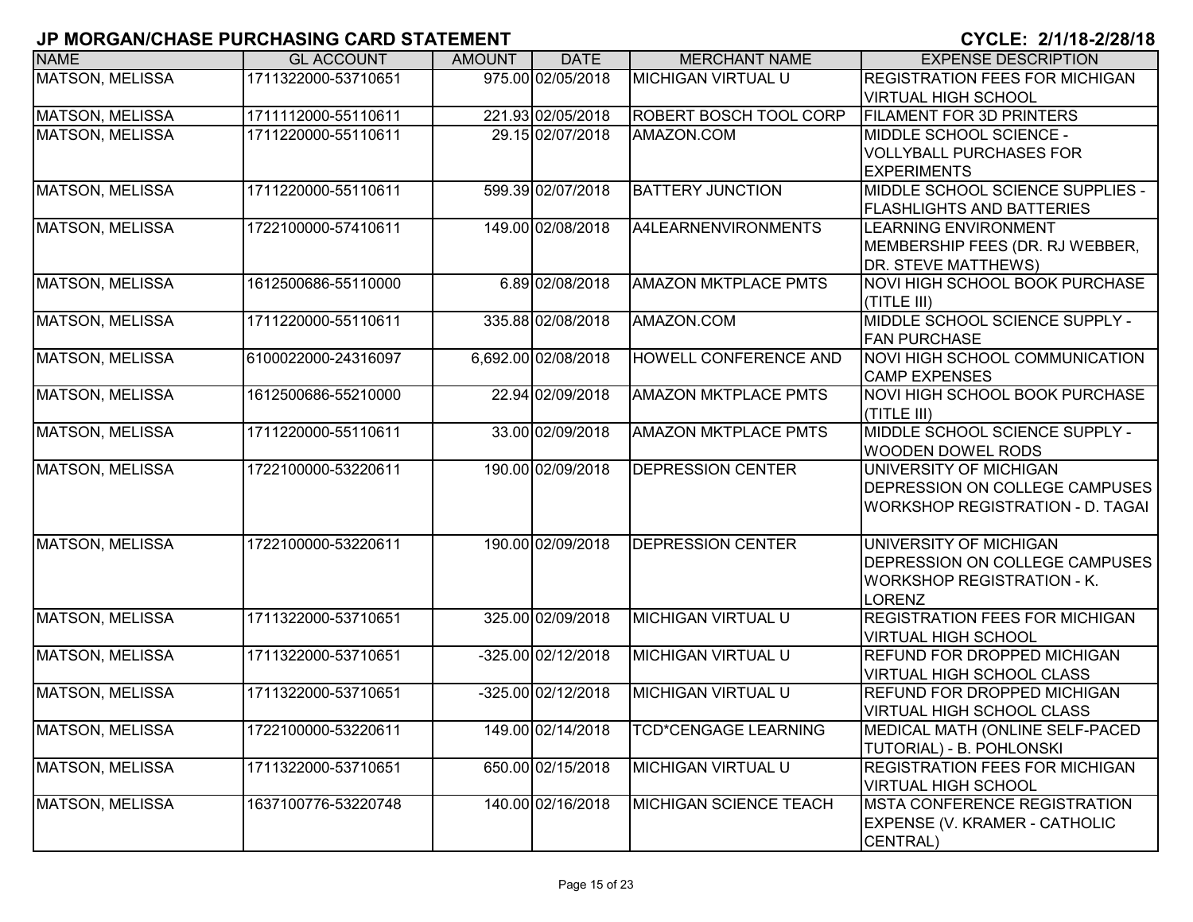| <b>NAME</b>            | <b>GL ACCOUNT</b>   | <b>AMOUNT</b> | <b>DATE</b>         | <b>MERCHANT NAME</b>          | <b>EXPENSE DESCRIPTION</b>              |
|------------------------|---------------------|---------------|---------------------|-------------------------------|-----------------------------------------|
| <b>MATSON, MELISSA</b> | 1711322000-53710651 |               | 975.00 02/05/2018   | <b>MICHIGAN VIRTUAL U</b>     | <b>REGISTRATION FEES FOR MICHIGAN</b>   |
|                        |                     |               |                     |                               | <b>VIRTUAL HIGH SCHOOL</b>              |
| <b>MATSON, MELISSA</b> | 1711112000-55110611 |               | 221.93 02/05/2018   | <b>ROBERT BOSCH TOOL CORP</b> | <b>FILAMENT FOR 3D PRINTERS</b>         |
| <b>MATSON, MELISSA</b> | 1711220000-55110611 |               | 29.15 02/07/2018    | AMAZON.COM                    | MIDDLE SCHOOL SCIENCE -                 |
|                        |                     |               |                     |                               | <b>VOLLYBALL PURCHASES FOR</b>          |
|                        |                     |               |                     |                               | <b>EXPERIMENTS</b>                      |
| MATSON, MELISSA        | 1711220000-55110611 |               | 599.39 02/07/2018   | <b>BATTERY JUNCTION</b>       | MIDDLE SCHOOL SCIENCE SUPPLIES -        |
|                        |                     |               |                     |                               | <b>FLASHLIGHTS AND BATTERIES</b>        |
| MATSON, MELISSA        | 1722100000-57410611 |               | 149.00 02/08/2018   | A4LEARNENVIRONMENTS           | <b>LEARNING ENVIRONMENT</b>             |
|                        |                     |               |                     |                               | MEMBERSHIP FEES (DR. RJ WEBBER,         |
|                        |                     |               |                     |                               | <b>DR. STEVE MATTHEWS)</b>              |
| MATSON, MELISSA        | 1612500686-55110000 |               | 6.89 02/08/2018     | <b>AMAZON MKTPLACE PMTS</b>   | <b>NOVI HIGH SCHOOL BOOK PURCHASE</b>   |
|                        |                     |               |                     |                               | (TITLE III)                             |
| MATSON, MELISSA        | 1711220000-55110611 |               | 335.88 02/08/2018   | AMAZON.COM                    | MIDDLE SCHOOL SCIENCE SUPPLY -          |
|                        |                     |               |                     |                               | <b>FAN PURCHASE</b>                     |
| <b>MATSON, MELISSA</b> | 6100022000-24316097 |               | 6,692.00 02/08/2018 | HOWELL CONFERENCE AND         | NOVI HIGH SCHOOL COMMUNICATION          |
|                        |                     |               |                     |                               | <b>CAMP EXPENSES</b>                    |
| <b>MATSON, MELISSA</b> | 1612500686-55210000 |               | 22.94 02/09/2018    | <b>AMAZON MKTPLACE PMTS</b>   | <b>NOVI HIGH SCHOOL BOOK PURCHASE</b>   |
|                        |                     |               |                     |                               | (TITLE III)                             |
| <b>MATSON, MELISSA</b> | 1711220000-55110611 |               | 33.00 02/09/2018    | <b>AMAZON MKTPLACE PMTS</b>   | MIDDLE SCHOOL SCIENCE SUPPLY -          |
|                        | 1722100000-53220611 |               |                     | <b>DEPRESSION CENTER</b>      | <b>WOODEN DOWEL RODS</b>                |
| <b>MATSON, MELISSA</b> |                     |               | 190.00 02/09/2018   |                               | UNIVERSITY OF MICHIGAN                  |
|                        |                     |               |                     |                               | DEPRESSION ON COLLEGE CAMPUSES          |
|                        |                     |               |                     |                               | <b>WORKSHOP REGISTRATION - D. TAGAI</b> |
| <b>MATSON, MELISSA</b> | 1722100000-53220611 |               | 190.00 02/09/2018   | <b>DEPRESSION CENTER</b>      | UNIVERSITY OF MICHIGAN                  |
|                        |                     |               |                     |                               | DEPRESSION ON COLLEGE CAMPUSES          |
|                        |                     |               |                     |                               | <b>WORKSHOP REGISTRATION - K.</b>       |
|                        |                     |               |                     |                               | LORENZ                                  |
| <b>MATSON, MELISSA</b> | 1711322000-53710651 |               | 325.00 02/09/2018   | <b>MICHIGAN VIRTUAL U</b>     | <b>REGISTRATION FEES FOR MICHIGAN</b>   |
|                        |                     |               |                     |                               | <b>VIRTUAL HIGH SCHOOL</b>              |
| <b>MATSON, MELISSA</b> | 1711322000-53710651 |               | -325.00 02/12/2018  | <b>MICHIGAN VIRTUAL U</b>     | <b>REFUND FOR DROPPED MICHIGAN</b>      |
|                        |                     |               |                     |                               | <b>VIRTUAL HIGH SCHOOL CLASS</b>        |
| MATSON, MELISSA        | 1711322000-53710651 |               | -325.00 02/12/2018  | <b>MICHIGAN VIRTUAL U</b>     | <b>REFUND FOR DROPPED MICHIGAN</b>      |
|                        |                     |               |                     |                               | <b>VIRTUAL HIGH SCHOOL CLASS</b>        |
| <b>MATSON, MELISSA</b> | 1722100000-53220611 |               | 149.00 02/14/2018   | <b>TCD*CENGAGE LEARNING</b>   | MEDICAL MATH (ONLINE SELF-PACED         |
|                        |                     |               |                     |                               | TUTORIAL) - B. POHLONSKI                |
| <b>MATSON, MELISSA</b> | 1711322000-53710651 |               | 650.00 02/15/2018   | <b>MICHIGAN VIRTUAL U</b>     | <b>REGISTRATION FEES FOR MICHIGAN</b>   |
|                        |                     |               |                     |                               | <b>VIRTUAL HIGH SCHOOL</b>              |
| <b>MATSON, MELISSA</b> | 1637100776-53220748 |               | 140.00 02/16/2018   | MICHIGAN SCIENCE TEACH        | <b>MSTA CONFERENCE REGISTRATION</b>     |
|                        |                     |               |                     |                               | EXPENSE (V. KRAMER - CATHOLIC           |
|                        |                     |               |                     |                               | CENTRAL)                                |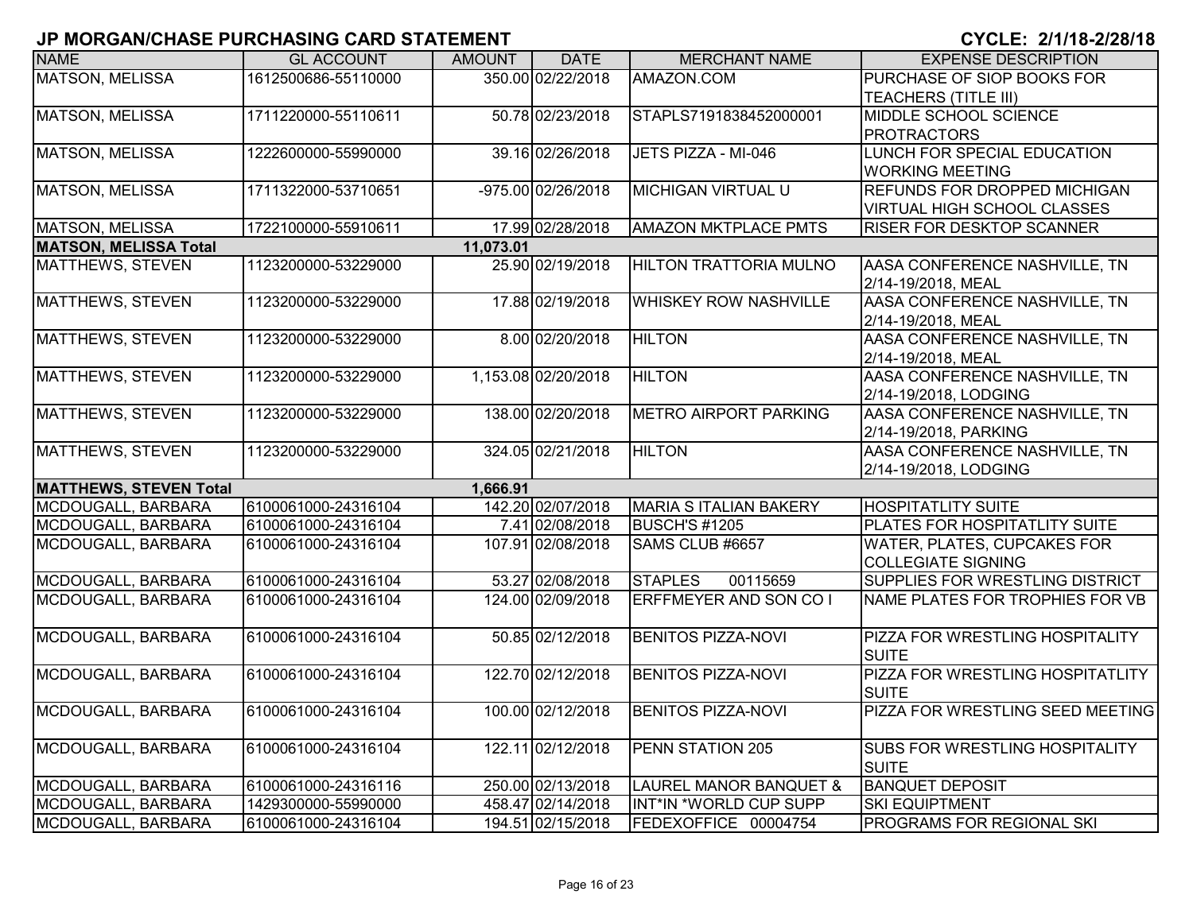| <b>NAME</b>                   | <b>GL ACCOUNT</b>   | <b>AMOUNT</b> | <b>DATE</b>         | <b>MERCHANT NAME</b>          | <b>EXPENSE DESCRIPTION</b>            |
|-------------------------------|---------------------|---------------|---------------------|-------------------------------|---------------------------------------|
| <b>MATSON, MELISSA</b>        | 1612500686-55110000 |               | 350.00 02/22/2018   | AMAZON.COM                    | PURCHASE OF SIOP BOOKS FOR            |
|                               |                     |               |                     |                               | <b>TEACHERS (TITLE III)</b>           |
| <b>MATSON, MELISSA</b>        | 1711220000-55110611 |               | 50.78 02/23/2018    | STAPLS7191838452000001        | MIDDLE SCHOOL SCIENCE                 |
|                               |                     |               |                     |                               | <b>PROTRACTORS</b>                    |
| <b>MATSON, MELISSA</b>        | 1222600000-55990000 |               | 39.16 02/26/2018    | JETS PIZZA - MI-046           | LUNCH FOR SPECIAL EDUCATION           |
|                               |                     |               |                     |                               | <b>WORKING MEETING</b>                |
| MATSON, MELISSA               | 1711322000-53710651 |               | -975.00 02/26/2018  | <b>MICHIGAN VIRTUAL U</b>     | <b>REFUNDS FOR DROPPED MICHIGAN</b>   |
|                               |                     |               |                     |                               | <b>VIRTUAL HIGH SCHOOL CLASSES</b>    |
| <b>MATSON, MELISSA</b>        | 1722100000-55910611 |               | 17.99 02/28/2018    | <b>AMAZON MKTPLACE PMTS</b>   | <b>RISER FOR DESKTOP SCANNER</b>      |
| <b>MATSON, MELISSA Total</b>  |                     | 11,073.01     |                     |                               |                                       |
| <b>MATTHEWS, STEVEN</b>       | 1123200000-53229000 |               | 25.90 02/19/2018    | <b>HILTON TRATTORIA MULNO</b> | AASA CONFERENCE NASHVILLE, TN         |
|                               |                     |               |                     |                               | 2/14-19/2018, MEAL                    |
| <b>MATTHEWS, STEVEN</b>       | 1123200000-53229000 |               | 17.88 02/19/2018    | <b>WHISKEY ROW NASHVILLE</b>  | AASA CONFERENCE NASHVILLE, TN         |
|                               |                     |               |                     |                               | 2/14-19/2018, MEAL                    |
| <b>MATTHEWS, STEVEN</b>       | 1123200000-53229000 |               | 8.00 02/20/2018     | <b>HILTON</b>                 | AASA CONFERENCE NASHVILLE, TN         |
|                               |                     |               |                     |                               | 2/14-19/2018, MEAL                    |
| <b>MATTHEWS, STEVEN</b>       | 1123200000-53229000 |               | 1,153.08 02/20/2018 | <b>HILTON</b>                 | AASA CONFERENCE NASHVILLE, TN         |
|                               |                     |               |                     |                               | 2/14-19/2018, LODGING                 |
| <b>MATTHEWS, STEVEN</b>       | 1123200000-53229000 |               | 138.00 02/20/2018   | <b>METRO AIRPORT PARKING</b>  | AASA CONFERENCE NASHVILLE, TN         |
|                               |                     |               |                     |                               | 2/14-19/2018, PARKING                 |
| <b>MATTHEWS, STEVEN</b>       | 1123200000-53229000 |               | 324.05 02/21/2018   | <b>HILTON</b>                 | AASA CONFERENCE NASHVILLE, TN         |
|                               |                     |               |                     |                               | 2/14-19/2018, LODGING                 |
| <b>MATTHEWS, STEVEN Total</b> |                     | 1,666.91      |                     |                               |                                       |
| MCDOUGALL, BARBARA            | 6100061000-24316104 |               | 142.20 02/07/2018   | <b>MARIA S ITALIAN BAKERY</b> | <b>HOSPITATLITY SUITE</b>             |
| MCDOUGALL, BARBARA            | 6100061000-24316104 |               | 7.41 02/08/2018     | BUSCH'S #1205                 | <b>PLATES FOR HOSPITATLITY SUITE</b>  |
| MCDOUGALL, BARBARA            | 6100061000-24316104 |               | 107.91 02/08/2018   | SAMS CLUB #6657               | <b>WATER, PLATES, CUPCAKES FOR</b>    |
|                               |                     |               |                     |                               | <b>COLLEGIATE SIGNING</b>             |
| MCDOUGALL, BARBARA            | 6100061000-24316104 |               | 53.27 02/08/2018    | <b>STAPLES</b><br>00115659    | SUPPLIES FOR WRESTLING DISTRICT       |
| MCDOUGALL, BARBARA            | 6100061000-24316104 |               | 124.00 02/09/2018   | ERFFMEYER AND SON CO I        | NAME PLATES FOR TROPHIES FOR VB       |
|                               |                     |               |                     |                               |                                       |
| MCDOUGALL, BARBARA            | 6100061000-24316104 |               | 50.85 02/12/2018    | <b>BENITOS PIZZA-NOVI</b>     | PIZZA FOR WRESTLING HOSPITALITY       |
|                               |                     |               |                     |                               | <b>SUITE</b>                          |
| MCDOUGALL, BARBARA            | 6100061000-24316104 |               | 122.70 02/12/2018   | <b>BENITOS PIZZA-NOVI</b>     | PIZZA FOR WRESTLING HOSPITATLITY      |
|                               |                     |               |                     |                               | <b>SUITE</b>                          |
| MCDOUGALL, BARBARA            | 6100061000-24316104 |               | 100.00 02/12/2018   | <b>BENITOS PIZZA-NOVI</b>     | PIZZA FOR WRESTLING SEED MEETING      |
|                               |                     |               |                     |                               |                                       |
| MCDOUGALL, BARBARA            | 6100061000-24316104 |               | 122.11 02/12/2018   | PENN STATION 205              | <b>SUBS FOR WRESTLING HOSPITALITY</b> |
|                               |                     |               |                     |                               | <b>SUITE</b>                          |
| MCDOUGALL, BARBARA            | 6100061000-24316116 |               | 250.00 02/13/2018   | LAUREL MANOR BANQUET &        | <b>BANQUET DEPOSIT</b>                |
| MCDOUGALL, BARBARA            | 1429300000-55990000 |               | 458.47 02/14/2018   | INT*IN *WORLD CUP SUPP        | <b>SKI EQUIPTMENT</b>                 |
| MCDOUGALL, BARBARA            | 6100061000-24316104 |               | 194.51 02/15/2018   | FEDEXOFFICE 00004754          | <b>PROGRAMS FOR REGIONAL SKI</b>      |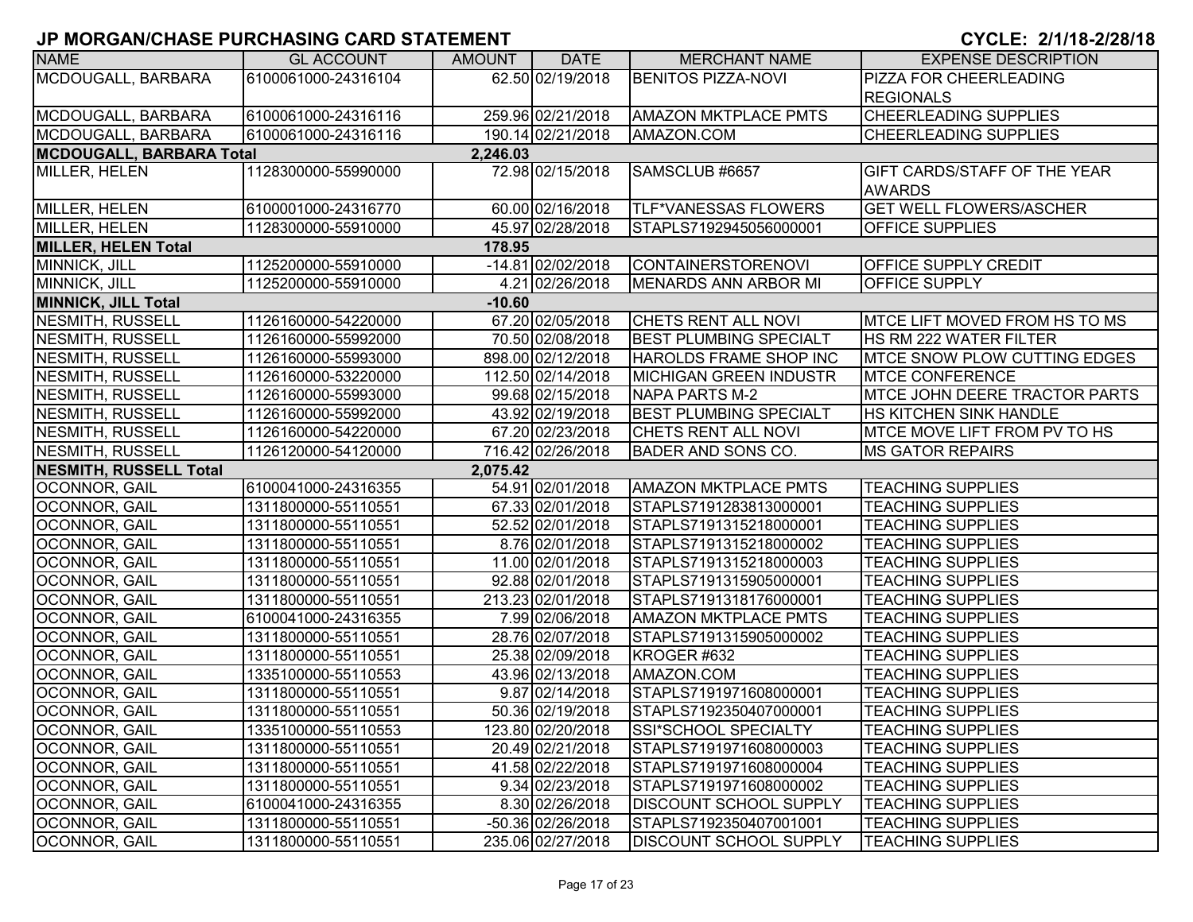| <b>NAME</b>                     | <b>GL ACCOUNT</b>   | <b>AMOUNT</b> | <b>DATE</b>       | <b>MERCHANT NAME</b>          | <b>EXPENSE DESCRIPTION</b>           |
|---------------------------------|---------------------|---------------|-------------------|-------------------------------|--------------------------------------|
| MCDOUGALL, BARBARA              | 6100061000-24316104 |               | 62.50 02/19/2018  | <b>BENITOS PIZZA-NOVI</b>     | PIZZA FOR CHEERLEADING               |
|                                 |                     |               |                   |                               | <b>REGIONALS</b>                     |
| MCDOUGALL, BARBARA              | 6100061000-24316116 |               | 259.96 02/21/2018 | <b>AMAZON MKTPLACE PMTS</b>   | <b>CHEERLEADING SUPPLIES</b>         |
| MCDOUGALL, BARBARA              | 6100061000-24316116 |               | 190.14 02/21/2018 | AMAZON.COM                    | <b>CHEERLEADING SUPPLIES</b>         |
| <b>MCDOUGALL, BARBARA Total</b> |                     | 2,246.03      |                   |                               |                                      |
| MILLER, HELEN                   | 1128300000-55990000 |               | 72.98 02/15/2018  | SAMSCLUB #6657                | <b>GIFT CARDS/STAFF OF THE YEAR</b>  |
|                                 |                     |               |                   |                               | <b>AWARDS</b>                        |
| MILLER, HELEN                   | 6100001000-24316770 |               | 60.00 02/16/2018  | <b>TLF*VANESSAS FLOWERS</b>   | <b>GET WELL FLOWERS/ASCHER</b>       |
| MILLER, HELEN                   | 1128300000-55910000 |               | 45.97 02/28/2018  | STAPLS7192945056000001        | <b>OFFICE SUPPLIES</b>               |
| <b>MILLER, HELEN Total</b>      |                     | 178.95        |                   |                               |                                      |
| MINNICK, JILL                   | 1125200000-55910000 |               | -14.81 02/02/2018 | <b>CONTAINERSTORENOVI</b>     | <b>OFFICE SUPPLY CREDIT</b>          |
| MINNICK, JILL                   | 1125200000-55910000 |               | 4.21 02/26/2018   | MENARDS ANN ARBOR MI          | OFFICE SUPPLY                        |
| <b>MINNICK, JILL Total</b>      |                     | $-10.60$      |                   |                               |                                      |
| NESMITH, RUSSELL                | 1126160000-54220000 |               | 67.20 02/05/2018  | <b>CHETS RENT ALL NOVI</b>    | IMTCE LIFT MOVED FROM HS TO MS       |
| NESMITH, RUSSELL                | 1126160000-55992000 |               | 70.50 02/08/2018  | <b>BEST PLUMBING SPECIALT</b> | <b>HS RM 222 WATER FILTER</b>        |
| NESMITH, RUSSELL                | 1126160000-55993000 |               | 898.00 02/12/2018 | HAROLDS FRAME SHOP INC        | <b>MTCE SNOW PLOW CUTTING EDGES</b>  |
| NESMITH, RUSSELL                | 1126160000-53220000 |               | 112.50 02/14/2018 | <b>MICHIGAN GREEN INDUSTR</b> | <b>MTCE CONFERENCE</b>               |
| NESMITH, RUSSELL                | 1126160000-55993000 |               | 99.68 02/15/2018  | NAPA PARTS M-2                | <b>MTCE JOHN DEERE TRACTOR PARTS</b> |
| NESMITH, RUSSELL                | 1126160000-55992000 |               | 43.92 02/19/2018  | <b>BEST PLUMBING SPECIALT</b> | <b>HS KITCHEN SINK HANDLE</b>        |
| NESMITH, RUSSELL                | 1126160000-54220000 |               | 67.20 02/23/2018  | <b>CHETS RENT ALL NOVI</b>    | MTCE MOVE LIFT FROM PV TO HS         |
| <b>NESMITH, RUSSELL</b>         | 1126120000-54120000 |               | 716.42 02/26/2018 | <b>BADER AND SONS CO.</b>     | <b>MS GATOR REPAIRS</b>              |
| <b>NESMITH, RUSSELL Total</b>   |                     | 2,075.42      |                   |                               |                                      |
| <b>OCONNOR, GAIL</b>            | 6100041000-24316355 |               | 54.91 02/01/2018  | <b>AMAZON MKTPLACE PMTS</b>   | <b>TEACHING SUPPLIES</b>             |
| OCONNOR, GAIL                   | 1311800000-55110551 |               | 67.33 02/01/2018  | STAPLS7191283813000001        | <b>TEACHING SUPPLIES</b>             |
| OCONNOR, GAIL                   | 1311800000-55110551 |               | 52.52 02/01/2018  | STAPLS7191315218000001        | <b>TEACHING SUPPLIES</b>             |
| OCONNOR, GAIL                   | 1311800000-55110551 |               | 8.76 02/01/2018   | STAPLS7191315218000002        | <b>TEACHING SUPPLIES</b>             |
| OCONNOR, GAIL                   | 1311800000-55110551 |               | 11.00 02/01/2018  | STAPLS7191315218000003        | <b>TEACHING SUPPLIES</b>             |
| OCONNOR, GAIL                   | 1311800000-55110551 |               | 92.88 02/01/2018  | STAPLS7191315905000001        | <b>TEACHING SUPPLIES</b>             |
| <b>OCONNOR, GAIL</b>            | 1311800000-55110551 |               | 213.23 02/01/2018 | STAPLS7191318176000001        | <b>TEACHING SUPPLIES</b>             |
| <b>OCONNOR, GAIL</b>            | 6100041000-24316355 |               | 7.99 02/06/2018   | <b>AMAZON MKTPLACE PMTS</b>   | <b>TEACHING SUPPLIES</b>             |
| OCONNOR, GAIL                   | 1311800000-55110551 |               | 28.76 02/07/2018  | STAPLS7191315905000002        | <b>TEACHING SUPPLIES</b>             |
| OCONNOR, GAIL                   | 1311800000-55110551 |               | 25.38 02/09/2018  | KROGER #632                   | <b>TEACHING SUPPLIES</b>             |
| OCONNOR, GAIL                   | 1335100000-55110553 |               | 43.96 02/13/2018  | AMAZON.COM                    | <b>TEACHING SUPPLIES</b>             |
| OCONNOR, GAIL                   | 1311800000-55110551 |               | 9.87 02/14/2018   | STAPLS7191971608000001        | <b>TEACHING SUPPLIES</b>             |
| OCONNOR, GAIL                   | 1311800000-55110551 |               | 50.36 02/19/2018  | STAPLS7192350407000001        | <b>TEACHING SUPPLIES</b>             |
| OCONNOR, GAIL                   | 1335100000-55110553 |               | 123.80 02/20/2018 | SSI*SCHOOL SPECIALTY          | <b>TEACHING SUPPLIES</b>             |
| OCONNOR, GAIL                   | 1311800000-55110551 |               | 20.49 02/21/2018  | STAPLS7191971608000003        | <b>TEACHING SUPPLIES</b>             |
| OCONNOR, GAIL                   | 1311800000-55110551 |               | 41.58 02/22/2018  | STAPLS7191971608000004        | <b>TEACHING SUPPLIES</b>             |
| OCONNOR, GAIL                   | 1311800000-55110551 |               | 9.34 02/23/2018   | STAPLS7191971608000002        | <b>TEACHING SUPPLIES</b>             |
| OCONNOR, GAIL                   | 6100041000-24316355 |               | 8.30 02/26/2018   | DISCOUNT SCHOOL SUPPLY        | <b>TEACHING SUPPLIES</b>             |
| OCONNOR, GAIL                   | 1311800000-55110551 |               | -50.36 02/26/2018 | STAPLS7192350407001001        | <b>TEACHING SUPPLIES</b>             |
| OCONNOR, GAIL                   | 1311800000-55110551 |               | 235.06 02/27/2018 | <b>DISCOUNT SCHOOL SUPPLY</b> | <b>TEACHING SUPPLIES</b>             |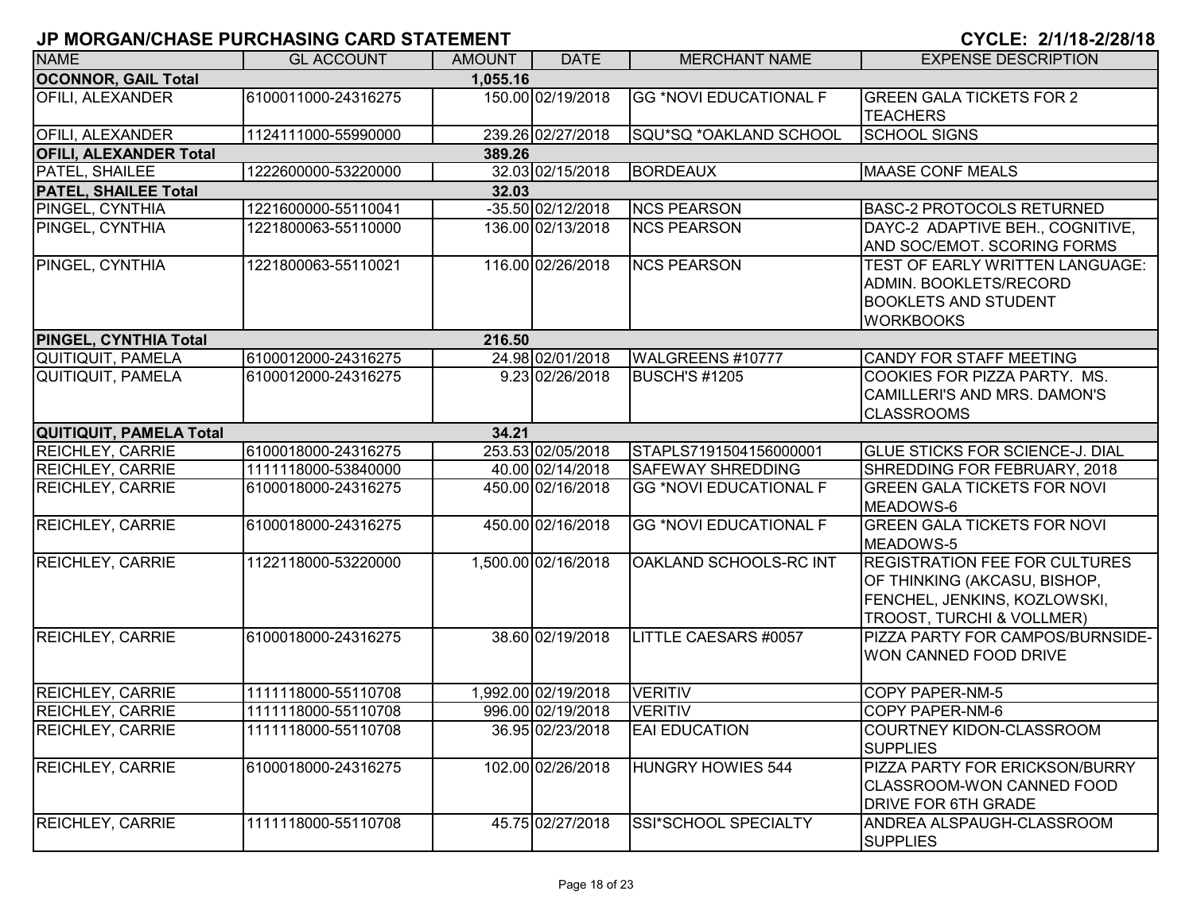| <b>NAME</b>                   | <b>GL ACCOUNT</b>   | <b>AMOUNT</b> | <b>DATE</b>         | <b>MERCHANT NAME</b>          | <b>EXPENSE DESCRIPTION</b>                                                                                                                   |
|-------------------------------|---------------------|---------------|---------------------|-------------------------------|----------------------------------------------------------------------------------------------------------------------------------------------|
| <b>OCONNOR, GAIL Total</b>    |                     | 1.055.16      |                     |                               |                                                                                                                                              |
| OFILI, ALEXANDER              | 6100011000-24316275 |               | 150.00 02/19/2018   | <b>GG *NOVI EDUCATIONAL F</b> | <b>GREEN GALA TICKETS FOR 2</b><br><b>TEACHERS</b>                                                                                           |
| <b>OFILI, ALEXANDER</b>       | 1124111000-55990000 |               | 239.26 02/27/2018   | SQU*SQ *OAKLAND SCHOOL        | <b>SCHOOL SIGNS</b>                                                                                                                          |
| <b>OFILI, ALEXANDER Total</b> |                     | 389.26        |                     |                               |                                                                                                                                              |
| PATEL, SHAILEE                | 1222600000-53220000 |               | 32.03 02/15/2018    | <b>BORDEAUX</b>               | <b>MAASE CONF MEALS</b>                                                                                                                      |
| <b>PATEL, SHAILEE Total</b>   |                     | 32.03         |                     |                               |                                                                                                                                              |
| PINGEL, CYNTHIA               | 1221600000-55110041 |               | -35.50 02/12/2018   | <b>NCS PEARSON</b>            | <b>BASC-2 PROTOCOLS RETURNED</b>                                                                                                             |
| PINGEL, CYNTHIA               | 1221800063-55110000 |               | 136.00 02/13/2018   | <b>NCS PEARSON</b>            | DAYC-2 ADAPTIVE BEH., COGNITIVE,<br>AND SOC/EMOT. SCORING FORMS                                                                              |
| PINGEL, CYNTHIA               | 1221800063-55110021 |               | 116.00 02/26/2018   | <b>NCS PEARSON</b>            | TEST OF EARLY WRITTEN LANGUAGE:<br>ADMIN. BOOKLETS/RECORD<br><b>BOOKLETS AND STUDENT</b><br><b>WORKBOOKS</b>                                 |
| PINGEL, CYNTHIA Total         |                     | 216.50        |                     |                               |                                                                                                                                              |
| <b>QUITIQUIT, PAMELA</b>      | 6100012000-24316275 |               | 24.98 02/01/2018    | WALGREENS #10777              | CANDY FOR STAFF MEETING                                                                                                                      |
| QUITIQUIT, PAMELA             | 6100012000-24316275 |               | 9.23 02/26/2018     | <b>BUSCH'S #1205</b>          | COOKIES FOR PIZZA PARTY. MS.<br><b>CAMILLERI'S AND MRS. DAMON'S</b><br><b>CLASSROOMS</b>                                                     |
| QUITIQUIT, PAMELA Total       |                     | 34.21         |                     |                               |                                                                                                                                              |
| <b>REICHLEY, CARRIE</b>       | 6100018000-24316275 |               | 253.53 02/05/2018   | STAPLS7191504156000001        | <b>GLUE STICKS FOR SCIENCE-J. DIAL</b>                                                                                                       |
| <b>REICHLEY, CARRIE</b>       | 1111118000-53840000 |               | 40.00 02/14/2018    | <b>SAFEWAY SHREDDING</b>      | SHREDDING FOR FEBRUARY, 2018                                                                                                                 |
| <b>REICHLEY, CARRIE</b>       | 6100018000-24316275 |               | 450.00 02/16/2018   | <b>GG *NOVI EDUCATIONAL F</b> | <b>GREEN GALA TICKETS FOR NOVI</b><br>MEADOWS-6                                                                                              |
| <b>REICHLEY, CARRIE</b>       | 6100018000-24316275 |               | 450.00 02/16/2018   | <b>GG *NOVI EDUCATIONAL F</b> | <b>GREEN GALA TICKETS FOR NOVI</b><br>MEADOWS-5                                                                                              |
| <b>REICHLEY, CARRIE</b>       | 1122118000-53220000 |               | 1,500.00 02/16/2018 | OAKLAND SCHOOLS-RC INT        | <b>REGISTRATION FEE FOR CULTURES</b><br>OF THINKING (AKCASU, BISHOP,<br>FENCHEL, JENKINS, KOZLOWSKI,<br><b>TROOST, TURCHI &amp; VOLLMER)</b> |
| <b>REICHLEY, CARRIE</b>       | 6100018000-24316275 |               | 38.60 02/19/2018    | LITTLE CAESARS #0057          | <b>PIZZA PARTY FOR CAMPOS/BURNSIDE-</b><br>WON CANNED FOOD DRIVE                                                                             |
| <b>REICHLEY, CARRIE</b>       | 1111118000-55110708 |               | 1,992.00 02/19/2018 | <b>VERITIV</b>                | COPY PAPER-NM-5                                                                                                                              |
| <b>REICHLEY, CARRIE</b>       | 1111118000-55110708 |               | 996.00 02/19/2018   | <b>VERITIV</b>                | COPY PAPER-NM-6                                                                                                                              |
| <b>REICHLEY, CARRIE</b>       | 1111118000-55110708 |               | 36.95 02/23/2018    | <b>EAI EDUCATION</b>          | COURTNEY KIDON-CLASSROOM<br><b>SUPPLIES</b>                                                                                                  |
| <b>REICHLEY, CARRIE</b>       | 6100018000-24316275 |               | 102.00 02/26/2018   | HUNGRY HOWIES 544             | PIZZA PARTY FOR ERICKSON/BURRY<br>CLASSROOM-WON CANNED FOOD<br><b>DRIVE FOR 6TH GRADE</b>                                                    |
| <b>REICHLEY, CARRIE</b>       | 1111118000-55110708 |               | 45.75 02/27/2018    | SSI*SCHOOL SPECIALTY          | ANDREA ALSPAUGH-CLASSROOM<br><b>SUPPLIES</b>                                                                                                 |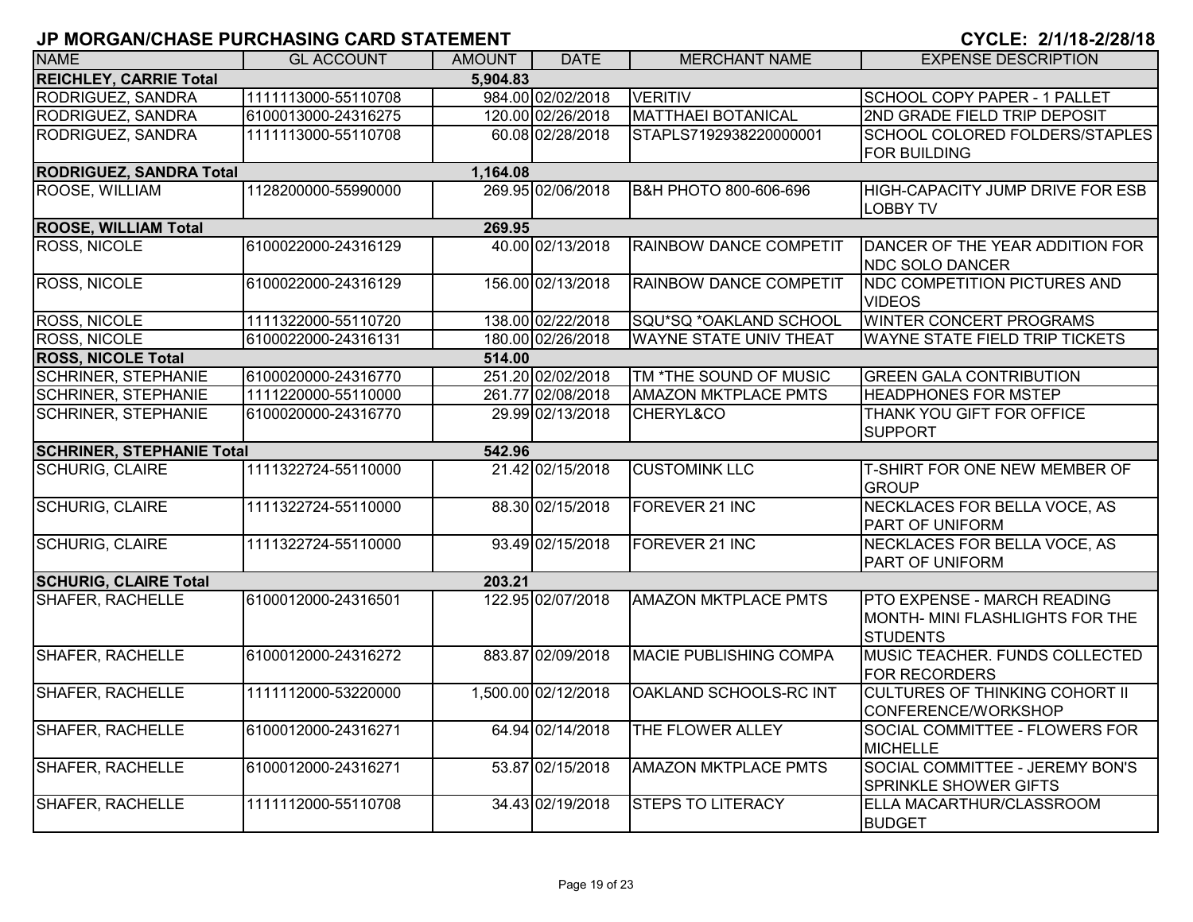| CYCLE: 2/1/18-2/28/18 |  |  |
|-----------------------|--|--|
|-----------------------|--|--|

| <b>NAME</b>                      | <b>GL ACCOUNT</b>   | <b>AMOUNT</b> | <b>DATE</b>         | <b>MERCHANT NAME</b>             | <b>EXPENSE DESCRIPTION</b>                                                        |
|----------------------------------|---------------------|---------------|---------------------|----------------------------------|-----------------------------------------------------------------------------------|
| <b>REICHLEY, CARRIE Total</b>    |                     | 5,904.83      |                     |                                  |                                                                                   |
| RODRIGUEZ, SANDRA                | 1111113000-55110708 |               | 984.00 02/02/2018   | <b>VERITIV</b>                   | SCHOOL COPY PAPER - 1 PALLET                                                      |
| <b>RODRIGUEZ, SANDRA</b>         | 6100013000-24316275 |               | 120.00 02/26/2018   | <b>MATTHAEI BOTANICAL</b>        | 2ND GRADE FIELD TRIP DEPOSIT                                                      |
| RODRIGUEZ, SANDRA                | 1111113000-55110708 |               | 60.08 02/28/2018    | STAPLS7192938220000001           | SCHOOL COLORED FOLDERS/STAPLES<br><b>FOR BUILDING</b>                             |
| <b>RODRIGUEZ, SANDRA Total</b>   |                     | 1,164.08      |                     |                                  |                                                                                   |
| ROOSE, WILLIAM                   | 1128200000-55990000 |               | 269.95 02/06/2018   | <b>B&amp;H PHOTO 800-606-696</b> | HIGH-CAPACITY JUMP DRIVE FOR ESB<br><b>LOBBY TV</b>                               |
| <b>ROOSE, WILLIAM Total</b>      |                     | 269.95        |                     |                                  |                                                                                   |
| ROSS, NICOLE                     | 6100022000-24316129 |               | 40.00 02/13/2018    | RAINBOW DANCE COMPETIT           | DANCER OF THE YEAR ADDITION FOR<br><b>NDC SOLO DANCER</b>                         |
| <b>ROSS, NICOLE</b>              | 6100022000-24316129 |               | 156.00 02/13/2018   | RAINBOW DANCE COMPETIT           | NDC COMPETITION PICTURES AND<br><b>VIDEOS</b>                                     |
| ROSS, NICOLE                     | 1111322000-55110720 |               | 138.00 02/22/2018   | SQU*SQ *OAKLAND SCHOOL           | WINTER CONCERT PROGRAMS                                                           |
| ROSS, NICOLE                     | 6100022000-24316131 |               | 180.00 02/26/2018   | <b>WAYNE STATE UNIV THEAT</b>    | WAYNE STATE FIELD TRIP TICKETS                                                    |
| <b>ROSS, NICOLE Total</b>        |                     | 514.00        |                     |                                  |                                                                                   |
| <b>SCHRINER, STEPHANIE</b>       | 6100020000-24316770 |               | 251.20 02/02/2018   | TM *THE SOUND OF MUSIC           | <b>GREEN GALA CONTRIBUTION</b>                                                    |
| <b>SCHRINER, STEPHANIE</b>       | 1111220000-55110000 |               | 261.77 02/08/2018   | <b>AMAZON MKTPLACE PMTS</b>      | <b>HEADPHONES FOR MSTEP</b>                                                       |
| <b>SCHRINER, STEPHANIE</b>       | 6100020000-24316770 |               | 29.99 02/13/2018    | CHERYL&CO                        | THANK YOU GIFT FOR OFFICE<br><b>SUPPORT</b>                                       |
| <b>SCHRINER, STEPHANIE Total</b> |                     | 542.96        |                     |                                  |                                                                                   |
| <b>SCHURIG, CLAIRE</b>           | 1111322724-55110000 |               | 21.42 02/15/2018    | <b>CUSTOMINK LLC</b>             | T-SHIRT FOR ONE NEW MEMBER OF<br><b>GROUP</b>                                     |
| <b>SCHURIG, CLAIRE</b>           | 1111322724-55110000 |               | 88.30 02/15/2018    | FOREVER 21 INC                   | <b>NECKLACES FOR BELLA VOCE, AS</b><br>PART OF UNIFORM                            |
| <b>SCHURIG, CLAIRE</b>           | 1111322724-55110000 |               | 93.49 02/15/2018    | FOREVER 21 INC                   | NECKLACES FOR BELLA VOCE, AS<br>PART OF UNIFORM                                   |
| <b>SCHURIG, CLAIRE Total</b>     |                     | 203.21        |                     |                                  |                                                                                   |
| <b>SHAFER, RACHELLE</b>          | 6100012000-24316501 |               | 122.95 02/07/2018   | <b>AMAZON MKTPLACE PMTS</b>      | PTO EXPENSE - MARCH READING<br>MONTH- MINI FLASHLIGHTS FOR THE<br><b>STUDENTS</b> |
| <b>SHAFER, RACHELLE</b>          | 6100012000-24316272 |               | 883.87 02/09/2018   | <b>MACIE PUBLISHING COMPA</b>    | MUSIC TEACHER. FUNDS COLLECTED<br><b>FOR RECORDERS</b>                            |
| <b>SHAFER, RACHELLE</b>          | 1111112000-53220000 |               | 1,500.00 02/12/2018 | OAKLAND SCHOOLS-RC INT           | <b>CULTURES OF THINKING COHORT II</b><br>CONFERENCE/WORKSHOP                      |
| <b>SHAFER, RACHELLE</b>          | 6100012000-24316271 |               | 64.94 02/14/2018    | THE FLOWER ALLEY                 | SOCIAL COMMITTEE - FLOWERS FOR<br><b>MICHELLE</b>                                 |
| <b>SHAFER, RACHELLE</b>          | 6100012000-24316271 |               | 53.87 02/15/2018    | <b>AMAZON MKTPLACE PMTS</b>      | SOCIAL COMMITTEE - JEREMY BON'S<br><b>SPRINKLE SHOWER GIFTS</b>                   |
| <b>SHAFER, RACHELLE</b>          | 1111112000-55110708 |               | 34.43 02/19/2018    | <b>STEPS TO LITERACY</b>         | ELLA MACARTHUR/CLASSROOM<br><b>BUDGET</b>                                         |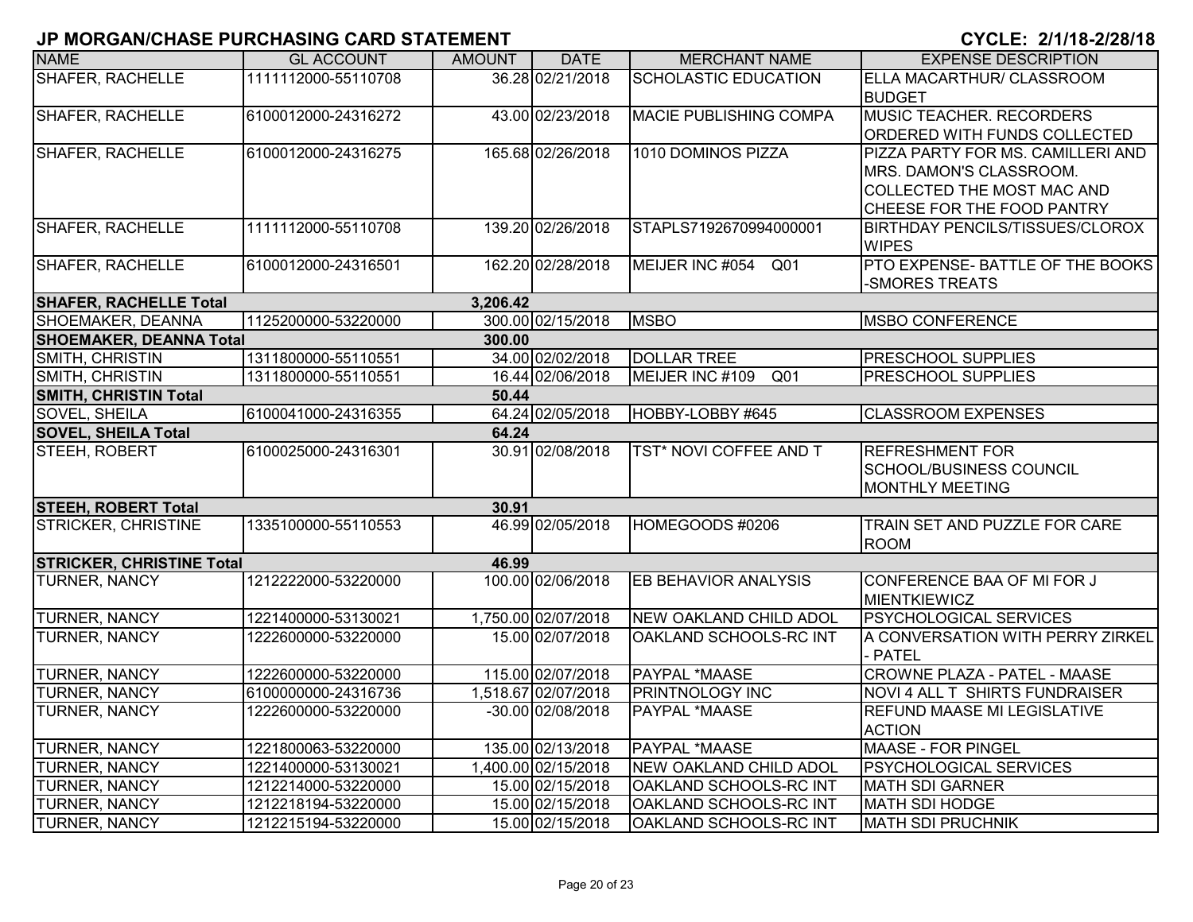| <b>NAME</b>                      | <b>GL ACCOUNT</b>   | AMOUNT   | <b>DATE</b>         | <b>MERCHANT NAME</b>               | <b>EXPENSE DESCRIPTION</b>             |
|----------------------------------|---------------------|----------|---------------------|------------------------------------|----------------------------------------|
| <b>SHAFER, RACHELLE</b>          | 1111112000-55110708 |          | 36.28 02/21/2018    | <b>SCHOLASTIC EDUCATION</b>        | ELLA MACARTHUR/ CLASSROOM              |
|                                  |                     |          |                     |                                    | <b>BUDGET</b>                          |
| <b>SHAFER, RACHELLE</b>          | 6100012000-24316272 |          | 43.00 02/23/2018    | <b>MACIE PUBLISHING COMPA</b>      | <b>MUSIC TEACHER. RECORDERS</b>        |
|                                  |                     |          |                     |                                    | ORDERED WITH FUNDS COLLECTED           |
| <b>SHAFER, RACHELLE</b>          | 6100012000-24316275 |          | 165.68 02/26/2018   | 1010 DOMINOS PIZZA                 | PIZZA PARTY FOR MS. CAMILLERI AND      |
|                                  |                     |          |                     |                                    | MRS. DAMON'S CLASSROOM.                |
|                                  |                     |          |                     |                                    | COLLECTED THE MOST MAC AND             |
|                                  |                     |          |                     |                                    | CHEESE FOR THE FOOD PANTRY             |
| <b>SHAFER, RACHELLE</b>          | 1111112000-55110708 |          | 139.20 02/26/2018   | STAPLS7192670994000001             | <b>BIRTHDAY PENCILS/TISSUES/CLOROX</b> |
|                                  |                     |          |                     |                                    | <b>WIPES</b>                           |
| <b>SHAFER, RACHELLE</b>          | 6100012000-24316501 |          | 162.20 02/28/2018   | MEIJER INC #054 Q01                | PTO EXPENSE- BATTLE OF THE BOOKS       |
|                                  |                     |          |                     |                                    | -SMORES TREATS                         |
| <b>SHAFER, RACHELLE Total</b>    |                     | 3,206.42 |                     |                                    |                                        |
| SHOEMAKER, DEANNA                | 1125200000-53220000 |          | 300.00 02/15/2018   | <b>MSBO</b>                        | <b>MSBO CONFERENCE</b>                 |
| <b>SHOEMAKER, DEANNA Total</b>   |                     | 300.00   |                     |                                    |                                        |
| SMITH, CHRISTIN                  | 1311800000-55110551 |          | 34.00 02/02/2018    | <b>DOLLAR TREE</b>                 | <b>PRESCHOOL SUPPLIES</b>              |
| <b>SMITH, CHRISTIN</b>           | 1311800000-55110551 |          | 16.44 02/06/2018    | MEIJER INC #109<br>Q <sub>01</sub> | <b>PRESCHOOL SUPPLIES</b>              |
| <b>SMITH, CHRISTIN Total</b>     |                     | 50.44    |                     |                                    |                                        |
| SOVEL, SHEILA                    | 6100041000-24316355 |          | 64.24 02/05/2018    | HOBBY-LOBBY #645                   | <b>CLASSROOM EXPENSES</b>              |
| <b>SOVEL, SHEILA Total</b>       |                     | 64.24    |                     |                                    |                                        |
| <b>STEEH, ROBERT</b>             | 6100025000-24316301 |          | 30.91 02/08/2018    | TST* NOVI COFFEE AND T             | <b>REFRESHMENT FOR</b>                 |
|                                  |                     |          |                     |                                    | <b>SCHOOL/BUSINESS COUNCIL</b>         |
|                                  |                     |          |                     |                                    | <b>MONTHLY MEETING</b>                 |
| <b>STEEH, ROBERT Total</b>       |                     | 30.91    |                     |                                    |                                        |
| <b>STRICKER, CHRISTINE</b>       | 1335100000-55110553 |          | 46.99 02/05/2018    | HOMEGOODS #0206                    | TRAIN SET AND PUZZLE FOR CARE          |
|                                  |                     |          |                     |                                    | <b>ROOM</b>                            |
| <b>STRICKER, CHRISTINE Total</b> |                     | 46.99    |                     |                                    |                                        |
| <b>TURNER, NANCY</b>             | 1212222000-53220000 |          | 100.00 02/06/2018   | <b>EB BEHAVIOR ANALYSIS</b>        | CONFERENCE BAA OF MI FOR J             |
|                                  |                     |          |                     |                                    | <b>MIENTKIEWICZ</b>                    |
| TURNER, NANCY                    | 1221400000-53130021 |          | 1,750.00 02/07/2018 | <b>NEW OAKLAND CHILD ADOL</b>      | PSYCHOLOGICAL SERVICES                 |
| <b>TURNER, NANCY</b>             | 1222600000-53220000 |          | 15.00 02/07/2018    | OAKLAND SCHOOLS-RC INT             | A CONVERSATION WITH PERRY ZIRKEL       |
|                                  |                     |          |                     |                                    | <b>PATEL</b>                           |
| <b>TURNER, NANCY</b>             | 1222600000-53220000 |          | 115.00 02/07/2018   | PAYPAL *MAASE                      | CROWNE PLAZA - PATEL - MAASE           |
| TURNER, NANCY                    | 6100000000-24316736 |          | 1,518.67 02/07/2018 | <b>PRINTNOLOGY INC</b>             | NOVI 4 ALL T SHIRTS FUNDRAISER         |
| TURNER, NANCY                    | 1222600000-53220000 |          | -30.00 02/08/2018   | PAYPAL *MAASE                      | <b>REFUND MAASE MI LEGISLATIVE</b>     |
|                                  |                     |          |                     |                                    | <b>ACTION</b>                          |
| TURNER, NANCY                    | 1221800063-53220000 |          | 135.00 02/13/2018   | PAYPAL *MAASE                      | <b>MAASE - FOR PINGEL</b>              |
| <b>TURNER, NANCY</b>             | 1221400000-53130021 |          | 1,400.00 02/15/2018 | NEW OAKLAND CHILD ADOL             | <b>PSYCHOLOGICAL SERVICES</b>          |
| <b>TURNER, NANCY</b>             | 1212214000-53220000 |          | 15.00 02/15/2018    | OAKLAND SCHOOLS-RC INT             | MATH SDI GARNER                        |
| <b>TURNER, NANCY</b>             | 1212218194-53220000 |          | 15.00 02/15/2018    | OAKLAND SCHOOLS-RC INT             | <b>MATH SDI HODGE</b>                  |
| <b>TURNER, NANCY</b>             | 1212215194-53220000 |          | 15.00 02/15/2018    | OAKLAND SCHOOLS-RC INT             | <b>MATH SDI PRUCHNIK</b>               |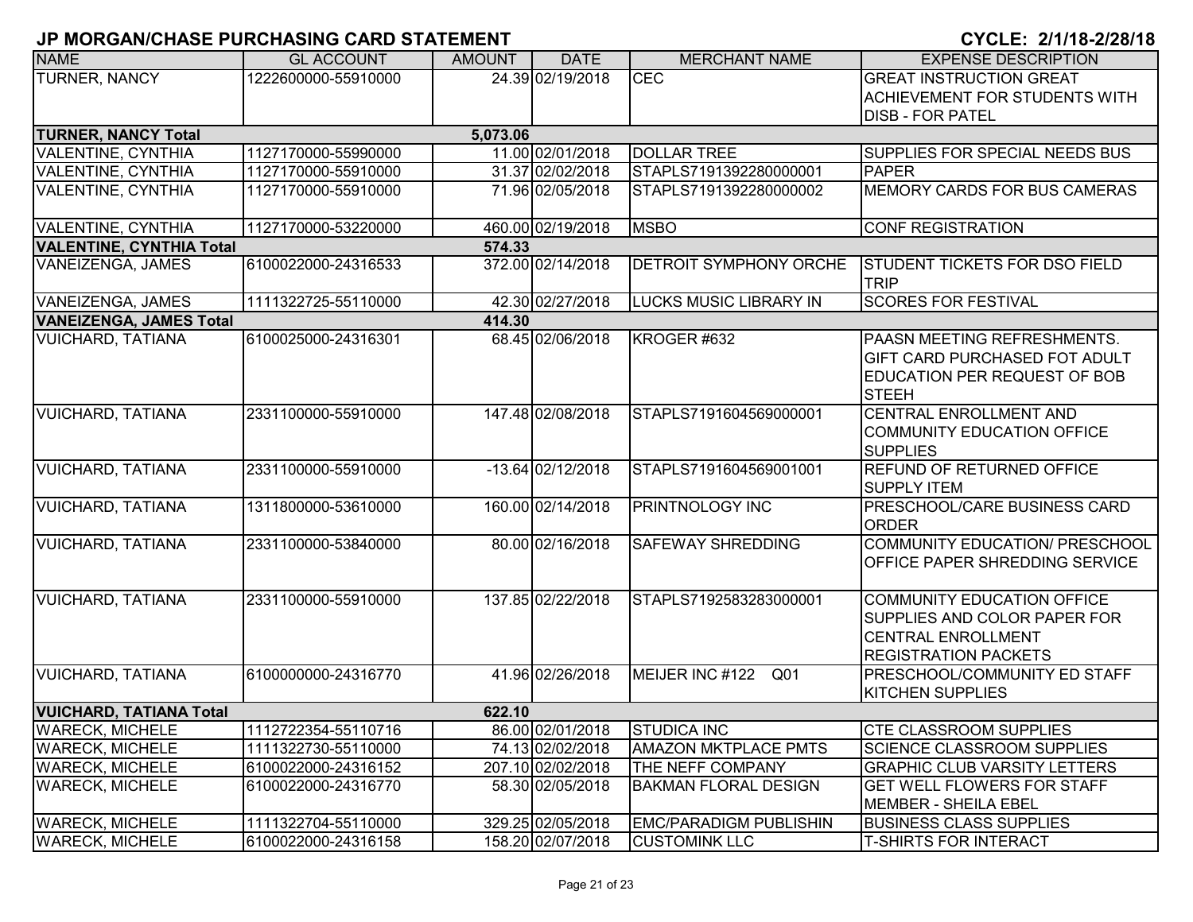|                                 | ו וושווש וואס שוואס טוושמווס וואס וואס וואס וואס ווא |               |                   |                               | <u>91922. ZIII0-ZIZ0I 19</u>                                                                                           |
|---------------------------------|------------------------------------------------------|---------------|-------------------|-------------------------------|------------------------------------------------------------------------------------------------------------------------|
| <b>NAME</b>                     | <b>GL ACCOUNT</b>                                    | <b>AMOUNT</b> | <b>DATE</b>       | <b>MERCHANT NAME</b>          | <b>EXPENSE DESCRIPTION</b>                                                                                             |
| <b>TURNER, NANCY</b>            | 1222600000-55910000                                  |               | 24.39 02/19/2018  | <b>CEC</b>                    | <b>GREAT INSTRUCTION GREAT</b>                                                                                         |
|                                 |                                                      |               |                   |                               | <b>ACHIEVEMENT FOR STUDENTS WITH</b>                                                                                   |
|                                 |                                                      |               |                   |                               | <b>DISB - FOR PATEL</b>                                                                                                |
| <b>TURNER, NANCY Total</b>      |                                                      | 5,073.06      |                   |                               |                                                                                                                        |
| <b>VALENTINE, CYNTHIA</b>       | 1127170000-55990000                                  |               | 11.00 02/01/2018  | <b>DOLLAR TREE</b>            | <b>SUPPLIES FOR SPECIAL NEEDS BUS</b>                                                                                  |
| <b>VALENTINE, CYNTHIA</b>       | 1127170000-55910000                                  |               | 31.37 02/02/2018  | STAPLS7191392280000001        | <b>PAPER</b>                                                                                                           |
| <b>VALENTINE, CYNTHIA</b>       | 1127170000-55910000                                  |               | 71.96 02/05/2018  | STAPLS7191392280000002        | MEMORY CARDS FOR BUS CAMERAS                                                                                           |
| <b>VALENTINE, CYNTHIA</b>       | 1127170000-53220000                                  |               | 460.00 02/19/2018 | <b>MSBO</b>                   | <b>CONF REGISTRATION</b>                                                                                               |
| <b>VALENTINE, CYNTHIA Total</b> |                                                      | 574.33        |                   |                               |                                                                                                                        |
| VANEIZENGA, JAMES               | 6100022000-24316533                                  |               | 372.00 02/14/2018 | <b>DETROIT SYMPHONY ORCHE</b> | <b>STUDENT TICKETS FOR DSO FIELD</b><br><b>TRIP</b>                                                                    |
| VANEIZENGA, JAMES               | 1111322725-55110000                                  |               | 42.30 02/27/2018  | <b>LUCKS MUSIC LIBRARY IN</b> | <b>SCORES FOR FESTIVAL</b>                                                                                             |
| <b>VANEIZENGA, JAMES Total</b>  |                                                      | 414.30        |                   |                               |                                                                                                                        |
| <b>VUICHARD, TATIANA</b>        | 6100025000-24316301                                  |               | 68.45 02/06/2018  | KROGER #632                   | PAASN MEETING REFRESHMENTS.<br>IGIFT CARD PURCHASED FOT ADULT<br><b>EDUCATION PER REQUEST OF BOB</b><br><b>STEEH</b>   |
| <b>VUICHARD, TATIANA</b>        | 2331100000-55910000                                  |               | 147.48 02/08/2018 | STAPLS7191604569000001        | CENTRAL ENROLLMENT AND<br>COMMUNITY EDUCATION OFFICE<br><b>SUPPLIES</b>                                                |
| <b>VUICHARD, TATIANA</b>        | 2331100000-55910000                                  |               | -13.64 02/12/2018 | STAPLS7191604569001001        | REFUND OF RETURNED OFFICE<br><b>SUPPLY ITEM</b>                                                                        |
| <b>VUICHARD, TATIANA</b>        | 1311800000-53610000                                  |               | 160.00 02/14/2018 | <b>PRINTNOLOGY INC</b>        | <b>PRESCHOOL/CARE BUSINESS CARD</b><br><b>ORDER</b>                                                                    |
| <b>VUICHARD, TATIANA</b>        | 2331100000-53840000                                  |               | 80.00 02/16/2018  | <b>SAFEWAY SHREDDING</b>      | COMMUNITY EDUCATION/ PRESCHOOL<br><b>OFFICE PAPER SHREDDING SERVICE</b>                                                |
| <b>VUICHARD, TATIANA</b>        | 2331100000-55910000                                  |               | 137.85 02/22/2018 | STAPLS7192583283000001        | COMMUNITY EDUCATION OFFICE<br>SUPPLIES AND COLOR PAPER FOR<br><b>CENTRAL ENROLLMENT</b><br><b>REGISTRATION PACKETS</b> |
| <b>VUICHARD, TATIANA</b>        | 6100000000-24316770                                  |               | 41.96 02/26/2018  | MEIJER INC #122 Q01           | <b>PRESCHOOL/COMMUNITY ED STAFF</b><br><b>KITCHEN SUPPLIES</b>                                                         |
| <b>VUICHARD, TATIANA Total</b>  |                                                      | 622.10        |                   |                               |                                                                                                                        |
| <b>WARECK, MICHELE</b>          | 1112722354-55110716                                  |               | 86.00 02/01/2018  | <b>STUDICA INC</b>            | <b>CTE CLASSROOM SUPPLIES</b>                                                                                          |
| <b>WARECK, MICHELE</b>          | 1111322730-55110000                                  |               | 74.13 02/02/2018  | <b>AMAZON MKTPLACE PMTS</b>   | <b>SCIENCE CLASSROOM SUPPLIES</b>                                                                                      |
| <b>WARECK, MICHELE</b>          | 6100022000-24316152                                  |               | 207.10 02/02/2018 | THE NEFF COMPANY              | <b>GRAPHIC CLUB VARSITY LETTERS</b>                                                                                    |
| <b>WARECK, MICHELE</b>          | 6100022000-24316770                                  |               | 58.30 02/05/2018  | <b>BAKMAN FLORAL DESIGN</b>   | <b>GET WELL FLOWERS FOR STAFF</b><br>MEMBER - SHEILA EBEL                                                              |
| <b>WARECK, MICHELE</b>          | 1111322704-55110000                                  |               | 329.25 02/05/2018 | <b>EMC/PARADIGM PUBLISHIN</b> | <b>BUSINESS CLASS SUPPLIES</b>                                                                                         |
| <b>WARECK, MICHELE</b>          | 6100022000-24316158                                  |               | 158.20 02/07/2018 | <b>CUSTOMINK LLC</b>          | <b>T-SHIRTS FOR INTERACT</b>                                                                                           |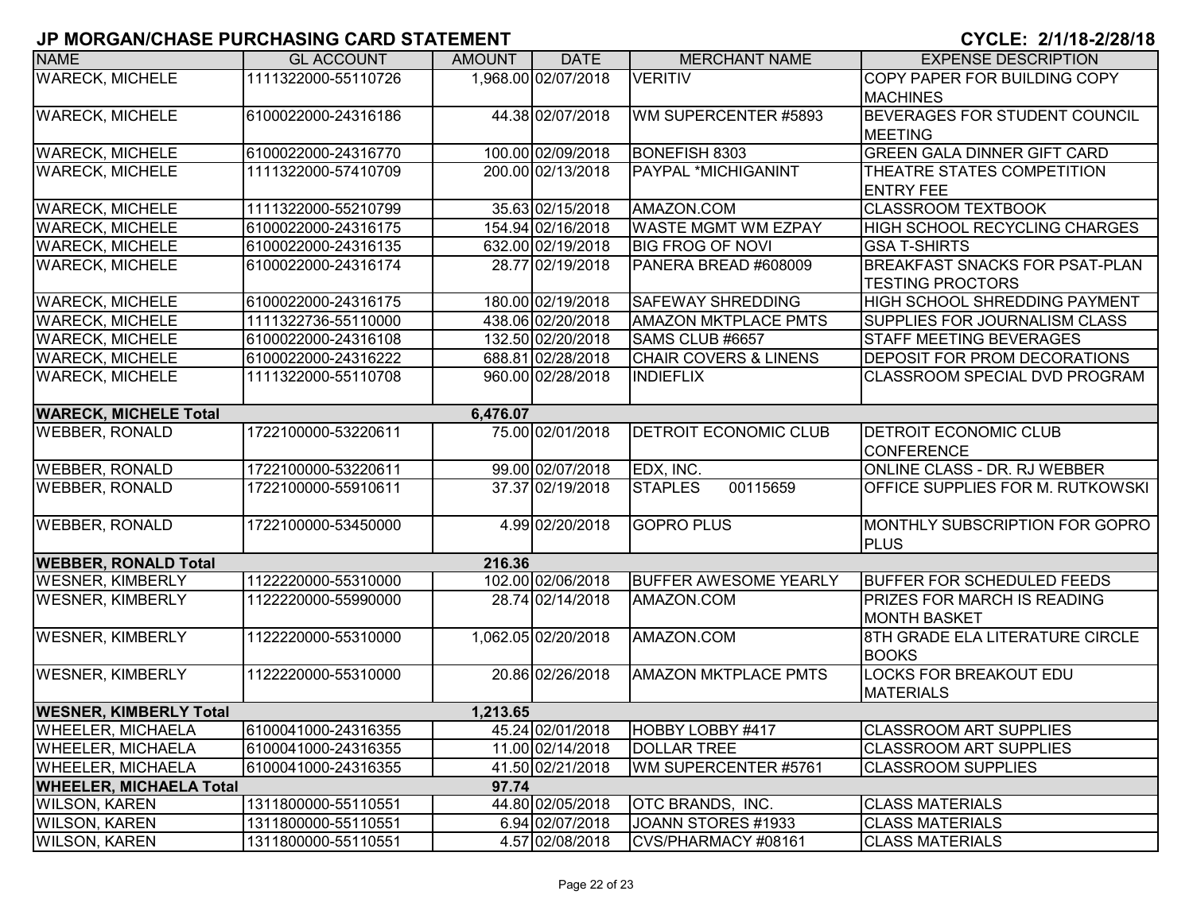| <b>NAME</b>                    | <b>GL ACCOUNT</b>   | <b>AMOUNT</b> | <b>DATE</b>         | <b>MERCHANT NAME</b>             | <b>EXPENSE DESCRIPTION</b>                                       |
|--------------------------------|---------------------|---------------|---------------------|----------------------------------|------------------------------------------------------------------|
| <b>WARECK, MICHELE</b>         | 1111322000-55110726 |               | 1,968.00 02/07/2018 | <b>VERITIV</b>                   | COPY PAPER FOR BUILDING COPY<br><b>MACHINES</b>                  |
| <b>WARECK, MICHELE</b>         | 6100022000-24316186 |               | 44.38 02/07/2018    | WM SUPERCENTER #5893             | <b>BEVERAGES FOR STUDENT COUNCIL</b><br><b>MEETING</b>           |
| <b>WARECK, MICHELE</b>         | 6100022000-24316770 |               | 100.00 02/09/2018   | BONEFISH 8303                    | <b>GREEN GALA DINNER GIFT CARD</b>                               |
| <b>WARECK, MICHELE</b>         | 1111322000-57410709 |               | 200.00 02/13/2018   | PAYPAL *MICHIGANINT              | THEATRE STATES COMPETITION<br><b>ENTRY FEE</b>                   |
| <b>WARECK, MICHELE</b>         | 1111322000-55210799 |               | 35.63 02/15/2018    | AMAZON.COM                       | <b>CLASSROOM TEXTBOOK</b>                                        |
| <b>WARECK, MICHELE</b>         | 6100022000-24316175 |               | 154.94 02/16/2018   | <b>WASTE MGMT WM EZPAY</b>       | HIGH SCHOOL RECYCLING CHARGES                                    |
| <b>WARECK, MICHELE</b>         | 6100022000-24316135 |               | 632.00 02/19/2018   | <b>BIG FROG OF NOVI</b>          | <b>GSA T-SHIRTS</b>                                              |
| <b>WARECK, MICHELE</b>         | 6100022000-24316174 |               | 28.77 02/19/2018    | PANERA BREAD #608009             | <b>BREAKFAST SNACKS FOR PSAT-PLAN</b><br><b>TESTING PROCTORS</b> |
| <b>WARECK, MICHELE</b>         | 6100022000-24316175 |               | 180.00 02/19/2018   | <b>SAFEWAY SHREDDING</b>         | <b>HIGH SCHOOL SHREDDING PAYMENT</b>                             |
| <b>WARECK, MICHELE</b>         | 1111322736-55110000 |               | 438.06 02/20/2018   | <b>AMAZON MKTPLACE PMTS</b>      | SUPPLIES FOR JOURNALISM CLASS                                    |
| <b>WARECK, MICHELE</b>         | 6100022000-24316108 |               | 132.50 02/20/2018   | SAMS CLUB #6657                  | <b>STAFF MEETING BEVERAGES</b>                                   |
| <b>WARECK, MICHELE</b>         | 6100022000-24316222 |               | 688.81 02/28/2018   | <b>CHAIR COVERS &amp; LINENS</b> | <b>DEPOSIT FOR PROM DECORATIONS</b>                              |
| <b>WARECK, MICHELE</b>         | 1111322000-55110708 |               | 960.00 02/28/2018   | <b>INDIEFLIX</b>                 | <b>CLASSROOM SPECIAL DVD PROGRAM</b>                             |
| <b>WARECK, MICHELE Total</b>   |                     | 6,476.07      |                     |                                  |                                                                  |
| <b>WEBBER, RONALD</b>          | 1722100000-53220611 |               | 75.00 02/01/2018    | DETROIT ECONOMIC CLUB            | <b>DETROIT ECONOMIC CLUB</b><br><b>CONFERENCE</b>                |
| <b>WEBBER, RONALD</b>          | 1722100000-53220611 |               | 99.00 02/07/2018    | EDX, INC.                        | ONLINE CLASS - DR. RJ WEBBER                                     |
| <b>WEBBER, RONALD</b>          | 1722100000-55910611 |               | 37.37 02/19/2018    | 00115659<br><b>STAPLES</b>       | OFFICE SUPPLIES FOR M. RUTKOWSKI                                 |
| <b>WEBBER, RONALD</b>          | 1722100000-53450000 |               | 4.99 02/20/2018     | <b>GOPRO PLUS</b>                | MONTHLY SUBSCRIPTION FOR GOPRO<br><b>PLUS</b>                    |
| <b>WEBBER, RONALD Total</b>    |                     | 216.36        |                     |                                  |                                                                  |
| <b>WESNER, KIMBERLY</b>        | 1122220000-55310000 |               | 102.00 02/06/2018   | <b>BUFFER AWESOME YEARLY</b>     | <b>BUFFER FOR SCHEDULED FEEDS</b>                                |
| <b>WESNER, KIMBERLY</b>        | 1122220000-55990000 |               | 28.74 02/14/2018    | AMAZON.COM                       | <b>PRIZES FOR MARCH IS READING</b><br><b>MONTH BASKET</b>        |
| <b>WESNER, KIMBERLY</b>        | 1122220000-55310000 |               | 1,062.05 02/20/2018 | AMAZON.COM                       | 8TH GRADE ELA LITERATURE CIRCLE<br><b>BOOKS</b>                  |
| <b>WESNER, KIMBERLY</b>        | 1122220000-55310000 |               | 20.86 02/26/2018    | <b>AMAZON MKTPLACE PMTS</b>      | <b>LOCKS FOR BREAKOUT EDU</b><br><b>MATERIALS</b>                |
| <b>WESNER, KIMBERLY Total</b>  |                     | 1,213.65      |                     |                                  |                                                                  |
| <b>WHEELER, MICHAELA</b>       | 6100041000-24316355 |               | 45.24 02/01/2018    | HOBBY LOBBY #417                 | <b>CLASSROOM ART SUPPLIES</b>                                    |
| <b>WHEELER, MICHAELA</b>       | 6100041000-24316355 |               | 11.00 02/14/2018    | <b>DOLLAR TREE</b>               | <b>CLASSROOM ART SUPPLIES</b>                                    |
| <b>WHEELER, MICHAELA</b>       | 6100041000-24316355 |               | 41.50 02/21/2018    | WM SUPERCENTER #5761             | <b>CLASSROOM SUPPLIES</b>                                        |
| <b>WHEELER, MICHAELA Total</b> |                     | 97.74         |                     |                                  |                                                                  |
| <b>WILSON, KAREN</b>           | 1311800000-55110551 |               | 44.80 02/05/2018    | OTC BRANDS, INC.                 | <b>CLASS MATERIALS</b>                                           |
| <b>WILSON, KAREN</b>           | 1311800000-55110551 |               | 6.94 02/07/2018     | JOANN STORES #1933               | <b>CLASS MATERIALS</b>                                           |
| <b>WILSON, KAREN</b>           | 1311800000-55110551 |               | 4.57 02/08/2018     | CVS/PHARMACY #08161              | <b>CLASS MATERIALS</b>                                           |